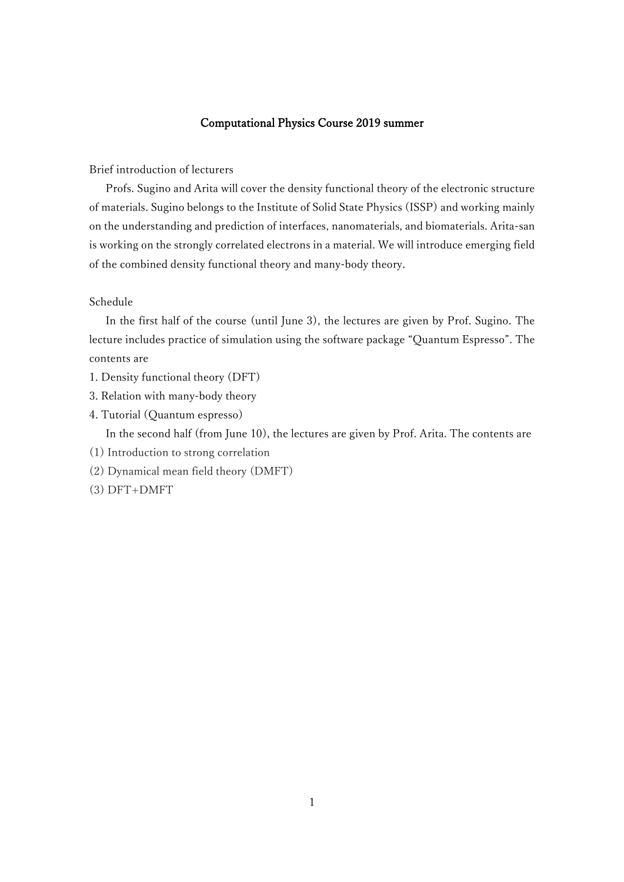# Computational Physics Course 2019 summer

# Brief introduction of lecturers

Profs. Sugino and Arita will cover the density functional theory of the electronic structure of materials. Sugino belongs to the Institute of Solid State Physics (ISSP) and working mainly on the understanding and prediction of interfaces, nanomaterials, and biomaterials. Arita-san is working on the strongly correlated electrons in a material. We will introduce emerging field of the combined density functional theory and many-body theory.

### Schedule

In the first half of the course (until June 3), the lectures are given by Prof. Sugino. The lecture includes practice of simulation using the software package "Quantum Espresso". The contents are

- 1. Density functional theory (DFT)
- 3. Relation with many-body theory
- 4. Tutorial (Quantum espresso)

In the second half (from June 10), the lectures are given by Prof. Arita. The contents are

- (1) Introduction to strong correlation
- (2) Dynamical mean field theory (DMFT)
- (3) DFT+DMFT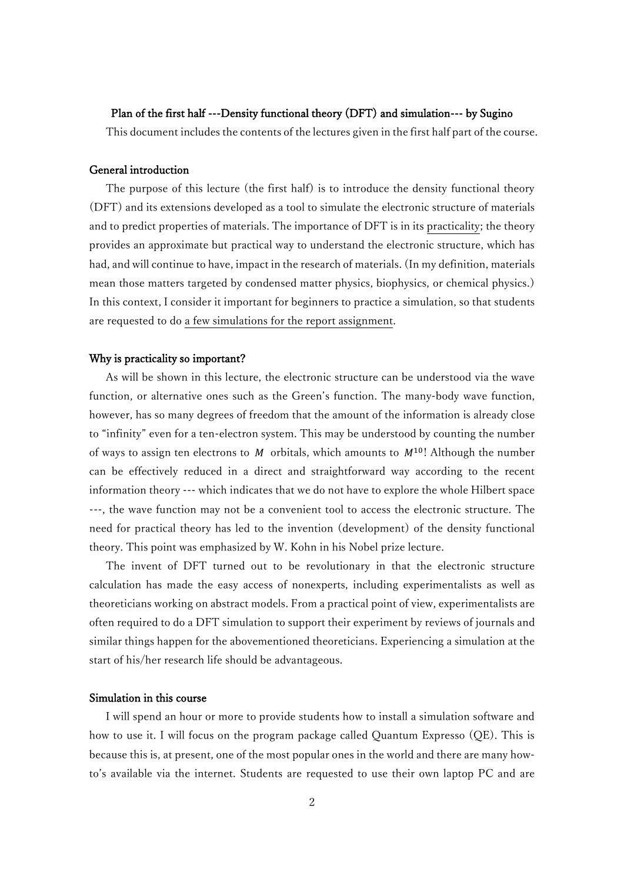## Plan of the first half ---Density functional theory (DFT) and simulation--- by Sugino

This document includes the contents of the lectures given in the first half part of the course.

#### General introduction

 The purpose of this lecture (the first half) is to introduce the density functional theory (DFT) and its extensions developed as a tool to simulate the electronic structure of materials and to predict properties of materials. The importance of DFT is in its practicality; the theory provides an approximate but practical way to understand the electronic structure, which has had, and will continue to have, impact in the research of materials. (In my definition, materials mean those matters targeted by condensed matter physics, biophysics, or chemical physics.) In this context, I consider it important for beginners to practice a simulation, so that students are requested to do a few simulations for the report assignment.

### Why is practicality so important?

 As will be shown in this lecture, the electronic structure can be understood via the wave function, or alternative ones such as the Green's function. The many-body wave function, however, has so many degrees of freedom that the amount of the information is already close to "infinity" even for a ten-electron system. This may be understood by counting the number of ways to assign ten electrons to M orbitals, which amounts to  $M^{10}$ ! Although the number can be effectively reduced in a direct and straightforward way according to the recent information theory --- which indicates that we do not have to explore the whole Hilbert space ---, the wave function may not be a convenient tool to access the electronic structure. The need for practical theory has led to the invention (development) of the density functional theory. This point was emphasized by W. Kohn in his Nobel prize lecture.

 The invent of DFT turned out to be revolutionary in that the electronic structure calculation has made the easy access of nonexperts, including experimentalists as well as theoreticians working on abstract models. From a practical point of view, experimentalists are often required to do a DFT simulation to support their experiment by reviews of journals and similar things happen for the abovementioned theoreticians. Experiencing a simulation at the start of his/her research life should be advantageous.

## Simulation in this course

 I will spend an hour or more to provide students how to install a simulation software and how to use it. I will focus on the program package called Quantum Expresso (QE). This is because this is, at present, one of the most popular ones in the world and there are many howto's available via the internet. Students are requested to use their own laptop PC and are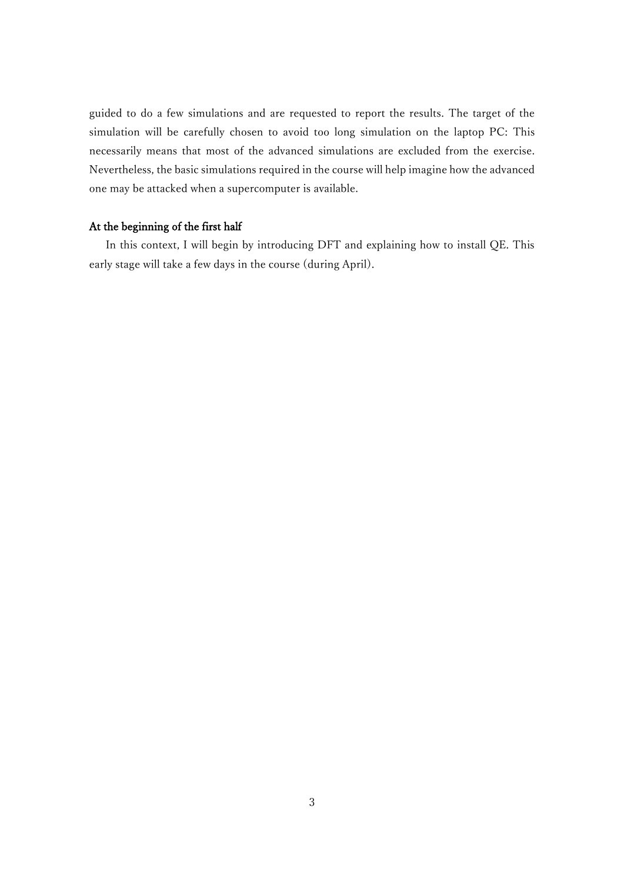guided to do a few simulations and are requested to report the results. The target of the simulation will be carefully chosen to avoid too long simulation on the laptop PC: This necessarily means that most of the advanced simulations are excluded from the exercise. Nevertheless, the basic simulations required in the course will help imagine how the advanced one may be attacked when a supercomputer is available.

# At the beginning of the first half

 In this context, I will begin by introducing DFT and explaining how to install QE. This early stage will take a few days in the course (during April).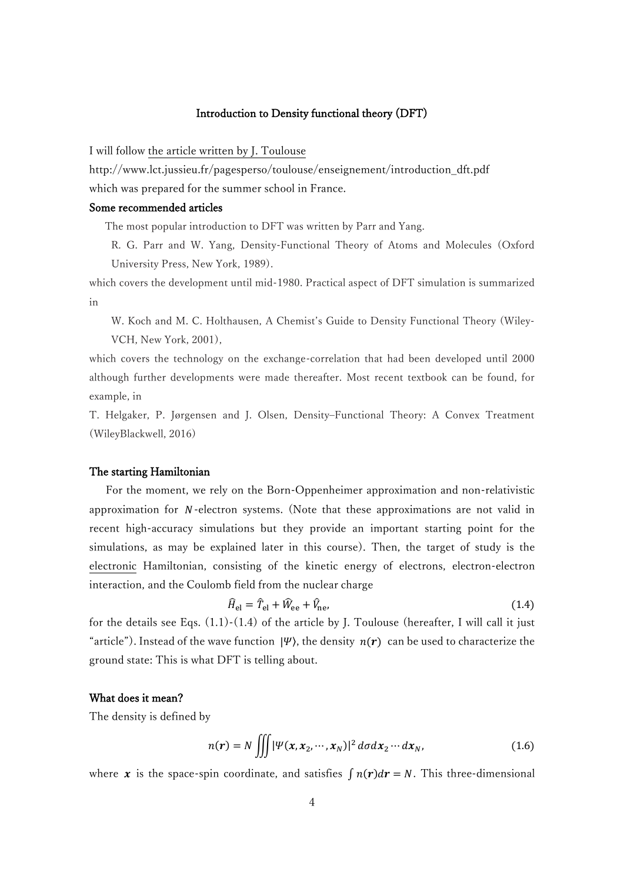#### Introduction to Density functional theory (DFT)

I will follow the article written by J. Toulouse

http://www.lct.jussieu.fr/pagesperso/toulouse/enseignement/introduction\_dft.pdf which was prepared for the summer school in France.

# Some recommended articles

The most popular introduction to DFT was written by Parr and Yang.

R. G. Parr and W. Yang, Density-Functional Theory of Atoms and Molecules (Oxford University Press, New York, 1989).

which covers the development until mid-1980. Practical aspect of DFT simulation is summarized in

W. Koch and M. C. Holthausen, A Chemist's Guide to Density Functional Theory (Wiley-VCH, New York, 2001),

which covers the technology on the exchange-correlation that had been developed until 2000 although further developments were made thereafter. Most recent textbook can be found, for example, in

T. Helgaker, P. Jørgensen and J. Olsen, Density–Functional Theory: A Convex Treatment (WileyBlackwell, 2016)

## The starting Hamiltonian

 For the moment, we rely on the Born-Oppenheimer approximation and non-relativistic approximation for  $N$ -electron systems. (Note that these approximations are not valid in recent high-accuracy simulations but they provide an important starting point for the simulations, as may be explained later in this course). Then, the target of study is the electronic Hamiltonian, consisting of the kinetic energy of electrons, electron-electron interaction, and the Coulomb field from the nuclear charge

$$
\widehat{H}_{\text{el}} = \widehat{T}_{\text{el}} + \widehat{W}_{\text{ee}} + \widehat{V}_{\text{ne}},\tag{1.4}
$$

for the details see Eqs.  $(1.1)-(1.4)$  of the article by J. Toulouse (hereafter, I will call it just "article"). Instead of the wave function  $|\Psi\rangle$ , the density  $n(r)$  can be used to characterize the ground state: This is what DFT is telling about.

## What does it mean?

The density is defined by

$$
n(r) = N \iiint |\Psi(x, x_2, \cdots, x_N)|^2 d\sigma dx_2 \cdots dx_N,
$$
 (1.6)

where x is the space-spin coordinate, and satisfies  $\int n(r) dr = N$ . This three-dimensional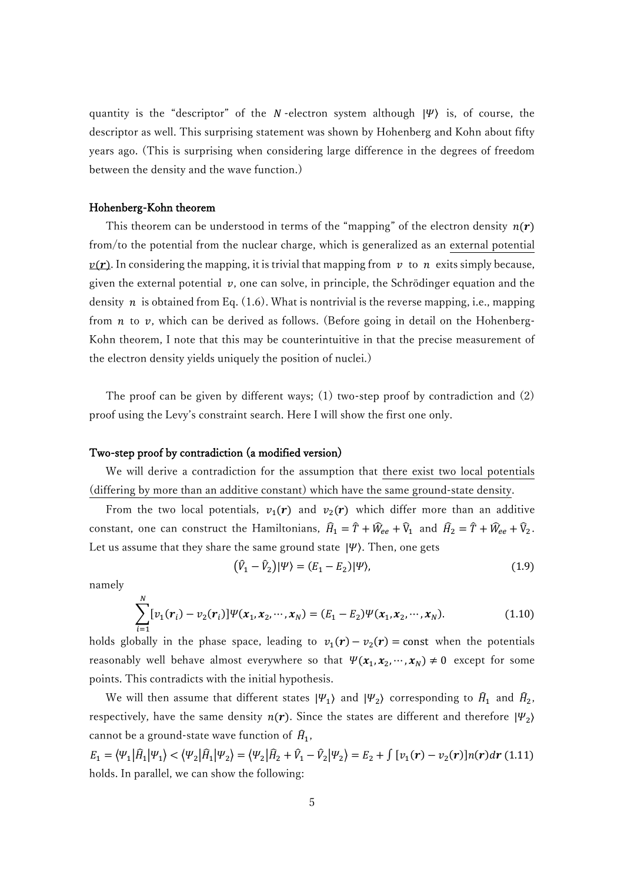quantity is the "descriptor" of the N-electron system although  $|\Psi\rangle$  is, of course, the descriptor as well. This surprising statement was shown by Hohenberg and Kohn about fifty years ago. (This is surprising when considering large difference in the degrees of freedom between the density and the wave function.)

### Hohenberg-Kohn theorem

This theorem can be understood in terms of the "mapping" of the electron density  $n(r)$ from/to the potential from the nuclear charge, which is generalized as an external potential  $v(r)$ . In considering the mapping, it is trivial that mapping from v to n exits simply because, given the external potential  $v$ , one can solve, in principle, the Schrödinger equation and the density  $n$  is obtained from Eq. (1.6). What is nontrivial is the reverse mapping, i.e., mapping from  $n$  to  $v$ , which can be derived as follows. (Before going in detail on the Hohenberg-Kohn theorem, I note that this may be counterintuitive in that the precise measurement of the electron density yields uniquely the position of nuclei.)

 The proof can be given by different ways; (1) two-step proof by contradiction and (2) proof using the Levy's constraint search. Here I will show the first one only.

#### Two-step proof by contradiction (a modified version)

We will derive a contradiction for the assumption that there exist two local potentials (differing by more than an additive constant) which have the same ground-state density.

From the two local potentials,  $v_1(r)$  and  $v_2(r)$  which differ more than an additive constant, one can construct the Hamiltonians,  $\hat{H}_1 = \hat{T} + \hat{W}_{ee} + \hat{V}_1$  and  $\hat{H}_2 = \hat{T} + \hat{W}_{ee} + \hat{V}_2$ . Let us assume that they share the same ground state  $|\Psi\rangle$ . Then, one gets

$$
(\hat{V}_1 - \hat{V}_2)|\Psi\rangle = (E_1 - E_2)|\Psi\rangle, \tag{1.9}
$$

namely

$$
\sum_{i=1}^{N} [v_1(\mathbf{r}_i) - v_2(\mathbf{r}_i)] \Psi(\mathbf{x}_1, \mathbf{x}_2, \cdots, \mathbf{x}_N) = (E_1 - E_2) \Psi(\mathbf{x}_1, \mathbf{x}_2, \cdots, \mathbf{x}_N).
$$
(1.10)

holds globally in the phase space, leading to  $v_1(r) - v_2(r) = \text{const}$  when the potentials reasonably well behave almost everywhere so that  $\Psi(x_1, x_2, \dots, x_N) \neq 0$  except for some points. This contradicts with the initial hypothesis.

We will then assume that different states  $|\Psi_1\rangle$  and  $|\Psi_2\rangle$  corresponding to  $\widehat{H}_1$  and  $\widehat{H}_2$ , respectively, have the same density  $n(r)$ . Since the states are different and therefore  $|\Psi_2\rangle$ cannot be a ground-state wave function of  $\hat{H}_1$ ,

 $E_1 = \langle \Psi_1 | \hat{H}_1 | \Psi_1 \rangle < \langle \Psi_2 | \hat{H}_1 | \Psi_2 \rangle = \langle \Psi_2 | \hat{H}_2 + \hat{V}_1 - \hat{V}_2 | \Psi_2 \rangle = E_2 + \int [v_1(\mathbf{r}) - v_2(\mathbf{r})] n(\mathbf{r}) d\mathbf{r}$  (1.11) holds. In parallel, we can show the following: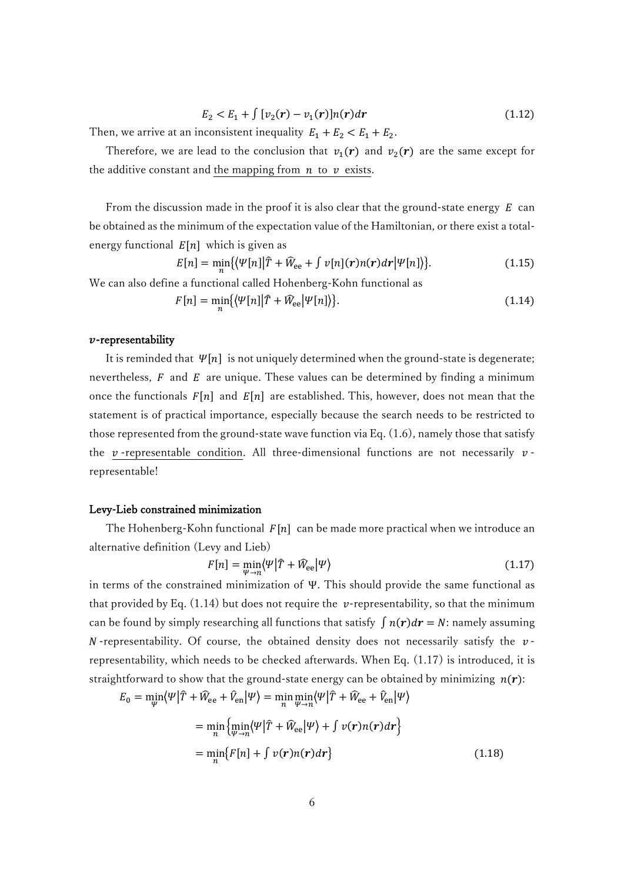$$
E_2 < E_1 + \int \left[ \nu_2(\mathbf{r}) - \nu_1(\mathbf{r}) \right] n(\mathbf{r}) d\mathbf{r} \tag{1.12}
$$

Then, we arrive at an inconsistent inequality  $E_1 + E_2 < E_1 + E_2$ .

Therefore, we are lead to the conclusion that  $v_1(r)$  and  $v_2(r)$  are the same except for the additive constant and the mapping from  $n$  to  $\nu$  exists.

From the discussion made in the proof it is also clear that the ground-state energy  $E$  can be obtained as the minimum of the expectation value of the Hamiltonian, or there exist a totalenergy functional  $E[n]$  which is given as

$$
E[n] = \min_{n} \{ \langle \Psi[n] | \hat{T} + \hat{W}_{ee} + \int v[n](r) n(r) dr | \Psi[n] \rangle \}. \tag{1.15}
$$

We can also define a functional called Hohenberg-Kohn functional as

$$
F[n] = \min_{n} \{ \langle \Psi[n] | \hat{T} + \hat{W}_{ee} | \Psi[n] \rangle \}. \tag{1.14}
$$

### $v$ -representability

It is reminded that  $\Psi[n]$  is not uniquely determined when the ground-state is degenerate; nevertheless,  $F$  and  $E$  are unique. These values can be determined by finding a minimum once the functionals  $F[n]$  and  $E[n]$  are established. This, however, does not mean that the statement is of practical importance, especially because the search needs to be restricted to those represented from the ground-state wave function via Eq. (1.6), namely those that satisfy the  $\nu$ -representable condition. All three-dimensional functions are not necessarily  $\nu$ representable!

### Levy-Lieb constrained minimization

The Hohenberg-Kohn functional  $F[n]$  can be made more practical when we introduce an alternative definition (Levy and Lieb)

$$
F[n] = \min_{\Psi \to n} \langle \Psi | \hat{T} + \hat{W}_{\text{ee}} | \Psi \rangle \tag{1.17}
$$

in terms of the constrained minimization of Ψ. This should provide the same functional as that provided by Eq.  $(1.14)$  but does not require the *v*-representability, so that the minimum can be found by simply researching all functions that satisfy  $\int n(r) dr = N$ : namely assuming  $N$ -representability. Of course, the obtained density does not necessarily satisfy the  $\nu$ representability, which needs to be checked afterwards. When Eq. (1.17) is introduced, it is straightforward to show that the ground-state energy can be obtained by minimizing  $n(r)$ :

$$
E_0 = \min_{\Psi} \langle \Psi | \hat{T} + \hat{W}_{ee} + \hat{V}_{en} | \Psi \rangle = \min_{n} \min_{\Psi \to n} \langle \Psi | \hat{T} + \hat{W}_{ee} + \hat{V}_{en} | \Psi \rangle
$$
  

$$
= \min_{n} \{ \min_{\Psi \to n} \langle \Psi | \hat{T} + \hat{W}_{ee} | \Psi \rangle + \int \nu(r) n(r) dr \}
$$
  

$$
= \min_{n} \{ F[n] + \int \nu(r) n(r) dr \}
$$
(1.18)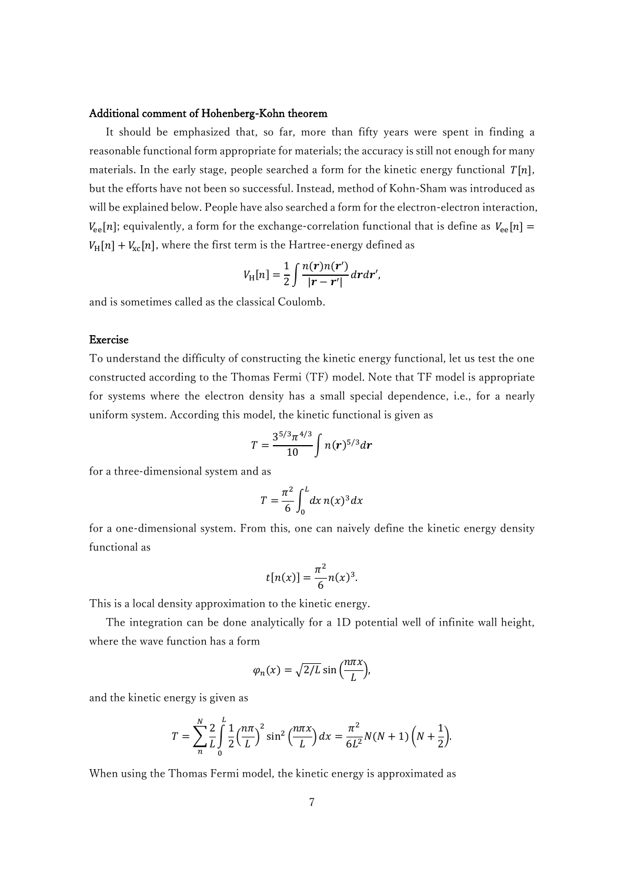#### Additional comment of Hohenberg-Kohn theorem

 It should be emphasized that, so far, more than fifty years were spent in finding a reasonable functional form appropriate for materials; the accuracy is still not enough for many materials. In the early stage, people searched a form for the kinetic energy functional  $T[n]$ , but the efforts have not been so successful. Instead, method of Kohn-Sham was introduced as will be explained below. People have also searched a form for the electron-electron interaction,  $V_{\text{ee}}[n]$ ; equivalently, a form for the exchange-correlation functional that is define as  $V_{\text{ee}}[n] =$  $V_H[n] + V_{\rm xc}[n]$ , where the first term is the Hartree-energy defined as

$$
V_{\rm H}[n] = \frac{1}{2} \int \frac{n(\mathbf{r})n(\mathbf{r}')}{|\mathbf{r} - \mathbf{r}'|} d\mathbf{r} d\mathbf{r}',
$$

and is sometimes called as the classical Coulomb.

## Exercise

To understand the difficulty of constructing the kinetic energy functional, let us test the one constructed according to the Thomas Fermi (TF) model. Note that TF model is appropriate for systems where the electron density has a small special dependence, i.e., for a nearly uniform system. According this model, the kinetic functional is given as

$$
T = \frac{3^{5/3} \pi^{4/3}}{10} \int n(r)^{5/3} dr
$$

for a three-dimensional system and as

$$
T = \frac{\pi^2}{6} \int_0^L dx \, n(x)^3 dx
$$

for a one-dimensional system. From this, one can naively define the kinetic energy density functional as

$$
t[n(x)] = \frac{\pi^2}{6}n(x)^3.
$$

This is a local density approximation to the kinetic energy.

 The integration can be done analytically for a 1D potential well of infinite wall height, where the wave function has a form

$$
\varphi_n(x) = \sqrt{2/L} \sin\left(\frac{n\pi x}{L}\right),\,
$$

and the kinetic energy is given as

$$
T = \sum_{n=0}^{N} \frac{2}{L} \int_{0}^{L} \frac{1}{2} \left(\frac{n\pi}{L}\right)^{2} \sin^{2}\left(\frac{n\pi x}{L}\right) dx = \frac{\pi^{2}}{6L^{2}} N(N+1) \left(N + \frac{1}{2}\right).
$$

When using the Thomas Fermi model, the kinetic energy is approximated as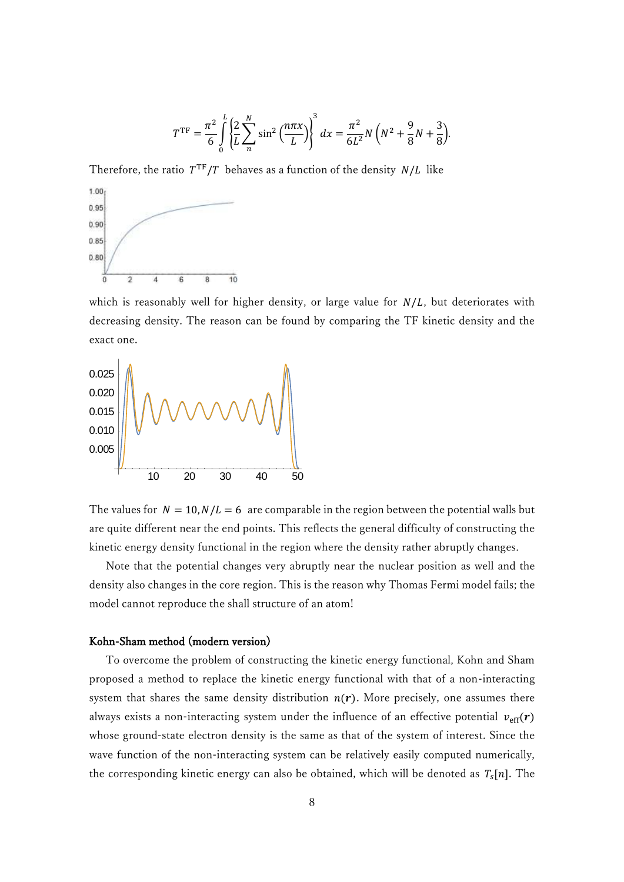$$
T^{\rm TF} = \frac{\pi^2}{6} \int_0^L \left\{ \frac{2}{L} \sum_n^N \sin^2 \left( \frac{n \pi x}{L} \right) \right\}^3 dx = \frac{\pi^2}{6L^2} N \left( N^2 + \frac{9}{8} N + \frac{3}{8} \right).
$$

Therefore, the ratio  $T^{TF}/T$  behaves as a function of the density  $N/L$  like



which is reasonably well for higher density, or large value for  $N/L$ , but deteriorates with decreasing density. The reason can be found by comparing the TF kinetic density and the exact one.



The values for  $N = 10, N/L = 6$  are comparable in the region between the potential walls but are quite different near the end points. This reflects the general difficulty of constructing the kinetic energy density functional in the region where the density rather abruptly changes.

 Note that the potential changes very abruptly near the nuclear position as well and the density also changes in the core region. This is the reason why Thomas Fermi model fails; the model cannot reproduce the shall structure of an atom!

### Kohn-Sham method (modern version)

 To overcome the problem of constructing the kinetic energy functional, Kohn and Sham proposed a method to replace the kinetic energy functional with that of a non-interacting system that shares the same density distribution  $n(r)$ . More precisely, one assumes there always exists a non-interacting system under the influence of an effective potential  $v_{\text{eff}}(r)$ whose ground-state electron density is the same as that of the system of interest. Since the wave function of the non-interacting system can be relatively easily computed numerically, the corresponding kinetic energy can also be obtained, which will be denoted as  $T_s[n]$ . The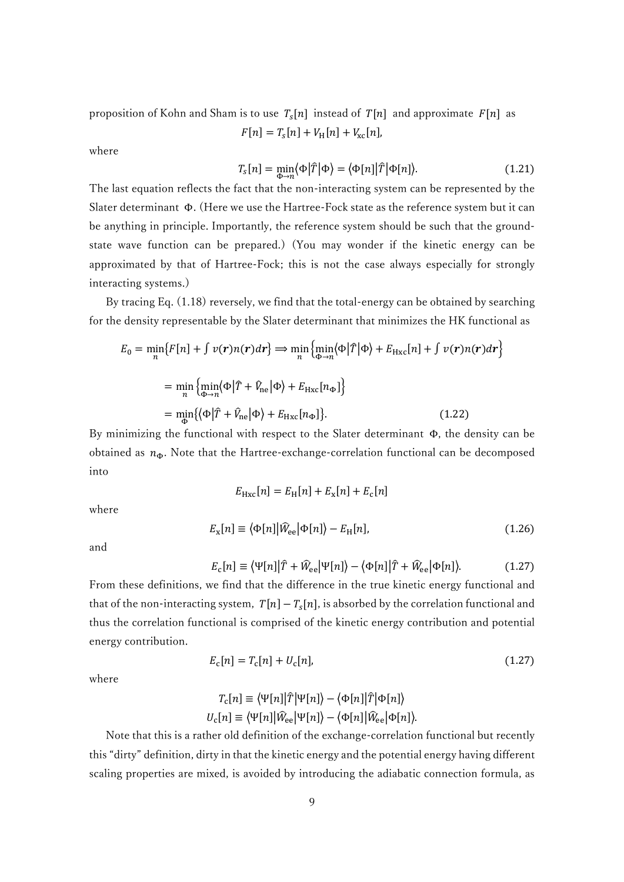proposition of Kohn and Sham is to use  $T_s[n]$  instead of  $T[n]$  and approximate  $F[n]$  as  $F[n] = T_s[n] + V_H[n] + V_{\text{xc}}[n],$ 

where

$$
T_s[n] = \min_{\Phi \to n} \langle \Phi | \hat{T} | \Phi \rangle = \langle \Phi[n] | \hat{T} | \Phi[n] \rangle.
$$
 (1.21)

The last equation reflects the fact that the non-interacting system can be represented by the Slater determinant Φ. (Here we use the Hartree-Fock state as the reference system but it can be anything in principle. Importantly, the reference system should be such that the groundstate wave function can be prepared.) (You may wonder if the kinetic energy can be approximated by that of Hartree-Fock; this is not the case always especially for strongly interacting systems.)

By tracing Eq.  $(1.18)$  reversely, we find that the total-energy can be obtained by searching for the density representable by the Slater determinant that minimizes the HK functional as

$$
E_0 = \min_n \{ F[n] + \int v(r)n(r)dr \} \Rightarrow \min_n \{ \min_{\Phi \to n} \langle \Phi | \hat{T} | \Phi \rangle + E_{Hxc}[n] + \int v(r)n(r)dr \}
$$

$$
= \min_n \{ \min_{\Phi \to n} \langle \Phi | \hat{T} + \hat{V}_{ne} | \Phi \rangle + E_{Hxc}[n_{\Phi}] \}
$$

$$
= \min_{\Phi} \{ \langle \Phi | \hat{T} + \hat{V}_{ne} | \Phi \rangle + E_{Hxc}[n_{\Phi}] \}. \tag{1.22}
$$

By minimizing the functional with respect to the Slater determinant Φ, the density can be obtained as  $n_{\Phi}$ . Note that the Hartree-exchange-correlation functional can be decomposed into

$$
E_{\rm Hxc}[n] = E_{\rm H}[n] + E_{\rm x}[n] + E_{\rm c}[n]
$$

where

$$
E_{\rm x}[n] \equiv \langle \Phi[n] | \hat{W}_{\rm ee} | \Phi[n] \rangle - E_{\rm H}[n], \tag{1.26}
$$

and

$$
E_{\rm c}[n] \equiv \langle \Psi[n] | \hat{T} + \hat{W}_{\rm ee} | \Psi[n] \rangle - \langle \Phi[n] | \hat{T} + \hat{W}_{\rm ee} | \Phi[n] \rangle. \tag{1.27}
$$

From these definitions, we find that the difference in the true kinetic energy functional and that of the non-interacting system,  $T[n] - T_s[n]$ , is absorbed by the correlation functional and thus the correlation functional is comprised of the kinetic energy contribution and potential energy contribution.

$$
E_{c}[n] = T_{c}[n] + U_{c}[n],
$$
\n(1.27)

where

$$
T_{\rm c}[n] \equiv \langle \Psi[n] | \hat{T} | \Psi[n] \rangle - \langle \Phi[n] | \hat{T} | \Phi[n] \rangle
$$
  

$$
U_{\rm c}[n] \equiv \langle \Psi[n] | \hat{W}_{\rm ee} | \Psi[n] \rangle - \langle \Phi[n] | \hat{W}_{\rm ee} | \Phi[n] \rangle.
$$

 Note that this is a rather old definition of the exchange-correlation functional but recently this "dirty" definition, dirty in that the kinetic energy and the potential energy having different scaling properties are mixed, is avoided by introducing the adiabatic connection formula, as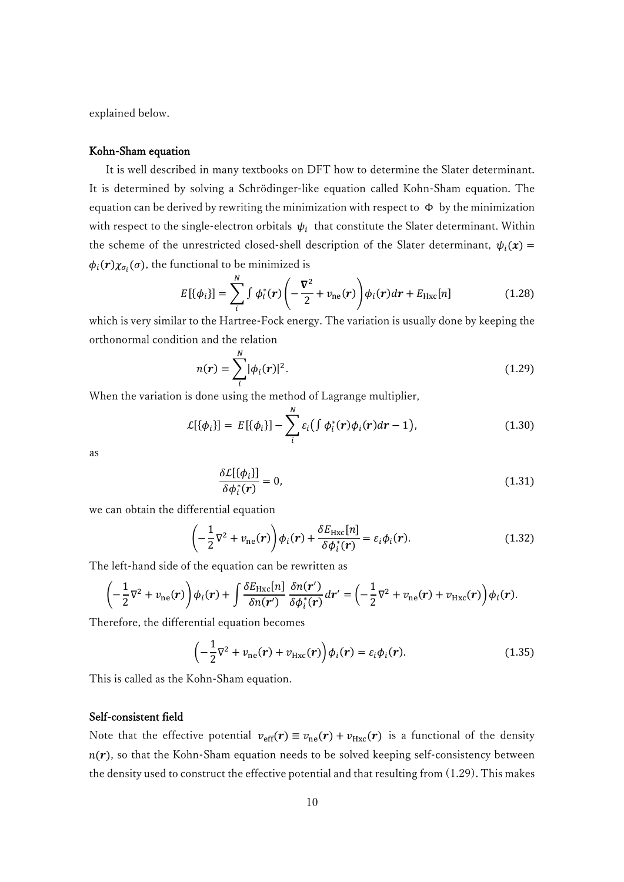explained below.

#### Kohn-Sham equation

 It is well described in many textbooks on DFT how to determine the Slater determinant. It is determined by solving a Schrödinger-like equation called Kohn-Sham equation. The equation can be derived by rewriting the minimization with respect to  $\Phi$  by the minimization with respect to the single-electron orbitals  $\psi_i$  that constitute the Slater determinant. Within the scheme of the unrestricted closed-shell description of the Slater determinant,  $\psi_i(\mathbf{x}) =$  $\phi_i(\boldsymbol{r}) \chi_{\sigma_i}(\sigma)$ , the functional to be minimized is

$$
E[\{\phi_i\}] = \sum_{i}^{N} \int \phi_i^*(r) \left( -\frac{\nabla^2}{2} + \nu_{\text{ne}}(r) \right) \phi_i(r) dr + E_{\text{Hxc}}[n] \tag{1.28}
$$

which is very similar to the Hartree-Fock energy. The variation is usually done by keeping the orthonormal condition and the relation

$$
n(r) = \sum_{i}^{N} |\phi_i(r)|^2.
$$
 (1.29)

When the variation is done using the method of Lagrange multiplier,

$$
\mathcal{L}[\{\phi_i\}] = E[\{\phi_i\}] - \sum_{i}^{N} \varepsilon_i \big( \int \phi_i^*(r) \phi_i(r) dr - 1 \big), \tag{1.30}
$$

as

$$
\frac{\delta \mathcal{L}[\{\phi_i\}]}{\delta \phi_i^*(r)} = 0,\tag{1.31}
$$

we can obtain the differential equation

$$
\left(-\frac{1}{2}\nabla^2 + v_{\text{ne}}(r)\right)\phi_i(r) + \frac{\delta E_{\text{Hxc}}[n]}{\delta \phi_i^*(r)} = \varepsilon_i \phi_i(r). \tag{1.32}
$$

The left-hand side of the equation can be rewritten as

$$
\left(-\frac{1}{2}\nabla^2 + v_{\text{ne}}(r)\right)\phi_i(r) + \int \frac{\delta E_{\text{Hxc}}[n]}{\delta n(r')} \frac{\delta n(r')}{\delta \phi_i^*(r)} dr' = \left(-\frac{1}{2}\nabla^2 + v_{\text{ne}}(r) + v_{\text{Hxc}}(r)\right)\phi_i(r).
$$

Therefore, the differential equation becomes

$$
\left(-\frac{1}{2}\nabla^2 + \nu_{\text{ne}}(r) + \nu_{\text{Hxc}}(r)\right)\phi_i(r) = \varepsilon_i\phi_i(r). \tag{1.35}
$$

This is called as the Kohn-Sham equation.

# Self-consistent field

Note that the effective potential  $v_{\text{eff}}(\mathbf{r}) \equiv v_{\text{ne}}(\mathbf{r}) + v_{\text{Hxc}}(\mathbf{r})$  is a functional of the density  $n(r)$ , so that the Kohn-Sham equation needs to be solved keeping self-consistency between the density used to construct the effective potential and that resulting from (1.29). This makes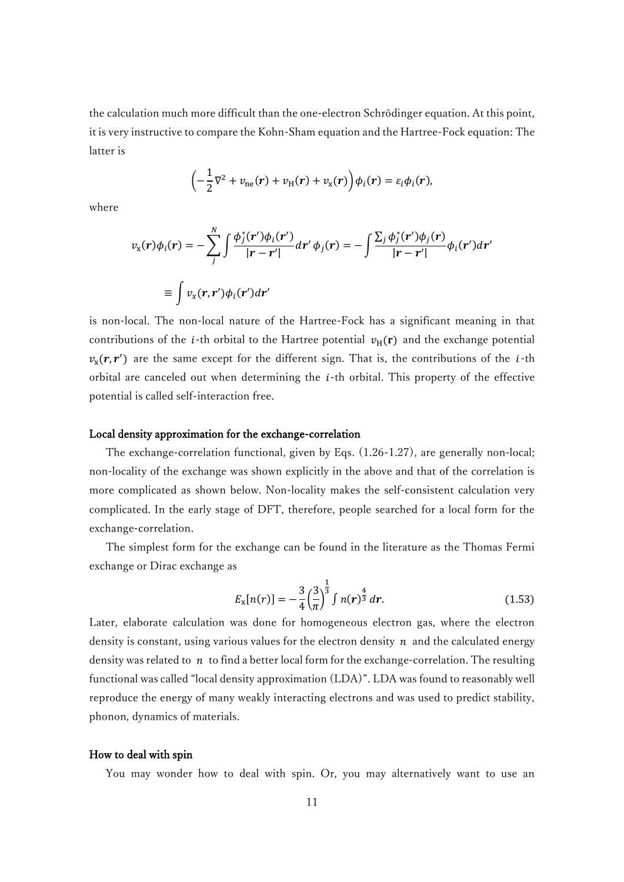the calculation much more difficult than the one-electron Schrödinger equation. At this point, it is very instructive to compare the Kohn-Sham equation and the Hartree-Fock equation: The latter is

$$
\left(-\frac{1}{2}\nabla^2 + \nu_{\text{ne}}(r) + \nu_{\text{H}}(r) + \nu_{\text{x}}(r)\right)\phi_i(r) = \varepsilon_i\phi_i(r),
$$

where

$$
v_x(\mathbf{r})\phi_i(\mathbf{r}) = -\sum_{j}^{N} \int \frac{\phi_j^*(\mathbf{r}')\phi_i(\mathbf{r}')}{|\mathbf{r} - \mathbf{r}'|} d\mathbf{r}' \phi_j(\mathbf{r}) = -\int \frac{\sum_j \phi_j^*(\mathbf{r}')\phi_j(\mathbf{r})}{|\mathbf{r} - \mathbf{r}'|} \phi_i(\mathbf{r}') d\mathbf{r}'
$$

$$
\equiv \int v_x(\mathbf{r}, \mathbf{r}')\phi_i(\mathbf{r}') d\mathbf{r}'
$$

is non-local. The non-local nature of the Hartree-Fock has a significant meaning in that contributions of the *i*-th orbital to the Hartree potential  $v_H(r)$  and the exchange potential  $v_x(r, r')$  are the same except for the different sign. That is, the contributions of the *i*-th orbital are canceled out when determining the  $i$ -th orbital. This property of the effective potential is called self-interaction free.

## Local density approximation for the exchange-correlation

 The exchange-correlation functional, given by Eqs. (1.26-1.27), are generally non-local; non-locality of the exchange was shown explicitly in the above and that of the correlation is more complicated as shown below. Non-locality makes the self-consistent calculation very complicated. In the early stage of DFT, therefore, people searched for a local form for the exchange-correlation.

 The simplest form for the exchange can be found in the literature as the Thomas Fermi exchange or Dirac exchange as

$$
E_{\rm x}[n(r)] = -\frac{3}{4} \left(\frac{3}{\pi}\right)^{\frac{1}{3}} \int n(r)^{\frac{4}{3}} dr.
$$
 (1.53)

Later, elaborate calculation was done for homogeneous electron gas, where the electron density is constant, using various values for the electron density  $n$  and the calculated energy density was related to  $n$  to find a better local form for the exchange-correlation. The resulting functional was called "local density approximation (LDA)". LDA was found to reasonably well reproduce the energy of many weakly interacting electrons and was used to predict stability, phonon, dynamics of materials.

#### How to deal with spin

You may wonder how to deal with spin. Or, you may alternatively want to use an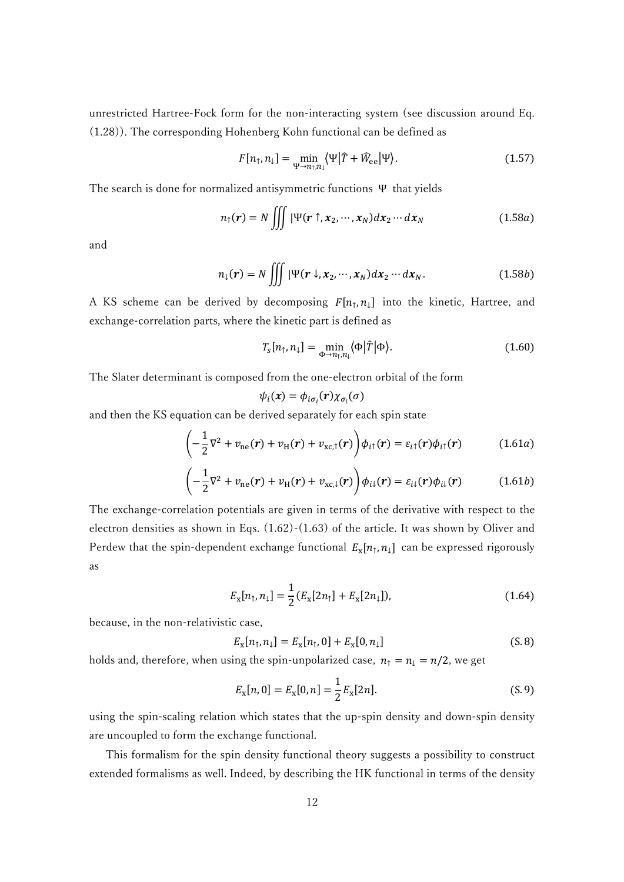unrestricted Hartree-Fock form for the non-interacting system (see discussion around Eq. (1.28)). The corresponding Hohenberg Kohn functional can be defined as

$$
F[n_{\uparrow}, n_{\downarrow}] = \min_{\Psi \to n_{\uparrow}, n_{\downarrow}} \langle \Psi | \hat{T} + \hat{W}_{ee} | \Psi \rangle.
$$
 (1.57)

The search is done for normalized antisymmetric functions Ψ that yields

$$
n_{\uparrow}(\mathbf{r}) = N \iiint |\Psi(\mathbf{r} \uparrow, \mathbf{x}_2, \cdots, \mathbf{x}_N) dx_2 \cdots dx_N
$$
 (1.58a)

and

$$
n_1(\mathbf{r}) = N \iiint |\Psi(\mathbf{r} \downarrow, \mathbf{x}_2, \cdots, \mathbf{x}_N) dx_2 \cdots dx_N.
$$
 (1.58b)

A KS scheme can be derived by decomposing  $F[n_1, n_1]$  into the kinetic, Hartree, and exchange-correlation parts, where the kinetic part is defined as

$$
T_{\rm s}[n_{\uparrow},n_{\downarrow}] = \min_{\Phi \to n_{\uparrow},n_{\downarrow}} \langle \Phi | \hat{T} | \Phi \rangle. \tag{1.60}
$$

The Slater determinant is composed from the one-electron orbital of the form

$$
\psi_i(\pmb{x}) = \phi_{i\sigma_i}(\pmb{r})\chi_{\sigma_i}(\sigma)
$$

and then the KS equation can be derived separately for each spin state

$$
\left(-\frac{1}{2}\nabla^2 + \nu_{\text{ne}}(r) + \nu_{\text{H}}(r) + \nu_{\text{xc},\uparrow}(r)\right)\phi_{i\uparrow}(r) = \varepsilon_{i\uparrow}(r)\phi_{i\uparrow}(r) \tag{1.61a}
$$

$$
\left(-\frac{1}{2}\nabla^2 + v_{\text{ne}}(r) + v_{\text{H}}(r) + v_{\text{xc},\downarrow}(r)\right)\phi_{i\downarrow}(r) = \varepsilon_{i\downarrow}(r)\phi_{i\downarrow}(r) \tag{1.61b}
$$

The exchange-correlation potentials are given in terms of the derivative with respect to the electron densities as shown in Eqs. (1.62)-(1.63) of the article. It was shown by Oliver and Perdew that the spin-dependent exchange functional  $E_x[n_\uparrow, n_\downarrow]$  can be expressed rigorously as

$$
E_{\mathbf{x}}[n_{\uparrow}, n_{\downarrow}] = \frac{1}{2} (E_{\mathbf{x}}[2n_{\uparrow}] + E_{\mathbf{x}}[2n_{\downarrow}]), \tag{1.64}
$$

because, in the non-relativistic case,

$$
E_{x}[n_{\uparrow}, n_{\downarrow}] = E_{x}[n_{\uparrow}, 0] + E_{x}[0, n_{\downarrow}]
$$
\n(S. 8)

holds and, therefore, when using the spin-unpolarized case,  $n_1 = n_1 = n/2$ , we get

$$
E_{\mathbf{x}}[n,0] = E_{\mathbf{x}}[0,n] = \frac{1}{2}E_{\mathbf{x}}[2n].
$$
 (S. 9)

using the spin-scaling relation which states that the up-spin density and down-spin density are uncoupled to form the exchange functional.

 This formalism for the spin density functional theory suggests a possibility to construct extended formalisms as well. Indeed, by describing the HK functional in terms of the density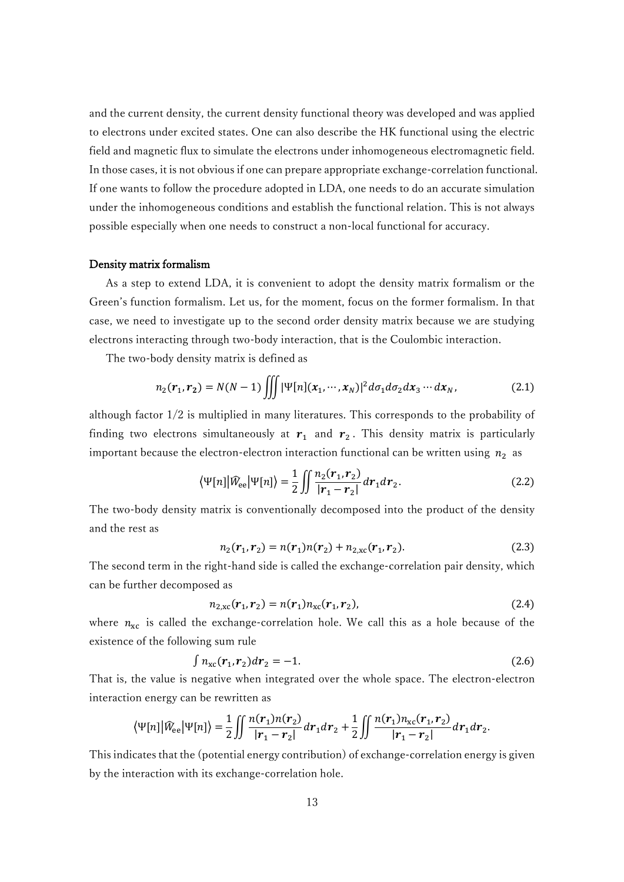and the current density, the current density functional theory was developed and was applied to electrons under excited states. One can also describe the HK functional using the electric field and magnetic flux to simulate the electrons under inhomogeneous electromagnetic field. In those cases, it is not obvious if one can prepare appropriate exchange-correlation functional. If one wants to follow the procedure adopted in LDA, one needs to do an accurate simulation under the inhomogeneous conditions and establish the functional relation. This is not always possible especially when one needs to construct a non-local functional for accuracy.

### Density matrix formalism

 As a step to extend LDA, it is convenient to adopt the density matrix formalism or the Green's function formalism. Let us, for the moment, focus on the former formalism. In that case, we need to investigate up to the second order density matrix because we are studying electrons interacting through two-body interaction, that is the Coulombic interaction.

The two-body density matrix is defined as

$$
n_2(\mathbf{r}_1, \mathbf{r}_2) = N(N-1) \iiint |\Psi[n](x_1, \cdots, x_N)|^2 d\sigma_1 d\sigma_2 dx_3 \cdots dx_N,
$$
 (2.1)

although factor 1/2 is multiplied in many literatures. This corresponds to the probability of finding two electrons simultaneously at  $r_1$  and  $r_2$ . This density matrix is particularly important because the electron-electron interaction functional can be written using  $n_2$  as

$$
\langle \Psi[n] | \widehat{W}_{ee} | \Psi[n] \rangle = \frac{1}{2} \iint \frac{n_2(\mathbf{r}_1, \mathbf{r}_2)}{|\mathbf{r}_1 - \mathbf{r}_2|} d\mathbf{r}_1 d\mathbf{r}_2. \tag{2.2}
$$

The two-body density matrix is conventionally decomposed into the product of the density and the rest as

$$
n_2(\mathbf{r}_1, \mathbf{r}_2) = n(\mathbf{r}_1)n(\mathbf{r}_2) + n_{2,\text{xc}}(\mathbf{r}_1, \mathbf{r}_2). \tag{2.3}
$$

The second term in the right-hand side is called the exchange-correlation pair density, which can be further decomposed as

$$
n_{2,\text{xc}}(\mathbf{r}_1, \mathbf{r}_2) = n(\mathbf{r}_1) n_{\text{xc}}(\mathbf{r}_1, \mathbf{r}_2),
$$
\n(2.4)

where  $n_{\text{xc}}$  is called the exchange-correlation hole. We call this as a hole because of the existence of the following sum rule

$$
\int n_{\rm xc}(\mathbf{r}_1,\mathbf{r}_2)d\mathbf{r}_2 = -1. \tag{2.6}
$$

That is, the value is negative when integrated over the whole space. The electron-electron interaction energy can be rewritten as

$$
\langle \Psi[n] | \hat{W}_{ee} | \Psi[n] \rangle = \frac{1}{2} \iint \frac{n(r_1) n(r_2)}{|r_1 - r_2|} dr_1 dr_2 + \frac{1}{2} \iint \frac{n(r_1) n_{xc}(r_1, r_2)}{|r_1 - r_2|} dr_1 dr_2.
$$

This indicates that the (potential energy contribution) of exchange-correlation energy is given by the interaction with its exchange-correlation hole.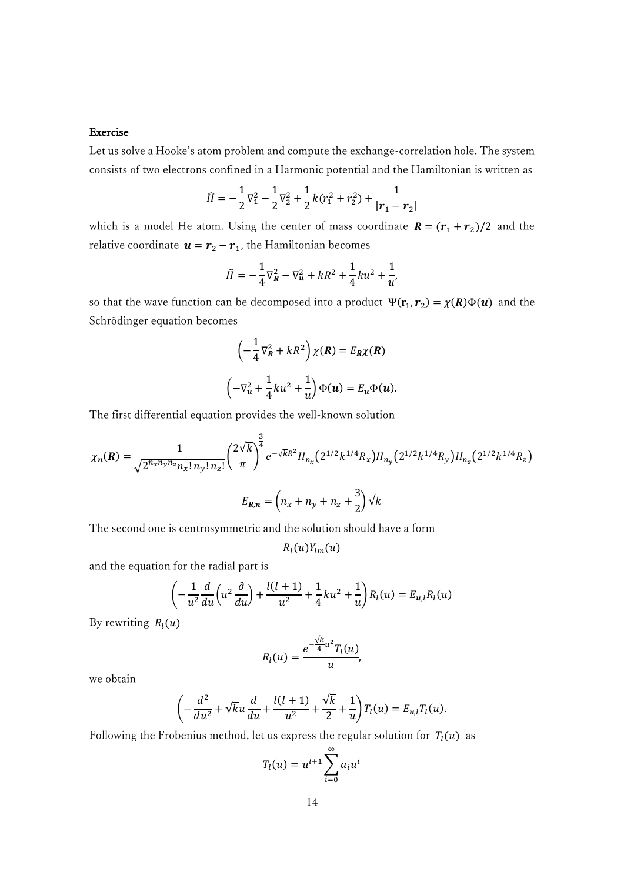## Exercise

Let us solve a Hooke's atom problem and compute the exchange-correlation hole. The system consists of two electrons confined in a Harmonic potential and the Hamiltonian is written as

$$
\widehat{H} = -\frac{1}{2}\nabla_1^2 - \frac{1}{2}\nabla_2^2 + \frac{1}{2}k(r_1^2 + r_2^2) + \frac{1}{|\mathbf{r}_1 - \mathbf{r}_2|}
$$

which is a model He atom. Using the center of mass coordinate  $R = (r_1 + r_2)/2$  and the relative coordinate  $\mathbf{u} = \mathbf{r}_2 - \mathbf{r}_1$ , the Hamiltonian becomes

$$
\widehat{H} = -\frac{1}{4}\nabla_R^2 - \nabla_u^2 + kR^2 + \frac{1}{4}ku^2 + \frac{1}{u'}
$$

so that the wave function can be decomposed into a product  $\Psi(\mathbf{r}_1, \mathbf{r}_2) = \chi(\mathbf{R})\Phi(\mathbf{u})$  and the Schrödinger equation becomes

$$
\left(-\frac{1}{4}\nabla_R^2 + kR^2\right)\chi(R) = E_R\chi(R)
$$

$$
\left(-\nabla_u^2 + \frac{1}{4}ku^2 + \frac{1}{u}\right)\Phi(u) = E_u\Phi(u).
$$

The first differential equation provides the well-known solution

$$
\chi_n(\mathbf{R}) = \frac{1}{\sqrt{2^{n_x n_y n_z} n_x! n_y! n_z!}} \left(\frac{2\sqrt{k}}{\pi}\right)^{\frac{3}{4}} e^{-\sqrt{k}R^2} H_{n_x}(2^{1/2}k^{1/4}R_x) H_{n_y}(2^{1/2}k^{1/4}R_y) H_{n_z}(2^{1/2}k^{1/4}R_z)
$$

$$
E_{\mathbf{R},n} = \left(n_x + n_y + n_z + \frac{3}{2}\right) \sqrt{k}
$$

The second one is centrosymmetric and the solution should have a form

 $R_l(u)Y_{lm}(\bar{u})$ 

and the equation for the radial part is

$$
\left(-\frac{1}{u^2}\frac{d}{du}\left(u^2\frac{\partial}{du}\right) + \frac{l(l+1)}{u^2} + \frac{1}{4}ku^2 + \frac{1}{u}\right)R_l(u) = E_{u,l}R_l(u)
$$

By rewriting  $R_l(u)$ 

$$
R_l(u) = \frac{e^{-\frac{\sqrt{k}}{4}u^2}T_l(u)}{u},
$$

we obtain

$$
\left(-\frac{d^2}{du^2} + \sqrt{k}u\frac{d}{du} + \frac{l(l+1)}{u^2} + \frac{\sqrt{k}}{2} + \frac{1}{u}\right)T_l(u) = E_{u,l}T_l(u).
$$

Following the Frobenius method, let us express the regular solution for  $T_l(u)$  as

$$
T_l(u) = u^{l+1} \sum_{i=0}^{\infty} a_i u^i
$$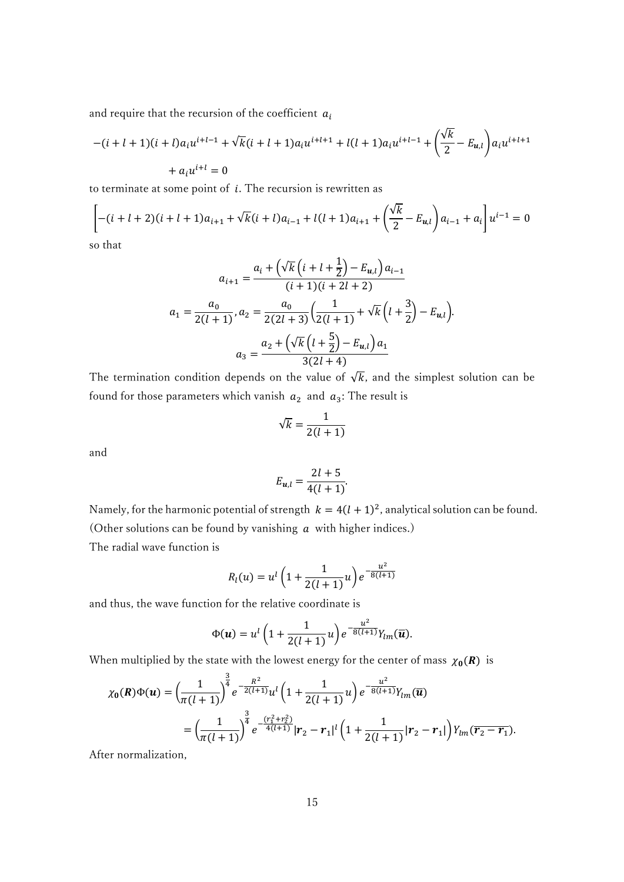and require that the recursion of the coefficient  $a_i$ 

$$
-(i + l + 1)(i + l)a_i u^{i+l-1} + \sqrt{k}(i + l + 1)a_i u^{i+l+1} + l(l + 1)a_i u^{i+l-1} + \left(\frac{\sqrt{k}}{2} - E_{u,l}\right) a_i u^{i+l+1} + a_i u^{i+l} = 0
$$

to terminate at some point of  $i$ . The recursion is rewritten as

$$
\left[ -(i + l + 2)(i + l + 1)a_{i+1} + \sqrt{k}(i + l)a_{i-1} + l(l + 1)a_{i+1} + \left(\frac{\sqrt{k}}{2} - E_{u,l}\right)a_{i-1} + a_i \right]u^{i-1} = 0
$$

so that

$$
a_{i+1} = \frac{a_i + (\sqrt{k} (i + l + \frac{1}{2}) - E_{u,l}) a_{i-1}}{(i + 1)(i + 2l + 2)}
$$

$$
a_1 = \frac{a_0}{2(l+1)}, a_2 = \frac{a_0}{2(2l+3)} \left(\frac{1}{2(l+1)} + \sqrt{k} (l + \frac{3}{2}) - E_{u,l}\right).
$$

$$
a_3 = \frac{a_2 + (\sqrt{k} (l + \frac{5}{2}) - E_{u,l}) a_1}{3(2l+4)}
$$

The termination condition depends on the value of  $\sqrt{k}$ , and the simplest solution can be found for those parameters which vanish  $a_2$  and  $a_3$ : The result is

$$
\sqrt{k} = \frac{1}{2(l+1)}
$$

and

$$
E_{u,l} = \frac{2l+5}{4(l+1)}.
$$

Namely, for the harmonic potential of strength  $k = 4(l + 1)^2$ , analytical solution can be found. (Other solutions can be found by vanishing  $a$  with higher indices.)

The radial wave function is

$$
R_l(u) = u^l \left( 1 + \frac{1}{2(l+1)} u \right) e^{-\frac{u^2}{8(l+1)}}
$$

and thus, the wave function for the relative coordinate is

$$
\Phi(\boldsymbol{u}) = u^l \left( 1 + \frac{1}{2(l+1)} u \right) e^{-\frac{u^2}{8(l+1)}} Y_{lm}(\overline{\boldsymbol{u}}).
$$

When multiplied by the state with the lowest energy for the center of mass  $\chi_0(R)$  is

$$
\chi_0(\mathbf{R})\Phi(\mathbf{u}) = \left(\frac{1}{\pi(l+1)}\right)^{\frac{3}{4}} e^{-\frac{R^2}{2(l+1)}} u^l \left(1 + \frac{1}{2(l+1)} u\right) e^{-\frac{u^2}{8(l+1)}} Y_{lm}(\overline{\mathbf{u}})
$$
  
=  $\left(\frac{1}{\pi(l+1)}\right)^{\frac{3}{4}} e^{-\frac{(r_1^2 + r_2^2)}{4(l+1)}} |r_2 - r_1|^l \left(1 + \frac{1}{2(l+1)}|r_2 - r_1|\right) Y_{lm}(\overline{r_2 - r_1}).$ 

After normalization,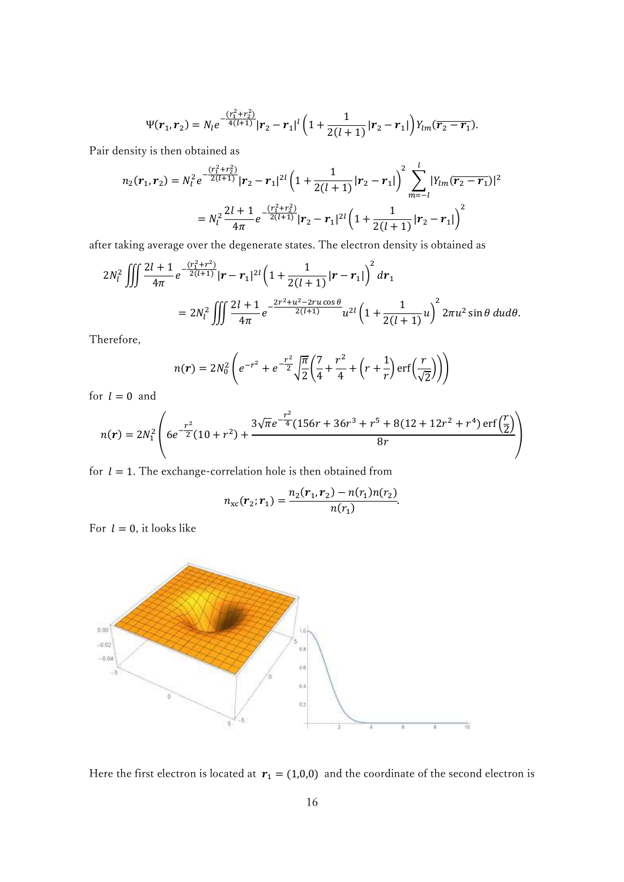$$
\Psi(\boldsymbol{r}_1,\boldsymbol{r}_2)=N_l e^{-\frac{(r_1^2+r_2^2)}{4(l+1)}} |\boldsymbol{r}_2-\boldsymbol{r}_1|^l \left(1+\frac{1}{2(l+1)}|\boldsymbol{r}_2-\boldsymbol{r}_1|\right) Y_{lm}(\overline{\boldsymbol{r}_2-\boldsymbol{r}_1}).
$$

Pair density is then obtained as

$$
n_2(r_1, r_2) = N_l^2 e^{-\frac{(r_1^2 + r_2^2)}{2(l+1)}} |r_2 - r_1|^{2l} \left(1 + \frac{1}{2(l+1)} |r_2 - r_1|\right)^2 \sum_{m=-l}^l |Y_{lm}(\overline{r_2 - r_1})|^2
$$
  
= 
$$
N_l^2 \frac{2l+1}{4\pi} e^{-\frac{(r_1^2 + r_2^2)}{2(l+1)}} |r_2 - r_1|^{2l} \left(1 + \frac{1}{2(l+1)} |r_2 - r_1|\right)^2
$$

after taking average over the degenerate states. The electron density is obtained as

$$
2N_l^2 \iiint \frac{2l+1}{4\pi} e^{-\frac{(r_1^2+r^2)}{2(l+1)}} |r-r_1|^{2l} \left(1+\frac{1}{2(l+1)}|r-r_1|\right)^2 dr_1
$$
  
= 
$$
2N_l^2 \iiint \frac{2l+1}{4\pi} e^{-\frac{2r^2+u^2-2ru\cos\theta}{2(l+1)}} u^{2l} \left(1+\frac{1}{2(l+1)}u\right)^2 2\pi u^2 \sin\theta \, du d\theta.
$$

Therefore,

$$
n(r) = 2N_0^2 \left( e^{-r^2} + e^{-\frac{r^2}{2}} \sqrt{\frac{\pi}{2}} \left( \frac{7}{4} + \frac{r^2}{4} + \left( r + \frac{1}{r} \right) \text{erf} \left( \frac{r}{\sqrt{2}} \right) \right) \right)
$$

for  $l = 0$  and

$$
n(r) = 2N_1^2 \left( 6e^{-\frac{r^2}{2}}(10+r^2) + \frac{3\sqrt{\pi}e^{-\frac{r^2}{4}}(156r+36r^3+r^5+8(12+12r^2+r^4)\,\text{erf}\left(\frac{r}{2}\right)}{8r} \right)
$$

for  $l = 1$ . The exchange-correlation hole is then obtained from

$$
n_{\rm xc}(\boldsymbol{r}_2;\boldsymbol{r}_1)=\frac{n_2(\boldsymbol{r}_1,\boldsymbol{r}_2)-n(r_1)n(r_2)}{n(r_1)}.
$$

For  $l = 0$ , it looks like



Here the first electron is located at  $r_1 = (1,0,0)$  and the coordinate of the second electron is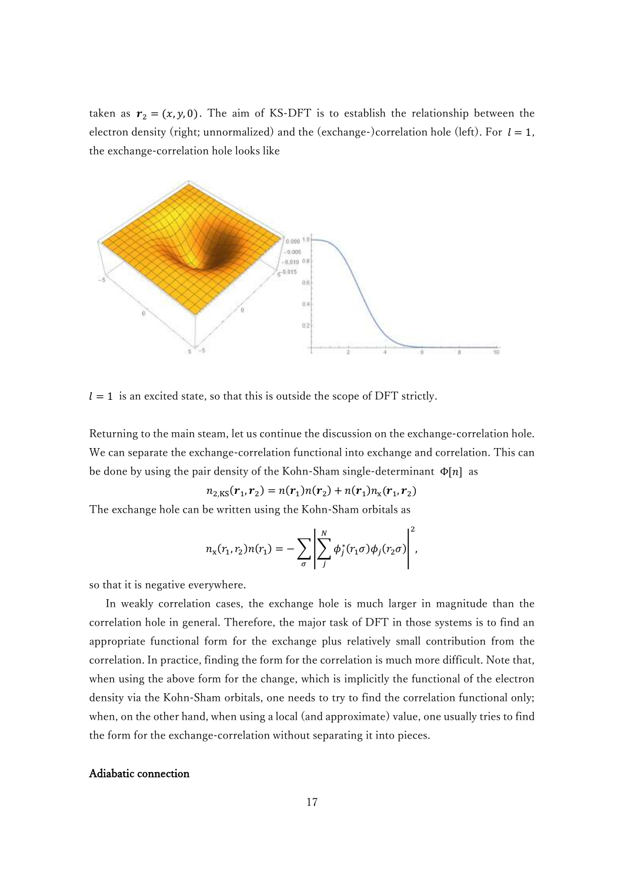taken as  $r_2 = (x, y, 0)$ . The aim of KS-DFT is to establish the relationship between the electron density (right; unnormalized) and the (exchange-)correlation hole (left). For  $l = 1$ , the exchange-correlation hole looks like



 $l = 1$  is an excited state, so that this is outside the scope of DFT strictly.

Returning to the main steam, let us continue the discussion on the exchange-correlation hole. We can separate the exchange-correlation functional into exchange and correlation. This can be done by using the pair density of the Kohn-Sham single-determinant  $\Phi[n]$  as

$$
n_{2,\text{KS}}(\mathbf{r}_1,\mathbf{r}_2)=n(\mathbf{r}_1)n(\mathbf{r}_2)+n(\mathbf{r}_1)n_{\text{X}}(\mathbf{r}_1,\mathbf{r}_2)
$$

The exchange hole can be written using the Kohn-Sham orbitals as

$$
n_{\mathbf{x}}(r_1,r_2)n(r_1)=-\sum_{\sigma}\left|\sum_{j}^{N}\phi_j^*(r_1\sigma)\phi_j(r_2\sigma)\right|^2,
$$

so that it is negative everywhere.

In weakly correlation cases, the exchange hole is much larger in magnitude than the correlation hole in general. Therefore, the major task of DFT in those systems is to find an appropriate functional form for the exchange plus relatively small contribution from the correlation. In practice, finding the form for the correlation is much more difficult. Note that, when using the above form for the change, which is implicitly the functional of the electron density via the Kohn-Sham orbitals, one needs to try to find the correlation functional only; when, on the other hand, when using a local (and approximate) value, one usually tries to find the form for the exchange-correlation without separating it into pieces.

#### Adiabatic connection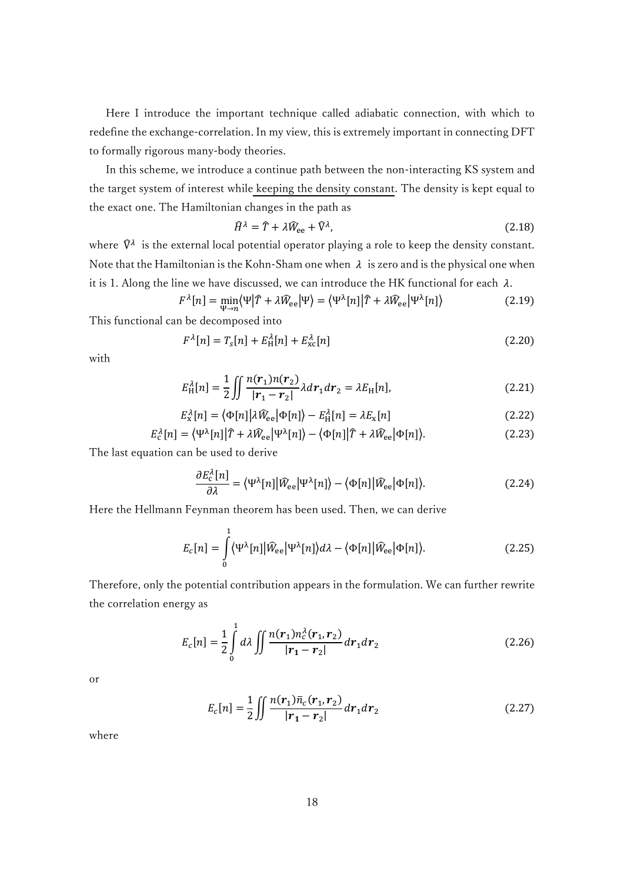Here I introduce the important technique called adiabatic connection, with which to redefine the exchange-correlation. In my view, this is extremely important in connecting DFT to formally rigorous many-body theories.

 In this scheme, we introduce a continue path between the non-interacting KS system and the target system of interest while keeping the density constant. The density is kept equal to the exact one. The Hamiltonian changes in the path as

$$
\widehat{H}^{\lambda} = \widehat{T} + \lambda \widehat{W}_{ee} + \widehat{V}^{\lambda},\tag{2.18}
$$

where  $\widehat{V}^{\lambda}$  is the external local potential operator playing a role to keep the density constant. Note that the Hamiltonian is the Kohn-Sham one when  $\lambda$  is zero and is the physical one when it is 1. Along the line we have discussed, we can introduce the HK functional for each  $\lambda$ .

$$
F^{\lambda}[n] = \min_{\Psi \to n} \langle \Psi | \hat{T} + \lambda \hat{W}_{ee} | \Psi \rangle = \langle \Psi^{\lambda}[n] | \hat{T} + \lambda \hat{W}_{ee} | \Psi^{\lambda}[n] \rangle \tag{2.19}
$$

This functional can be decomposed into

$$
F^{\lambda}[n] = T_s[n] + E^{\lambda}_{\text{H}}[n] + E^{\lambda}_{\text{xc}}[n] \tag{2.20}
$$

with

$$
E_{\rm H}^{\lambda}[n] = \frac{1}{2} \iint \frac{n(r_1)n(r_2)}{|r_1 - r_2|} \lambda dr_1 dr_2 = \lambda E_{\rm H}[n],\tag{2.21}
$$

$$
E_{\rm x}^{\lambda}[n] = \langle \Phi[n] | \lambda \hat{W}_{\rm ee} | \Phi[n] \rangle - E_{\rm H}^{\lambda}[n] = \lambda E_{\rm x}[n] \tag{2.22}
$$

$$
E_{\rm c}^{\lambda}[n] = \langle \Psi^{\lambda}[n] | \hat{T} + \lambda \hat{W}_{\rm ee} | \Psi^{\lambda}[n] \rangle - \langle \Phi[n] | \hat{T} + \lambda \hat{W}_{\rm ee} | \Phi[n] \rangle. \tag{2.23}
$$

The last equation can be used to derive

$$
\frac{\partial E_{\rm c}^{\lambda}[n]}{\partial \lambda} = \langle \Psi^{\lambda}[n] | \widehat{W}_{\rm ee} | \Psi^{\lambda}[n] \rangle - \langle \Phi[n] | \widehat{W}_{\rm ee} | \Phi[n] \rangle. \tag{2.24}
$$

Here the Hellmann Feynman theorem has been used. Then, we can derive

$$
E_c[n] = \int_0^1 \langle \Psi^\lambda[n] | \hat{W}_{ee} | \Psi^\lambda[n] \rangle d\lambda - \langle \Phi[n] | \hat{W}_{ee} | \Phi[n] \rangle.
$$
 (2.25)

Therefore, only the potential contribution appears in the formulation. We can further rewrite the correlation energy as

$$
E_c[n] = \frac{1}{2} \int_0^1 d\lambda \iint \frac{n(r_1) n_c^{\lambda}(r_1, r_2)}{|r_1 - r_2|} dr_1 dr_2
$$
 (2.26)

or

$$
E_c[n] = \frac{1}{2} \iint \frac{n(r_1)\bar{n}_c(r_1, r_2)}{|r_1 - r_2|} dr_1 dr_2
$$
 (2.27)

where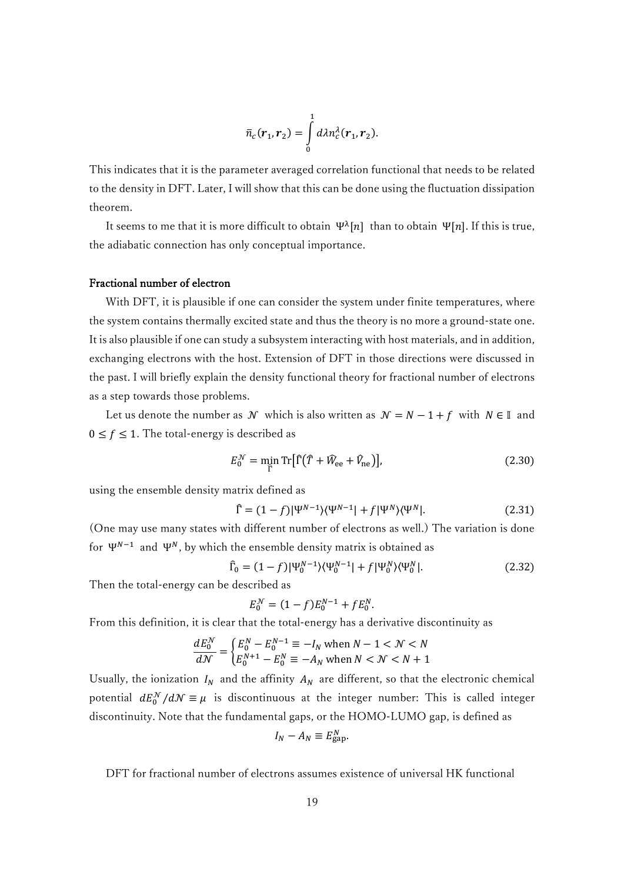$$
\bar{n}_c(\boldsymbol{r}_1,\boldsymbol{r}_2)=\int\limits_0^1 d\lambda n_c^{\lambda}(\boldsymbol{r}_1,\boldsymbol{r}_2).
$$

This indicates that it is the parameter averaged correlation functional that needs to be related to the density in DFT. Later, I will show that this can be done using the fluctuation dissipation theorem.

It seems to me that it is more difficult to obtain  $\Psi^{\lambda}[n]$  than to obtain  $\Psi[n]$ . If this is true, the adiabatic connection has only conceptual importance.

# Fractional number of electron

 With DFT, it is plausible if one can consider the system under finite temperatures, where the system contains thermally excited state and thus the theory is no more a ground-state one. It is also plausible if one can study a subsystem interacting with host materials, and in addition, exchanging electrons with the host. Extension of DFT in those directions were discussed in the past. I will briefly explain the density functional theory for fractional number of electrons as a step towards those problems.

Let us denote the number as N which is also written as  $N = N - 1 + f$  with  $N \in \mathbb{I}$  and  $0 \le f \le 1$ . The total-energy is described as

$$
E_0^{\mathcal{N}} = \min_{\widehat{\Gamma}} \text{Tr}[\widehat{\Gamma}(\widehat{T} + \widehat{W}_{\text{ee}} + \widehat{V}_{\text{ne}})],\tag{2.30}
$$

using the ensemble density matrix defined as

$$
\hat{\Gamma} = (1 - f)|\Psi^{N-1}\rangle\langle\Psi^{N-1}| + f|\Psi^N\rangle\langle\Psi^N|.
$$
\n(2.31)

(One may use many states with different number of electrons as well.) The variation is done for  $\Psi^{N-1}$  and  $\Psi^N$ , by which the ensemble density matrix is obtained as

$$
\hat{\Gamma}_0 = (1 - f)|\Psi_0^{N-1}\rangle\langle\Psi_0^{N-1}| + f|\Psi_0^N\rangle\langle\Psi_0^N|.\tag{2.32}
$$

Then the total-energy can be described as

$$
E_0^N = (1 - f)E_0^{N-1} + fE_0^N.
$$

From this definition, it is clear that the total-energy has a derivative discontinuity as

$$
\frac{dE_0^N}{dN} = \begin{cases} E_0^N - E_0^{N-1} \equiv -I_N \text{ when } N-1 < N < N\\ E_0^{N+1} - E_0^N \equiv -A_N \text{ when } N < N < N+1 \end{cases}
$$

Usually, the ionization  $I_N$  and the affinity  $A_N$  are different, so that the electronic chemical potential  $dE_0^{\mathcal{N}}/d\mathcal{N} \equiv \mu$  is discontinuous at the integer number: This is called integer discontinuity. Note that the fundamental gaps, or the HOMO-LUMO gap, is defined as

$$
I_N - A_N \equiv E_{\text{gap}}^N.
$$

DFT for fractional number of electrons assumes existence of universal HK functional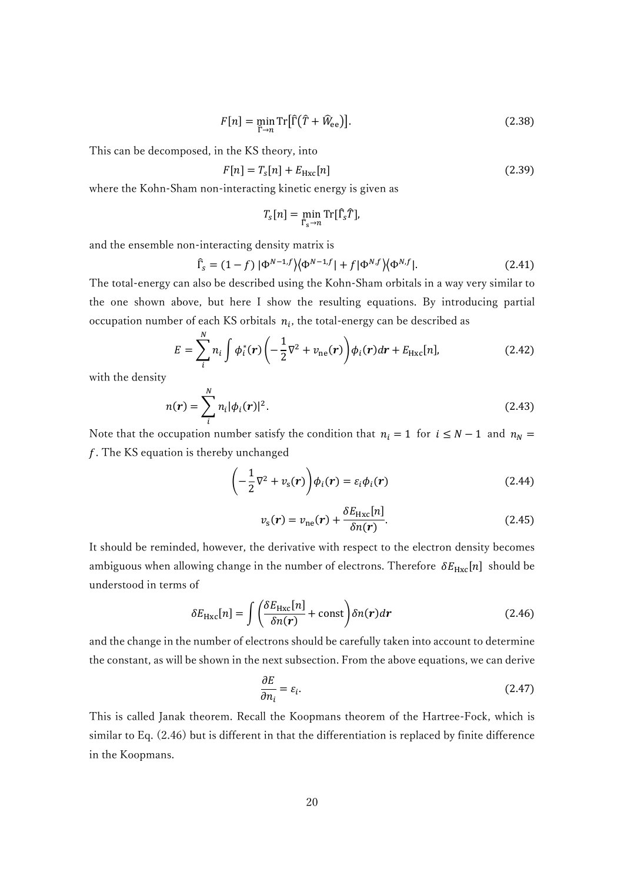$$
F[n] = \min_{\widehat{\Gamma} \to n} \text{Tr}[\widehat{\Gamma}(\widehat{T} + \widehat{W}_{\text{ee}})]. \tag{2.38}
$$

This can be decomposed, in the KS theory, into

$$
F[n] = T_s[n] + E_{Hxc}[n] \tag{2.39}
$$

where the Kohn-Sham non-interacting kinetic energy is given as

$$
T_{\rm s}[n] = \min_{\widehat{\Gamma}_{\rm s}\to n} \rm{Tr}[\widehat{\Gamma}_{\rm s}\widehat{T}],
$$

and the ensemble non-interacting density matrix is

$$
\hat{\Gamma}_s = (1 - f) \left| \Phi^{N-1,f} \right| \left\langle \Phi^{N-1,f} \right| + f \left| \Phi^{N,f} \right\rangle \left\langle \Phi^{N,f} \right|.
$$
\n(2.41)

The total-energy can also be described using the Kohn-Sham orbitals in a way very similar to the one shown above, but here I show the resulting equations. By introducing partial occupation number of each KS orbitals  $n_i$ , the total-energy can be described as

$$
E = \sum_{i}^{N} n_i \int \phi_i^*(r) \left( -\frac{1}{2} \nabla^2 + v_{\text{ne}}(r) \right) \phi_i(r) dr + E_{\text{Hxc}}[n], \tag{2.42}
$$

with the density

$$
n(r) = \sum_{i}^{N} n_i |\phi_i(r)|^2.
$$
 (2.43)

Note that the occupation number satisfy the condition that  $n_i = 1$  for  $i \le N - 1$  and  $n_N =$  $f$ . The KS equation is thereby unchanged

$$
\left(-\frac{1}{2}\nabla^2 + v_s(\mathbf{r})\right)\phi_i(\mathbf{r}) = \varepsilon_i\phi_i(\mathbf{r})
$$
\n(2.44)

$$
v_{\rm s}(\boldsymbol{r}) = v_{\rm ne}(\boldsymbol{r}) + \frac{\delta E_{\rm Hxc}[n]}{\delta n(\boldsymbol{r})}.
$$
 (2.45)

It should be reminded, however, the derivative with respect to the electron density becomes ambiguous when allowing change in the number of electrons. Therefore  $\delta E_{\text{Hxc}}[n]$  should be understood in terms of

$$
\delta E_{\text{Hxc}}[n] = \int \left( \frac{\delta E_{\text{Hxc}}[n]}{\delta n(\mathbf{r})} + \text{const} \right) \delta n(\mathbf{r}) d\mathbf{r}
$$
 (2.46)

and the change in the number of electrons should be carefully taken into account to determine the constant, as will be shown in the next subsection. From the above equations, we can derive

$$
\frac{\partial E}{\partial n_i} = \varepsilon_i. \tag{2.47}
$$

This is called Janak theorem. Recall the Koopmans theorem of the Hartree-Fock, which is similar to Eq. (2.46) but is different in that the differentiation is replaced by finite difference in the Koopmans.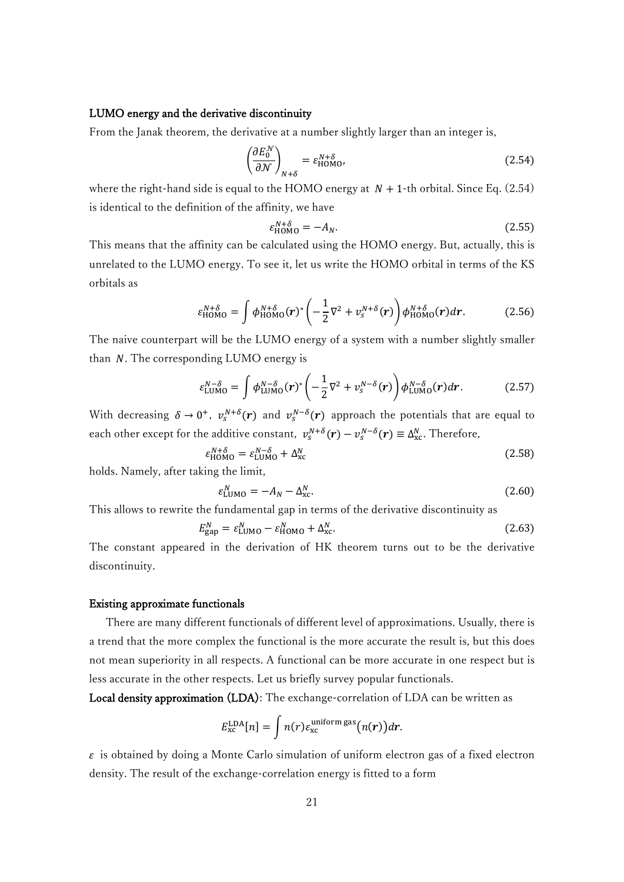#### LUMO energy and the derivative discontinuity

From the Janak theorem, the derivative at a number slightly larger than an integer is,

$$
\left(\frac{\partial E_0^{\mathcal{N}}}{\partial \mathcal{N}}\right)_{N+\delta} = \varepsilon_{\text{HOMO}}^{N+\delta},\tag{2.54}
$$

where the right-hand side is equal to the HOMO energy at  $N + 1$ -th orbital. Since Eq. (2.54) is identical to the definition of the affinity, we have

$$
\varepsilon_{\text{HOMO}}^{N+\delta} = -A_N. \tag{2.55}
$$

This means that the affinity can be calculated using the HOMO energy. But, actually, this is unrelated to the LUMO energy. To see it, let us write the HOMO orbital in terms of the KS orbitals as

$$
\varepsilon_{\text{HOMO}}^{N+\delta} = \int \phi_{\text{HOMO}}^{N+\delta}(\mathbf{r})^* \left( -\frac{1}{2} \nabla^2 + v_s^{N+\delta}(\mathbf{r}) \right) \phi_{\text{HOMO}}^{N+\delta}(\mathbf{r}) d\mathbf{r}.
$$
 (2.56)

The naive counterpart will be the LUMO energy of a system with a number slightly smaller than  $N$ . The corresponding LUMO energy is

$$
\varepsilon_{\text{LUMO}}^{N-\delta} = \int \phi_{\text{LUMO}}^{N-\delta}(r)^* \left( -\frac{1}{2} \nabla^2 + v_s^{N-\delta}(r) \right) \phi_{\text{LUMO}}^{N-\delta}(r) dr. \tag{2.57}
$$

With decreasing  $\delta \to 0^+, v_s^{N+\delta}(r)$  and  $v_s^{N-\delta}(r)$  approach the potentials that are equal to each other except for the additive constant,  $v_s^{N+\delta}(\mathbf{r}) - v_s^{N-\delta}(\mathbf{r}) \equiv \Delta_{\text{xc}}^N$ . Therefore,

$$
{}_{\text{HOMO}}^{N+\delta} = \varepsilon_{\text{LUMO}}^{N-\delta} + \Delta_{\text{xc}}^{N} \tag{2.58}
$$

holds. Namely, after taking the limit,

 $\varepsilon$ 

$$
\varepsilon_{\text{LUMO}}^N = -A_N - \Delta_{\text{xc}}^N. \tag{2.60}
$$

This allows to rewrite the fundamental gap in terms of the derivative discontinuity as

$$
E_{\rm gap}^N = \varepsilon_{\rm LUMO}^N - \varepsilon_{\rm HOMO}^N + \Delta_{\rm xc}^N.
$$

The constant appeared in the derivation of HK theorem turns out to be the derivative discontinuity.

#### Existing approximate functionals

 There are many different functionals of different level of approximations. Usually, there is a trend that the more complex the functional is the more accurate the result is, but this does not mean superiority in all respects. A functional can be more accurate in one respect but is less accurate in the other respects. Let us briefly survey popular functionals.

Local density approximation (LDA): The exchange-correlation of LDA can be written as

$$
E_{\rm xc}^{\rm LDA}[n] = \int n(r) \varepsilon_{\rm xc}^{\rm uniform\,gas}(n(\boldsymbol{r})) dr.
$$

 $\varepsilon$  is obtained by doing a Monte Carlo simulation of uniform electron gas of a fixed electron density. The result of the exchange-correlation energy is fitted to a form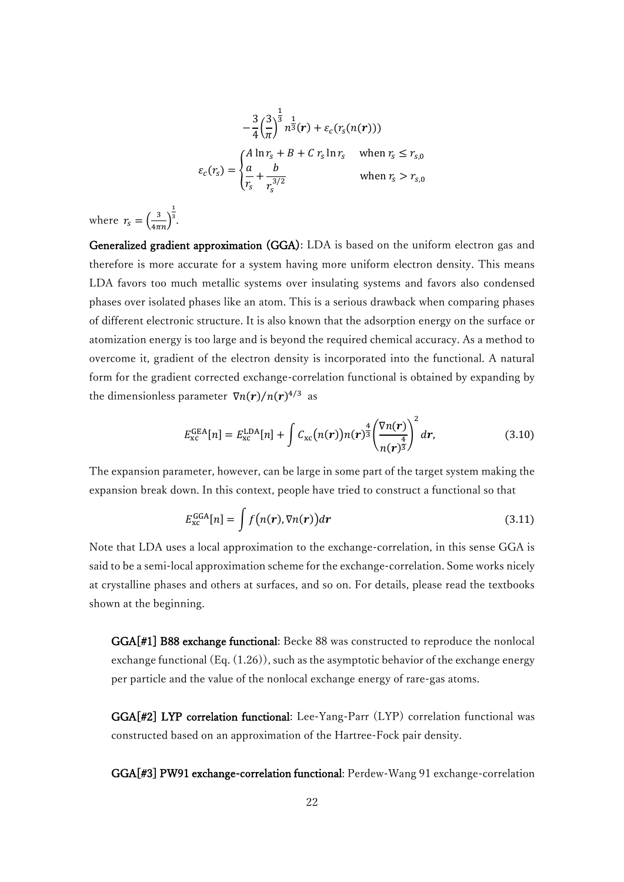$$
-\frac{3}{4}\left(\frac{3}{\pi}\right)^{\frac{1}{3}}n^{\frac{1}{3}}(r) + \varepsilon_c(r_s(n(r)))
$$

$$
\varepsilon_c(r_s) = \begin{cases} A \ln r_s + B + C \, r_s \ln r_s & \text{when } r_s \le r_{s,0} \\ \frac{a}{r_s} + \frac{b}{r_s^{3/2}} & \text{when } r_s > r_{s,0} \end{cases}
$$

where  $r_s = \left(\frac{3}{4\pi n}\right)$ 1 3 .

Generalized gradient approximation (GGA): LDA is based on the uniform electron gas and therefore is more accurate for a system having more uniform electron density. This means LDA favors too much metallic systems over insulating systems and favors also condensed phases over isolated phases like an atom. This is a serious drawback when comparing phases of different electronic structure. It is also known that the adsorption energy on the surface or atomization energy is too large and is beyond the required chemical accuracy. As a method to overcome it, gradient of the electron density is incorporated into the functional. A natural form for the gradient corrected exchange-correlation functional is obtained by expanding by the dimensionless parameter  $\nabla n(r)/n(r)^{4/3}$  as

$$
E_{\rm xc}^{\rm GEA}[n] = E_{\rm xc}^{\rm LDA}[n] + \int C_{\rm xc}(n(r))n(r)^{\frac{4}{3}} \left(\frac{\nabla n(r)}{n(r)^{\frac{4}{3}}}\right)^2 dr,\tag{3.10}
$$

The expansion parameter, however, can be large in some part of the target system making the expansion break down. In this context, people have tried to construct a functional so that

$$
E_{\rm xc}^{\rm GGA}[n] = \int f\big(n(\mathbf{r}), \nabla n(\mathbf{r})\big) d\mathbf{r}
$$
 (3.11)

Note that LDA uses a local approximation to the exchange-correlation, in this sense GGA is said to be a semi-local approximation scheme for the exchange-correlation. Some works nicely at crystalline phases and others at surfaces, and so on. For details, please read the textbooks shown at the beginning.

GGA[#1] B88 exchange functional: Becke 88 was constructed to reproduce the nonlocal exchange functional (Eq. (1.26)), such as the asymptotic behavior of the exchange energy per particle and the value of the nonlocal exchange energy of rare-gas atoms.

GGA[#2] LYP correlation functional: Lee-Yang-Parr (LYP) correlation functional was constructed based on an approximation of the Hartree-Fock pair density.

GGA[#3] PW91 exchange-correlation functional: Perdew-Wang 91 exchange-correlation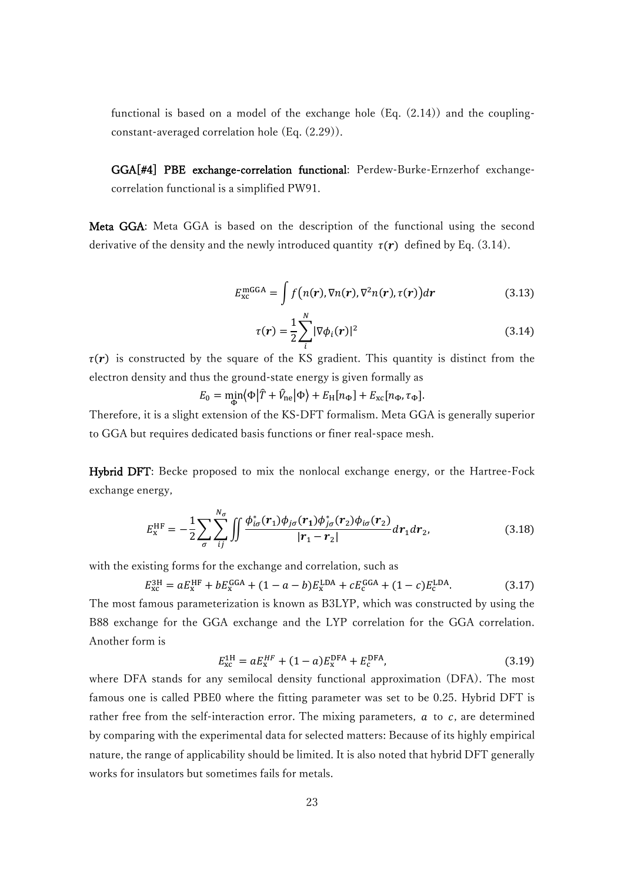functional is based on a model of the exchange hole (Eq. (2.14)) and the couplingconstant-averaged correlation hole (Eq. (2.29)).

GGA[#4] PBE exchange-correlation functional: Perdew-Burke-Ernzerhof exchangecorrelation functional is a simplified PW91.

Meta GGA: Meta GGA is based on the description of the functional using the second derivative of the density and the newly introduced quantity  $\tau(\mathbf{r})$  defined by Eq. (3.14).

$$
E_{\text{xc}}^{\text{mGGA}} = \int f\big(n(\mathbf{r}), \nabla n(\mathbf{r}), \nabla^2 n(\mathbf{r}), \tau(\mathbf{r})\big) d\mathbf{r}
$$
 (3.13)

$$
\tau(r) = \frac{1}{2} \sum_{i}^{N} |\nabla \phi_i(r)|^2
$$
\n(3.14)

 $\tau(r)$  is constructed by the square of the KS gradient. This quantity is distinct from the electron density and thus the ground-state energy is given formally as

 $E_0 = \min_{\Phi} \langle \Phi | \hat{T} + \hat{V}_{\text{ne}} | \Phi \rangle + E_{\text{H}}[n_{\Phi}] + E_{\text{xc}}[n_{\Phi}, \tau_{\Phi}].$ 

Therefore, it is a slight extension of the KS-DFT formalism. Meta GGA is generally superior to GGA but requires dedicated basis functions or finer real-space mesh.

Hybrid DFT: Becke proposed to mix the nonlocal exchange energy, or the Hartree-Fock exchange energy,

$$
E_{\rm x}^{\rm HF} = -\frac{1}{2} \sum_{\sigma} \sum_{ij}^{N_{\sigma}} \iint \frac{\phi_{i\sigma}^*(r_1)\phi_{j\sigma}(r_1)\phi_{j\sigma}^*(r_2)\phi_{i\sigma}(r_2)}{|r_1 - r_2|} dr_1 dr_2, \tag{3.18}
$$

with the existing forms for the exchange and correlation, such as

$$
E_{\rm xc}^{\rm 3H} = aE_{\rm x}^{\rm HF} + bE_{\rm x}^{\rm GGA} + (1 - a - b)E_{\rm x}^{\rm LDA} + cE_{\rm c}^{\rm GGA} + (1 - c)E_{\rm c}^{\rm LDA}.\tag{3.17}
$$

The most famous parameterization is known as B3LYP, which was constructed by using the B88 exchange for the GGA exchange and the LYP correlation for the GGA correlation. Another form is

$$
E_{\rm xc}^{\rm 1H} = aE_{\rm x}^{\rm HF} + (1 - a)E_{\rm x}^{\rm DFA} + E_{\rm c}^{\rm DFA},\tag{3.19}
$$

where DFA stands for any semilocal density functional approximation (DFA). The most famous one is called PBE0 where the fitting parameter was set to be 0.25. Hybrid DFT is rather free from the self-interaction error. The mixing parameters,  $a$  to  $c$ , are determined by comparing with the experimental data for selected matters: Because of its highly empirical nature, the range of applicability should be limited. It is also noted that hybrid DFT generally works for insulators but sometimes fails for metals.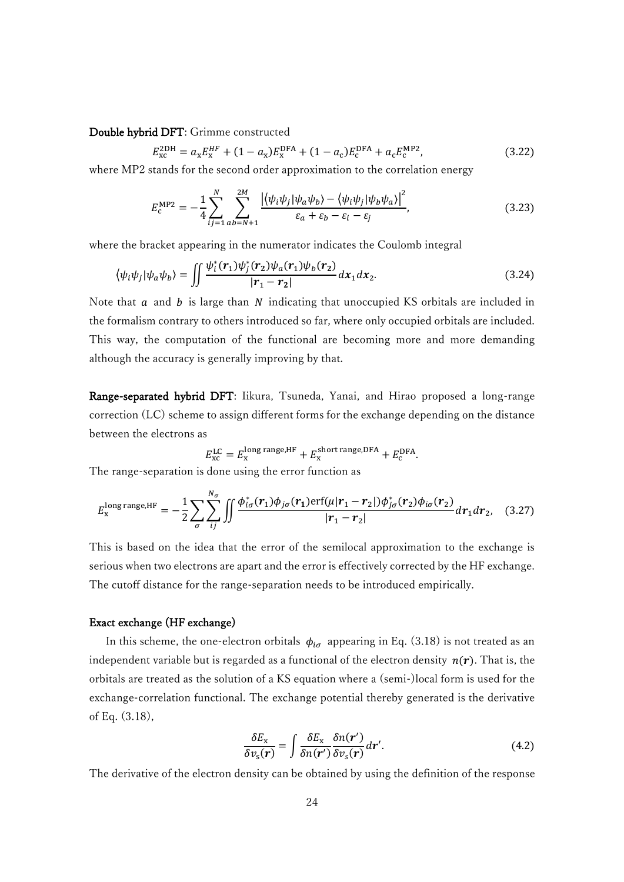## Double hybrid DFT: Grimme constructed

$$
E_{\rm xc}^{\rm 2DH} = a_{\rm x} E_{\rm x}^{\rm HF} + (1 - a_{\rm x}) E_{\rm x}^{\rm DFA} + (1 - a_{\rm c}) E_{\rm c}^{\rm DFA} + a_{\rm c} E_{\rm c}^{\rm MP2},\tag{3.22}
$$

where MP2 stands for the second order approximation to the correlation energy

$$
E_c^{\rm MP2} = -\frac{1}{4} \sum_{ij=1}^{N} \sum_{ab=N+1}^{2M} \frac{\left| \langle \psi_i \psi_j | \psi_a \psi_b \rangle - \langle \psi_i \psi_j | \psi_b \psi_a \rangle \right|^2}{\varepsilon_a + \varepsilon_b - \varepsilon_i - \varepsilon_j},\tag{3.23}
$$

where the bracket appearing in the numerator indicates the Coulomb integral

$$
\langle \psi_i \psi_j | \psi_a \psi_b \rangle = \iint \frac{\psi_i^*(r_1) \psi_j^*(r_2) \psi_a(r_1) \psi_b(r_2)}{|r_1 - r_2|} dx_1 dx_2.
$$
 (3.24)

Note that  $a$  and  $b$  is large than  $N$  indicating that unoccupied KS orbitals are included in the formalism contrary to others introduced so far, where only occupied orbitals are included. This way, the computation of the functional are becoming more and more demanding although the accuracy is generally improving by that.

Range-separated hybrid DFT: Iikura, Tsuneda, Yanai, and Hirao proposed a long-range correction (LC) scheme to assign different forms for the exchange depending on the distance between the electrons as

$$
E_{\rm xc}^{\rm LC}=E_{\rm x}^{\rm long\ range, HF}+E_{\rm x}^{\rm short\ range, DFA}+E_{\rm c}^{\rm DFA}.
$$

The range-separation is done using the error function as

$$
E_{\rm x}^{\rm long\,range,HF} = -\frac{1}{2} \sum_{\sigma} \sum_{ij}^{N_{\sigma}} \iint \frac{\phi_{i\sigma}^*(r_1)\phi_{j\sigma}(r_1) \mathrm{erf}(\mu | r_1 - r_2|) \phi_{j\sigma}^*(r_2) \phi_{i\sigma}(r_2)}{|r_1 - r_2|} dr_1 dr_2, \quad (3.27)
$$

This is based on the idea that the error of the semilocal approximation to the exchange is serious when two electrons are apart and the error is effectively corrected by the HF exchange. The cutoff distance for the range-separation needs to be introduced empirically.

#### Exact exchange (HF exchange)

In this scheme, the one-electron orbitals  $\phi_{i\sigma}$  appearing in Eq. (3.18) is not treated as an independent variable but is regarded as a functional of the electron density  $n(r)$ . That is, the orbitals are treated as the solution of a KS equation where a (semi-)local form is used for the exchange-correlation functional. The exchange potential thereby generated is the derivative of Eq. (3.18),

$$
\frac{\delta E_{\rm x}}{\delta v_{\rm s}(\mathbf{r})} = \int \frac{\delta E_{\rm x}}{\delta n(\mathbf{r}')}\frac{\delta n(\mathbf{r}')}{\delta v_{\rm s}(\mathbf{r})}d\mathbf{r}'.\tag{4.2}
$$

The derivative of the electron density can be obtained by using the definition of the response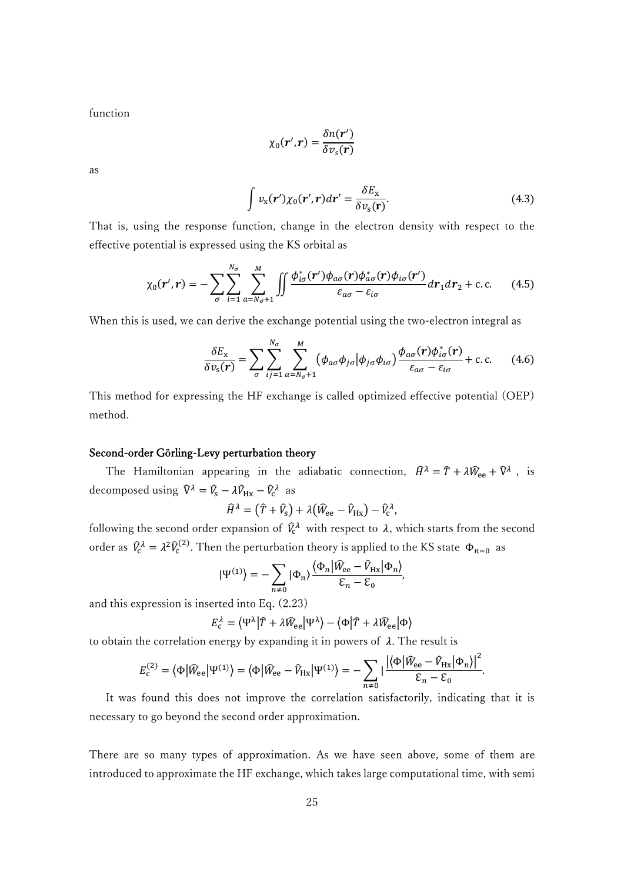function

$$
\chi_0(\mathbf{r}',\mathbf{r})=\frac{\delta n(\mathbf{r}')}{\delta v_s(\mathbf{r})}
$$

as

$$
\int v_{\rm x}(\mathbf{r}') \chi_0(\mathbf{r}', \mathbf{r}) d\mathbf{r}' = \frac{\delta E_{\rm x}}{\delta v_{\rm s}(\mathbf{r})}.
$$
\n(4.3)

That is, using the response function, change in the electron density with respect to the effective potential is expressed using the KS orbital as

$$
\chi_0(\mathbf{r}',\mathbf{r}) = -\sum_{\sigma} \sum_{i=1}^{N_{\sigma}} \sum_{a=N_{\sigma}+1}^{M} \iint \frac{\phi_{i\sigma}^*(\mathbf{r}')\phi_{a\sigma}(\mathbf{r})\phi_{a\sigma}^*(\mathbf{r})\phi_{i\sigma}(\mathbf{r}')}{\varepsilon_{a\sigma} - \varepsilon_{i\sigma}} d\mathbf{r}_1 d\mathbf{r}_2 + \text{c.c.}
$$
 (4.5)

When this is used, we can derive the exchange potential using the two-electron integral as

$$
\frac{\delta E_{\mathbf{x}}}{\delta v_{\mathbf{s}}(\mathbf{r})} = \sum_{\sigma} \sum_{ij=1}^{N_{\sigma}} \sum_{a=N_{\sigma}+1}^{M} \left( \phi_{a\sigma} \phi_{j\sigma} | \phi_{j\sigma} \phi_{i\sigma} \right) \frac{\phi_{a\sigma}(\mathbf{r}) \phi_{i\sigma}^{*}(\mathbf{r})}{\varepsilon_{a\sigma} - \varepsilon_{i\sigma}} + \text{c.c.} \tag{4.6}
$$

This method for expressing the HF exchange is called optimized effective potential (OEP) method.

# Second-order Görling-Levy perturbation theory

The Hamiltonian appearing in the adiabatic connection,  $\hat{H}^{\lambda} = \hat{T} + \lambda \hat{W}_{ee} + \hat{V}^{\lambda}$ , is decomposed using  $\hat{V}^{\lambda} = \hat{V}_{s} - \lambda \hat{V}_{Hx} - \hat{V}_{c}^{\lambda}$  as

$$
\widehat{H}^{\lambda} = (\widehat{T} + \widehat{V}_{\rm S}) + \lambda (\widehat{W}_{\rm ee} - \widehat{V}_{\rm Hx}) - \widehat{V}_{\rm c}^{\lambda},
$$

following the second order expansion of  $\hat{V}_c^{\lambda}$  with respect to  $\lambda$ , which starts from the second order as  $\hat{V}_c^{\lambda} = \lambda^2 \hat{V}_c$ <sup>(2)</sup>. Then the perturbation theory is applied to the KS state  $\Phi_{n=0}$  as

$$
|\Psi^{(1)}\rangle = -\sum_{n\neq 0} |\Phi_n\rangle \frac{\langle \Phi_n | \widehat{W}_{ee} - \widehat{V}_{Hx} | \Phi_n \rangle}{\mathcal{E}_n - \mathcal{E}_0},
$$

and this expression is inserted into Eq. (2.23)

$$
E_{\rm c}^{\lambda} = \langle \Psi^{\lambda} | \hat{T} + \lambda \hat{W}_{\rm ee} | \Psi^{\lambda} \rangle - \langle \Phi | \hat{T} + \lambda \hat{W}_{\rm ee} | \Phi \rangle
$$

to obtain the correlation energy by expanding it in powers of  $\lambda$ . The result is

$$
E_{\rm c}^{(2)} = \langle \Phi | \widehat{W}_{\rm ee} | \Psi^{(1)} \rangle = \langle \Phi | \widehat{W}_{\rm ee} - \widehat{V}_{\rm Hx} | \Psi^{(1)} \rangle = - \sum_{n \neq 0} \left| \frac{\langle \langle \Phi | \widehat{W}_{\rm ee} - \widehat{V}_{\rm Hx} | \Phi_n \rangle \right|^2}{\epsilon_n - \epsilon_0}.
$$

 It was found this does not improve the correlation satisfactorily, indicating that it is necessary to go beyond the second order approximation.

There are so many types of approximation. As we have seen above, some of them are introduced to approximate the HF exchange, which takes large computational time, with semi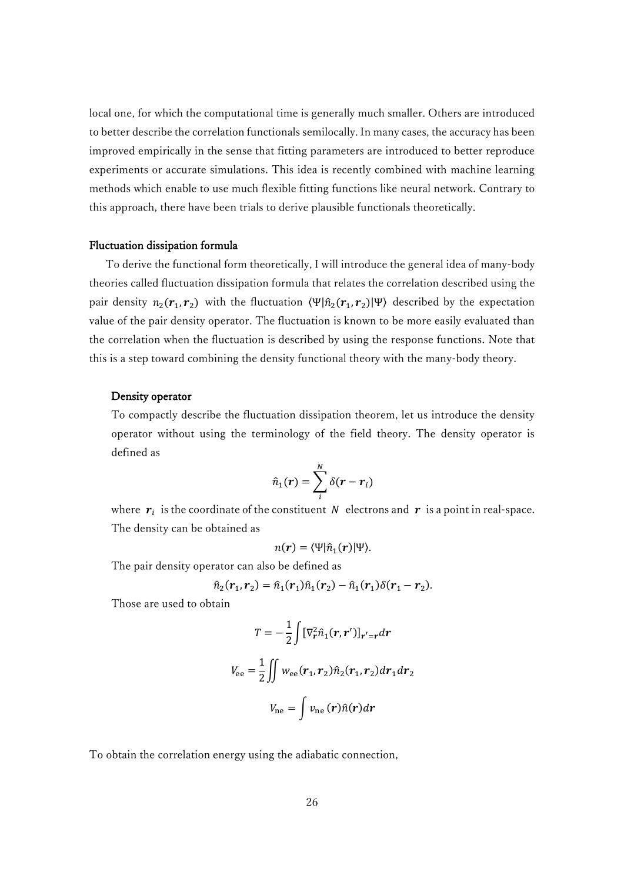local one, for which the computational time is generally much smaller. Others are introduced to better describe the correlation functionals semilocally. In many cases, the accuracy has been improved empirically in the sense that fitting parameters are introduced to better reproduce experiments or accurate simulations. This idea is recently combined with machine learning methods which enable to use much flexible fitting functions like neural network. Contrary to this approach, there have been trials to derive plausible functionals theoretically.

### Fluctuation dissipation formula

To derive the functional form theoretically, I will introduce the general idea of many-body theories called fluctuation dissipation formula that relates the correlation described using the pair density  $n_2(r_1, r_2)$  with the fluctuation  $\langle \Psi | \hat{n}_2(r_1, r_2) | \Psi \rangle$  described by the expectation value of the pair density operator. The fluctuation is known to be more easily evaluated than the correlation when the fluctuation is described by using the response functions. Note that this is a step toward combining the density functional theory with the many-body theory.

### Density operator

To compactly describe the fluctuation dissipation theorem, let us introduce the density operator without using the terminology of the field theory. The density operator is defined as

$$
\hat{n}_1(\mathbf{r}) = \sum_i^N \delta(\mathbf{r} - \mathbf{r}_i)
$$

where  $r_i$  is the coordinate of the constituent N electrons and r is a point in real-space. The density can be obtained as

$$
n(r) = \langle \Psi | \hat{n}_1(r) | \Psi \rangle.
$$

The pair density operator can also be defined as

$$
\hat{n}_2(\mathbf{r}_1,\mathbf{r}_2)=\hat{n}_1(\mathbf{r}_1)\hat{n}_1(\mathbf{r}_2)-\hat{n}_1(\mathbf{r}_1)\delta(\mathbf{r}_1-\mathbf{r}_2).
$$

Those are used to obtain

$$
T = -\frac{1}{2} \int [\nabla_r^2 \hat{n}_1(\mathbf{r}, \mathbf{r}')]_{\mathbf{r}' = \mathbf{r}} d\mathbf{r}
$$

$$
V_{\text{ee}} = \frac{1}{2} \iint w_{\text{ee}}(\mathbf{r}_1, \mathbf{r}_2) \hat{n}_2(\mathbf{r}_1, \mathbf{r}_2) d\mathbf{r}_1 d\mathbf{r}_2
$$

$$
V_{\text{ne}} = \int v_{\text{ne}}(\mathbf{r}) \hat{n}(\mathbf{r}) d\mathbf{r}
$$

To obtain the correlation energy using the adiabatic connection,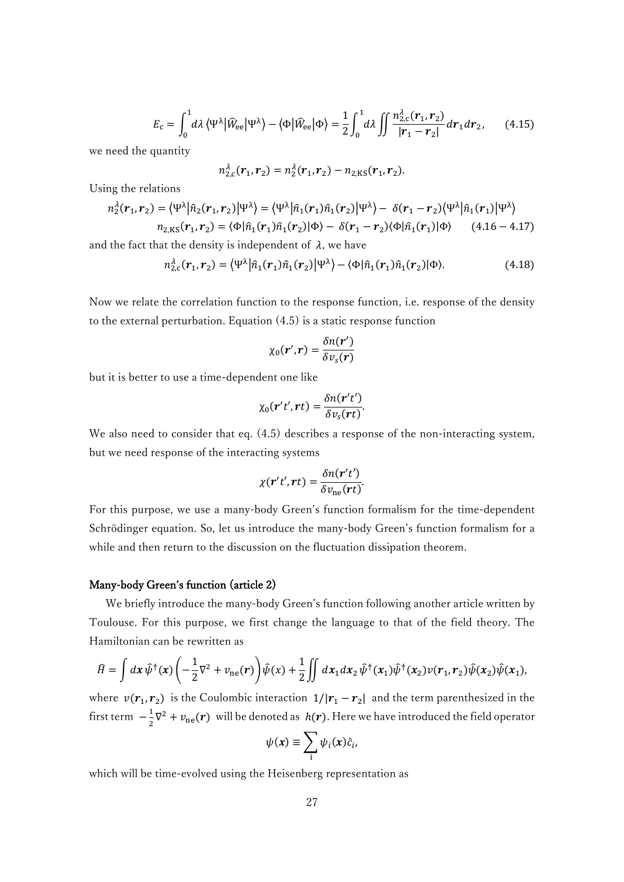$$
E_{\rm c} = \int_0^1 d\lambda \left\langle \Psi^{\lambda} \right| \widehat{W}_{\rm ee} | \Psi^{\lambda} \rangle - \left\langle \Phi \right| \widehat{W}_{\rm ee} | \Phi \rangle = \frac{1}{2} \int_0^1 d\lambda \iint \frac{n_{2,c}^{\lambda}(\mathbf{r}_1, \mathbf{r}_2)}{|\mathbf{r}_1 - \mathbf{r}_2|} d\mathbf{r}_1 d\mathbf{r}_2, \qquad (4.15)
$$

we need the quantity

$$
n_{2,c}^{\lambda}(\boldsymbol{r}_1,\boldsymbol{r}_2)=n_2^{\lambda}(\boldsymbol{r}_1,\boldsymbol{r}_2)-n_{2,\text{KS}}(\boldsymbol{r}_1,\boldsymbol{r}_2).
$$

Using the relations

$$
n_2^{\lambda}(\mathbf{r}_1, \mathbf{r}_2) = \langle \Psi^{\lambda} | \hat{n}_2(\mathbf{r}_1, \mathbf{r}_2) | \Psi^{\lambda} \rangle = \langle \Psi^{\lambda} | \hat{n}_1(\mathbf{r}_1) \hat{n}_1(\mathbf{r}_2) | \Psi^{\lambda} \rangle - \delta(\mathbf{r}_1 - \mathbf{r}_2) \langle \Psi^{\lambda} | \hat{n}_1(\mathbf{r}_1) | \Psi^{\lambda} \rangle
$$
  
\n
$$
n_{2,KS}(\mathbf{r}_1, \mathbf{r}_2) = \langle \Phi | \hat{n}_1(\mathbf{r}_1) \hat{n}_1(\mathbf{r}_2) | \Phi \rangle - \delta(\mathbf{r}_1 - \mathbf{r}_2) \langle \Phi | \hat{n}_1(\mathbf{r}_1) | \Phi \rangle \qquad (4.16 - 4.17)
$$

and the fact that the density is independent of  $\lambda$ , we have

$$
n_{2,c}^{\lambda}(\mathbf{r}_1,\mathbf{r}_2) = \langle \Psi^{\lambda} | \hat{n}_1(\mathbf{r}_1) \hat{n}_1(\mathbf{r}_2) | \Psi^{\lambda} \rangle - \langle \Phi | \hat{n}_1(\mathbf{r}_1) \hat{n}_1(\mathbf{r}_2) | \Phi \rangle. \tag{4.18}
$$

Now we relate the correlation function to the response function, i.e. response of the density to the external perturbation. Equation (4.5) is a static response function

$$
\chi_0(\mathbf{r}',\mathbf{r})=\frac{\delta n(\mathbf{r}')}{\delta v_s(\mathbf{r})}
$$

but it is better to use a time-dependent one like

$$
\chi_0(\mathbf{r}'t',\mathbf{r}t)=\frac{\delta n(\mathbf{r}'t')}{\delta v_s(\mathbf{r}t)}.
$$

We also need to consider that eq. (4.5) describes a response of the non-interacting system, but we need response of the interacting systems

$$
\chi(\mathbf{r}'t',\mathbf{r}t)=\frac{\delta n(\mathbf{r}'t')}{\delta v_{\rm ne}(\mathbf{r}t)}.
$$

For this purpose, we use a many-body Green's function formalism for the time-dependent Schrödinger equation. So, let us introduce the many-body Green's function formalism for a while and then return to the discussion on the fluctuation dissipation theorem.

#### Many-body Green's function (article 2)

 We briefly introduce the many-body Green's function following another article written by Toulouse. For this purpose, we first change the language to that of the field theory. The Hamiltonian can be rewritten as

$$
\hat{H} = \int dx \,\hat{\psi}^{\dagger}(x) \left( -\frac{1}{2} \nabla^2 + v_{\text{ne}}(r) \right) \hat{\psi}(x) + \frac{1}{2} \iint dx_1 dx_2 \,\hat{\psi}^{\dagger}(x_1) \hat{\psi}^{\dagger}(x_2) \nu(r_1, r_2) \hat{\psi}(x_2) \hat{\psi}(x_1),
$$

where  $v(r_1, r_2)$  is the Coulombic interaction  $1/|r_1 - r_2|$  and the term parenthesized in the first term  $-\frac{1}{3}$  $\frac{1}{2}\nabla^2 + v_{\text{ne}}(\mathbf{r})$  will be denoted as  $h(\mathbf{r})$ . Here we have introduced the field operator

$$
\psi(x) \equiv \sum_{i} \psi_i(x) \hat{c}_i,
$$

which will be time-evolved using the Heisenberg representation as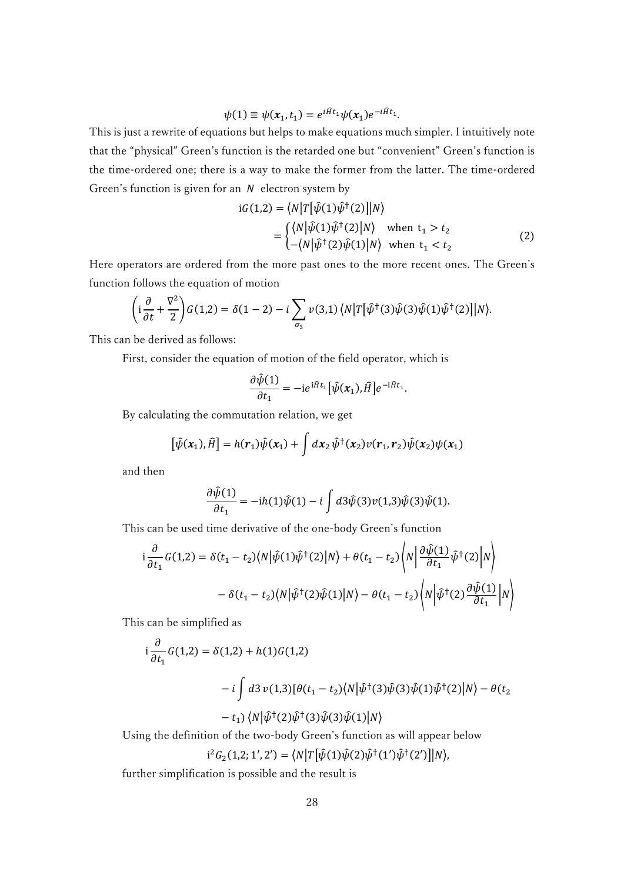$$
\psi(1) \equiv \psi(x_1, t_1) = e^{i\hat{H}t_1}\psi(x_1)e^{-i\hat{H}t_1}.
$$

This is just a rewrite of equations but helps to make equations much simpler. I intuitively note that the "physical" Green's function is the retarded one but "convenient" Green's function is the time-ordered one; there is a way to make the former from the latter. The time-ordered Green's function is given for an  $N$  electron system by

$$
iG(1,2) = \langle N|T[\hat{\psi}(1)\hat{\psi}^{\dagger}(2)]|N\rangle
$$
  
= 
$$
\begin{cases} \langle N|\hat{\psi}(1)\hat{\psi}^{\dagger}(2)|N\rangle & \text{when } t_1 > t_2\\ -\langle N|\hat{\psi}^{\dagger}(2)\hat{\psi}(1)|N\rangle & \text{when } t_1 < t_2 \end{cases}
$$
 (2)

Here operators are ordered from the more past ones to the more recent ones. The Green's function follows the equation of motion

$$
\left(i\frac{\partial}{\partial t} + \frac{\nabla^2}{2}\right)G(1,2) = \delta(1-2) - i\sum_{\sigma_3}\nu(3,1)\left\langle N\left|T\left[\hat{\psi}^\dagger(3)\hat{\psi}(3)\hat{\psi}(1)\hat{\psi}^\dagger(2)\right]\right|N\right\rangle.
$$

This can be derived as follows:

First, consider the equation of motion of the field operator, which is

$$
\frac{\partial \hat{\psi}(1)}{\partial t_1} = -ie^{i\hat{H}t_1}[\hat{\psi}(x_1),\hat{H}]e^{-i\hat{H}t_1}.
$$

By calculating the commutation relation, we get

$$
\left[\hat{\psi}(x_1),\hat{H}\right] = h(r_1)\hat{\psi}(x_1) + \int dx_2 \hat{\psi}^{\dagger}(x_2)\nu(r_1,r_2)\hat{\psi}(x_2)\psi(x_1)
$$

and then

$$
\frac{\partial \hat{\psi}(1)}{\partial t_1} = -ih(1)\hat{\psi}(1) - i \int d3\hat{\psi}(3)\nu(1,3)\hat{\psi}(3)\hat{\psi}(1).
$$

This can be used time derivative of the one-body Green's function

$$
i\frac{\partial}{\partial t_1}G(1,2) = \delta(t_1 - t_2)\langle N|\hat{\psi}(1)\hat{\psi}^{\dagger}(2)|N\rangle + \theta(t_1 - t_2)\langle N|\frac{\partial\hat{\psi}(1)}{\partial t_1}\hat{\psi}^{\dagger}(2)|N\rangle
$$

$$
- \delta(t_1 - t_2)\langle N|\hat{\psi}^{\dagger}(2)\hat{\psi}(1)|N\rangle - \theta(t_1 - t_2)\langle N|\hat{\psi}^{\dagger}(2)\frac{\partial\hat{\psi}(1)}{\partial t_1}|N\rangle
$$

This can be simplified as

$$
i\frac{\partial}{\partial t_1}G(1,2) = \delta(1,2) + h(1)G(1,2)
$$
  

$$
-i\int d3 \nu(1,3)[\theta(t_1 - t_2)\langle N|\hat{\psi}^{\dagger}(3)\hat{\psi}(3)\hat{\psi}(1)\hat{\psi}^{\dagger}(2)|N\rangle - \theta(t_2 - t_1)\langle N|\hat{\psi}^{\dagger}(2)\hat{\psi}^{\dagger}(3)\hat{\psi}(3)\hat{\psi}(1)|N\rangle
$$

Using the definition of the two-body Green's function as will appear below

$$
i^{2}G_{2}(1,2;1',2') = \langle N|T[\hat{\psi}(1)\hat{\psi}(2)\hat{\psi}^{\dagger}(1')\hat{\psi}^{\dagger}(2')]|N\rangle,
$$

further simplification is possible and the result is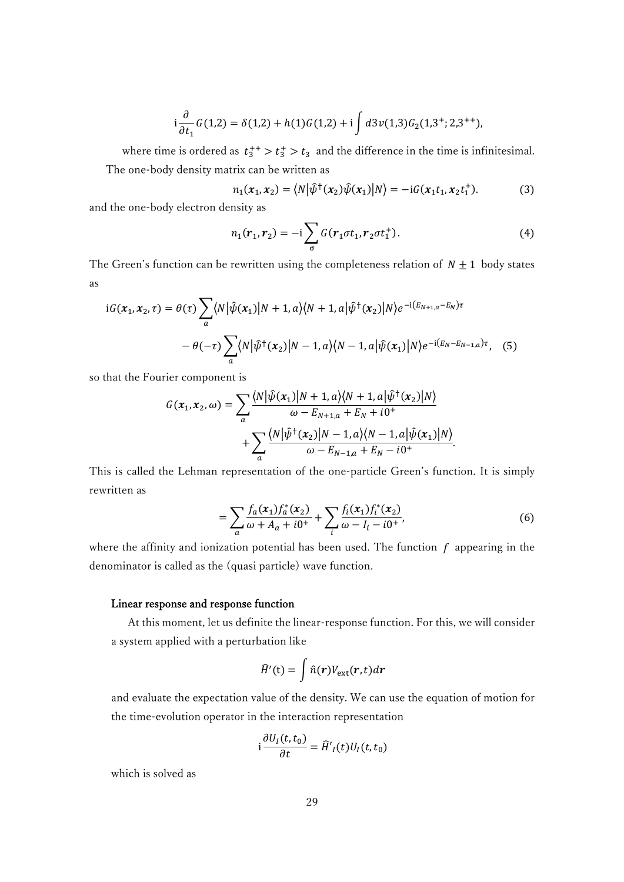$$
i\frac{\partial}{\partial t_1}G(1,2) = \delta(1,2) + h(1)G(1,2) + i \int d3\nu(1,3)G_2(1,3^{\dagger};2,3^{++}),
$$

where time is ordered as  $t_3^{++} > t_3^+ > t_3$  and the difference in the time is infinitesimal. The one-body density matrix can be written as

$$
n_1(x_1, x_2) = \langle N | \hat{\psi}^{\dagger}(x_2) \hat{\psi}(x_1) | N \rangle = -i G(x_1 t_1, x_2 t_1^+). \tag{3}
$$

and the one-body electron density as

$$
n_1(r_1, r_2) = -i \sum_{\sigma} G(r_1 \sigma t_1, r_2 \sigma t_1^+).
$$
 (4)

The Green's function can be rewritten using the completeness relation of  $N \pm 1$  body states as

$$
iG(x_1, x_2, \tau) = \theta(\tau) \sum_{a} \langle N | \hat{\psi}(x_1) | N + 1, a \rangle \langle N + 1, a | \hat{\psi}^{\dagger}(x_2) | N \rangle e^{-i(E_{N+1, a} - E_N)\tau}
$$

$$
- \theta(-\tau) \sum_{a} \langle N | \hat{\psi}^{\dagger}(x_2) | N - 1, a \rangle \langle N - 1, a | \hat{\psi}(x_1) | N \rangle e^{-i(E_N - E_{N-1, a})\tau}, \quad (5)
$$

so that the Fourier component is

$$
G(\mathbf{x}_1, \mathbf{x}_2, \omega) = \sum_{a} \frac{\langle N | \hat{\psi}(\mathbf{x}_1) | N+1, a \rangle \langle N+1, a | \hat{\psi}^{\dagger}(\mathbf{x}_2) | N \rangle}{\omega - E_{N+1, a} + E_N + i0^+} + \sum_{a} \frac{\langle N | \hat{\psi}^{\dagger}(\mathbf{x}_2) | N-1, a \rangle \langle N-1, a | \hat{\psi}(\mathbf{x}_1) | N \rangle}{\omega - E_{N-1, a} + E_N - i0^+}.
$$

This is called the Lehman representation of the one-particle Green's function. It is simply rewritten as

$$
= \sum_{a} \frac{f_a(x_1) f_a^*(x_2)}{\omega + A_a + i0^+} + \sum_{i} \frac{f_i(x_1) f_i^*(x_2)}{\omega - I_i - i0^+},
$$
(6)

where the affinity and ionization potential has been used. The function  $f$  appearing in the denominator is called as the (quasi particle) wave function.

# Linear response and response function

 At this moment, let us definite the linear-response function. For this, we will consider a system applied with a perturbation like

$$
\widehat{H}'(\mathsf{t}) = \int \widehat{n}(\mathbf{r}) V_{\text{ext}}(\mathbf{r}, t) d\mathbf{r}
$$

and evaluate the expectation value of the density. We can use the equation of motion for the time-evolution operator in the interaction representation

$$
i\frac{\partial U_I(t,t_0)}{\partial t} = \widehat{H}'_I(t)U_I(t,t_0)
$$

which is solved as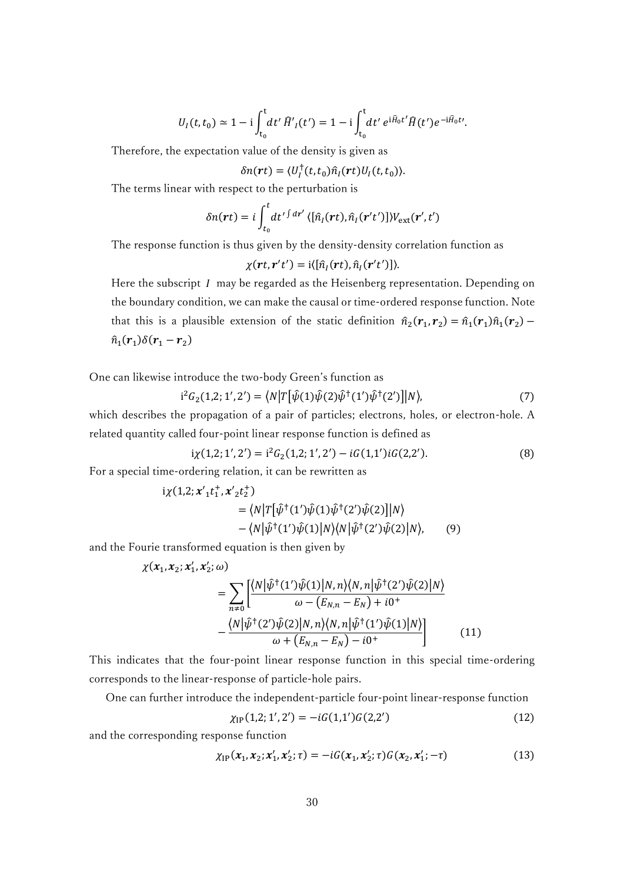$$
U_I(t,t_0) \simeq 1 - i \int_{t_0}^t dt' \,\hat{H}'_I(t') = 1 - i \int_{t_0}^t dt' \, e^{i\hat{H}_0 t'} \hat{H}(t') e^{-i\hat{H}_0 t'}.
$$

Therefore, the expectation value of the density is given as

$$
\delta n(\mathbf{r}t) = \langle U_I^{\dagger}(t,t_0)\hat{n}_I(\mathbf{r}t)U_I(t,t_0)\rangle.
$$

The terms linear with respect to the perturbation is

$$
\delta n(\mathbf{r}t) = i \int_{t_0}^t dt'^{\int dr'} \langle [\hat{n}_I(\mathbf{r}t), \hat{n}_I(\mathbf{r}'t')] \rangle V_{\text{ext}}(\mathbf{r}', t')
$$

The response function is thus given by the density-density correlation function as

$$
\chi(rt, r't') = i\langle [\hat{n}_I(rt), \hat{n}_I(r't')]\rangle.
$$

Here the subscript  $I$  may be regarded as the Heisenberg representation. Depending on the boundary condition, we can make the causal or time-ordered response function. Note that this is a plausible extension of the static definition  $\hat{n}_2(\mathbf{r}_1, \mathbf{r}_2) = \hat{n}_1(\mathbf{r}_1)\hat{n}_1(\mathbf{r}_2)$  $\hat{n}_1(r_1)\delta(r_1-r_2)$ 

One can likewise introduce the two-body Green's function as

$$
i^{2}G_{2}(1,2;1',2') = \langle N|T[\hat{\psi}(1)\hat{\psi}(2)\hat{\psi}^{\dagger}(1')\hat{\psi}^{\dagger}(2')]|N\rangle, \tag{7}
$$

which describes the propagation of a pair of particles; electrons, holes, or electron-hole. A related quantity called four-point linear response function is defined as

$$
i\chi(1,2;1',2') = i^2 G_2(1,2;1',2') - iG(1,1')iG(2,2').
$$
\n(8)

For a special time-ordering relation, it can be rewritten as

$$
i\chi(1,2; x_1't_1^+, x_2't_2^+)
$$
  
=  $\langle N|T[\hat{\psi}^+(1')\hat{\psi}(1)\hat{\psi}^+(2')\hat{\psi}(2)]|N\rangle$   
-  $\langle N|\hat{\psi}^+(1')\hat{\psi}(1)|N\rangle\langle N|\hat{\psi}^+(2')\hat{\psi}(2)|N\rangle,$  (9)

and the Fourie transformed equation is then given by

$$
\chi(x_1, x_2; x_1', x_2'; \omega)
$$
\n
$$
= \sum_{n \neq 0} \left[ \frac{\langle N | \hat{\psi}^{\dagger}(1') \hat{\psi}(1) | N, n \rangle \langle N, n | \hat{\psi}^{\dagger}(2') \hat{\psi}(2) | N \rangle}{\omega - (E_{N,n} - E_N) + i0^+} - \frac{\langle N | \hat{\psi}^{\dagger}(2') \hat{\psi}(2) | N, n \rangle \langle N, n | \hat{\psi}^{\dagger}(1') \hat{\psi}(1) | N \rangle}{\omega + (E_{N,n} - E_N) - i0^+} \right]
$$
(11)

This indicates that the four-point linear response function in this special time-ordering corresponds to the linear-response of particle-hole pairs.

One can further introduce the independent-particle four-point linear-response function

$$
\chi_{IP}(1,2;1',2') = -iG(1,1')G(2,2')
$$
\n(12)

and the corresponding response function

$$
\chi_{IP}(x_1, x_2; x_1', x_2'; \tau) = -iG(x_1, x_2'; \tau)G(x_2, x_1'; -\tau)
$$
\n(13)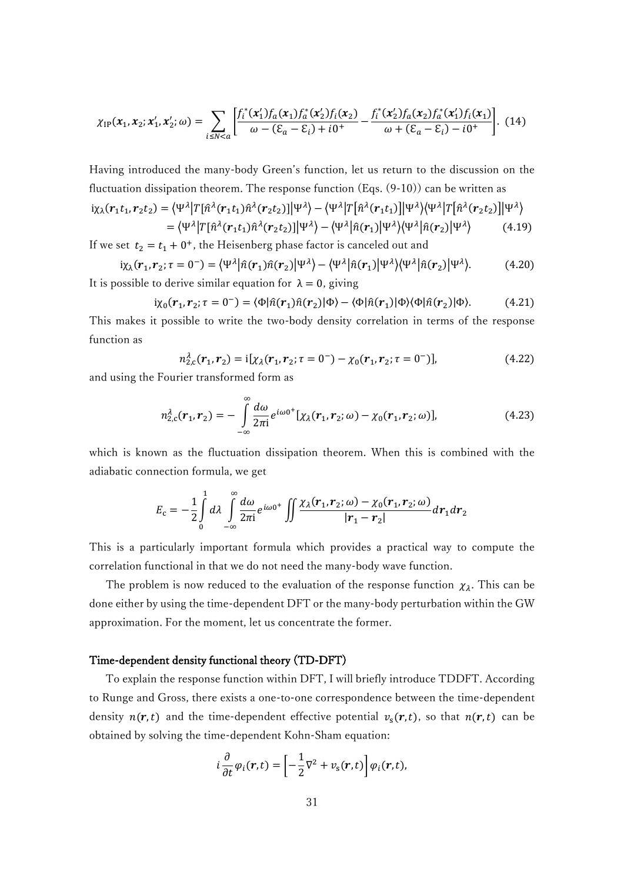$$
\chi_{IP}(x_1, x_2; x_1', x_2'; \omega) = \sum_{i \le N < a} \left[ \frac{f_i^*(x_1') f_a(x_1) f_a^*(x_2') f_i(x_2)}{\omega - (\mathcal{E}_a - \mathcal{E}_i) + i0^+} - \frac{f_i^*(x_2') f_a(x_2) f_a^*(x_1') f_i(x_1)}{\omega + (\mathcal{E}_a - \mathcal{E}_i) - i0^+} \right]. \tag{14}
$$

Having introduced the many-body Green's function, let us return to the discussion on the fluctuation dissipation theorem. The response function (Eqs. (9-10)) can be written as  $\mathrm{i}\chi_\lambda(\boldsymbol{r}_1t_1,\boldsymbol{r}_2t_2) = \big\langle \Psi^\lambda \big| T [\hat{n}^\lambda(\boldsymbol{r}_1t_1) \hat{n}^\lambda(\boldsymbol{r}_2t_2)] \big| \Psi^\lambda \big\rangle - \big\langle \Psi^\lambda \big| T \big[ \hat{n}^\lambda(\boldsymbol{r}_1t_1) \big] \big| \Psi^\lambda \big\rangle \big\langle \Psi^\lambda \big| T \big[ \hat{n}^\lambda(\boldsymbol{r}_2t_2) \big] \big| \Psi^\lambda \big\rangle$  $=\langle \Psi^\lambda \big| T [\hat{n}^\lambda({\bm r}_1 t_1) \hat{n}^\lambda({\bm r}_2 t_2)] \big| \Psi^\lambda \rangle - \langle \Psi^\lambda \big| \hat{n}({\bm r}_1) \big| \Psi^\lambda \rangle \langle \Psi^\lambda \big| \hat{n}({\bm r}_2) \big| \Psi^\lambda$  $(4.19)$ 

If we set  $t_2 = t_1 + 0^+$ , the Heisenberg phase factor is canceled out and

$$
i\chi_{\lambda}(r_1, r_2; \tau = 0^-) = \langle \Psi^{\lambda} | \hat{n}(r_1) \hat{n}(r_2) | \Psi^{\lambda} \rangle - \langle \Psi^{\lambda} | \hat{n}(r_1) | \Psi^{\lambda} \rangle \langle \Psi^{\lambda} | \hat{n}(r_2) | \Psi^{\lambda} \rangle. \tag{4.20}
$$
  
It is possible to derive similar equation for  $\lambda = 0$ , giving

$$
i\chi_0(\mathbf{r}_1, \mathbf{r}_2; \tau = 0^-) = \langle \Phi | \hat{n}(\mathbf{r}_1) \hat{n}(\mathbf{r}_2) | \Phi \rangle - \langle \Phi | \hat{n}(\mathbf{r}_1) | \Phi \rangle \langle \Phi | \hat{n}(\mathbf{r}_2) | \Phi \rangle. \tag{4.21}
$$

This makes it possible to write the two-body density correlation in terms of the response function as

$$
n_{2,c}^{\lambda}(\mathbf{r}_1, \mathbf{r}_2) = \mathbf{i}[\chi_{\lambda}(\mathbf{r}_1, \mathbf{r}_2; \tau = 0^-) - \chi_0(\mathbf{r}_1, \mathbf{r}_2; \tau = 0^-)], \tag{4.22}
$$

and using the Fourier transformed form as

$$
n_{2,c}^{\lambda}(\mathbf{r}_1,\mathbf{r}_2) = -\int_{-\infty}^{\infty} \frac{d\omega}{2\pi i} e^{i\omega 0^+} [\chi_{\lambda}(\mathbf{r}_1,\mathbf{r}_2;\omega) - \chi_0(\mathbf{r}_1,\mathbf{r}_2;\omega)], \tag{4.23}
$$

which is known as the fluctuation dissipation theorem. When this is combined with the adiabatic connection formula, we get

$$
E_{\rm c} = -\frac{1}{2} \int\limits_{0}^{1} d\lambda \int\limits_{-\infty}^{\infty} \frac{d\omega}{2\pi i} e^{i\omega 0^+} \iint \frac{\chi_{\lambda}(r_1, r_2; \omega) - \chi_{0}(r_1, r_2; \omega)}{|r_1 - r_2|} dr_1 dr_2
$$

This is a particularly important formula which provides a practical way to compute the correlation functional in that we do not need the many-body wave function.

The problem is now reduced to the evaluation of the response function  $\chi_{\lambda}$ . This can be done either by using the time-dependent DFT or the many-body perturbation within the GW approximation. For the moment, let us concentrate the former.

# Time-dependent density functional theory (TD-DFT)

To explain the response function within DFT, I will briefly introduce TDDFT. According to Runge and Gross, there exists a one-to-one correspondence between the time-dependent density  $n(r,t)$  and the time-dependent effective potential  $v_s(r,t)$ , so that  $n(r,t)$  can be obtained by solving the time-dependent Kohn-Sham equation:

$$
i\frac{\partial}{\partial t}\varphi_i(\mathbf{r},t) = \left[-\frac{1}{2}\nabla^2 + v_{\rm s}(\mathbf{r},t)\right]\varphi_i(\mathbf{r},t),
$$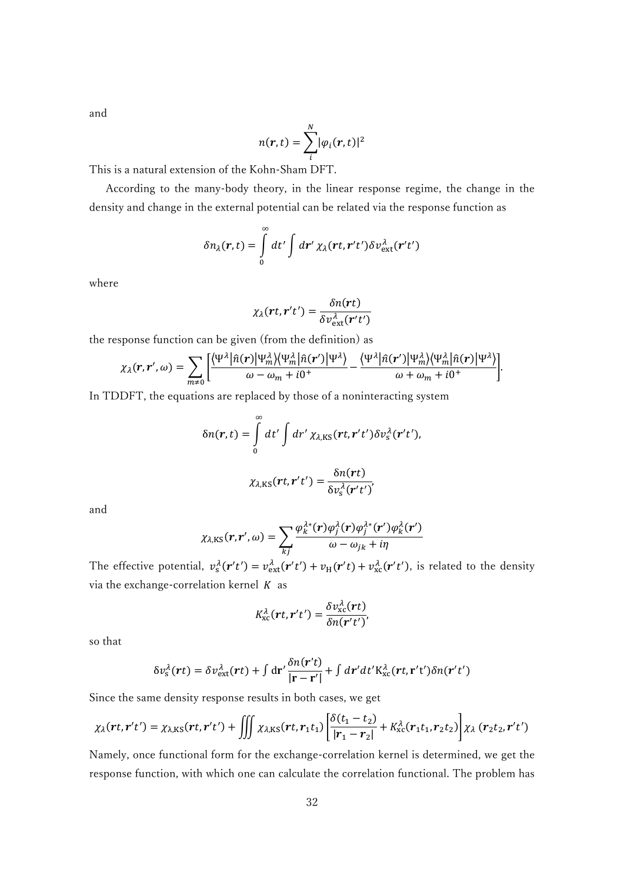and

$$
n(\mathbf{r},t)=\sum_{i}^{N}|\varphi_{i}(\mathbf{r},t)|^{2}
$$

This is a natural extension of the Kohn-Sham DFT.

 According to the many-body theory, in the linear response regime, the change in the density and change in the external potential can be related via the response function as

$$
\delta n_{\lambda}(r,t) = \int\limits_{0}^{\infty} dt' \int dr' \chi_{\lambda}(rt, r't') \delta v_{\text{ext}}^{\lambda}(r't')
$$

where

$$
\chi_{\lambda}(rt, r't') = \frac{\delta n(rt)}{\delta v_{\text{ext}}^{\lambda}(r't')}
$$

the response function can be given (from the definition) as

$$
\chi_{\lambda}(r,r',\omega)=\sum_{m\neq 0}\left[\frac{\langle \Psi^{\lambda}|\hat{n}(r)|\Psi^{\lambda}_{m}\rangle\langle \Psi^{\lambda}_{m}|\hat{n}(r')|\Psi^{\lambda}_{m}\rangle}{\omega-\omega_{m}+i0^{+}}-\frac{\langle \Psi^{\lambda}|\hat{n}(r')|\Psi^{\lambda}_{m}\rangle\langle \Psi^{\lambda}_{m}|\hat{n}(r)|\Psi^{\lambda}_{m}\rangle}{\omega+\omega_{m}+i0^{+}}\right].
$$

In TDDFT, the equations are replaced by those of a noninteracting system

$$
\delta n(\mathbf{r},t) = \int_{0}^{\infty} dt' \int dr' \chi_{\lambda,\text{KS}}(\mathbf{r}t,\mathbf{r}'t') \delta v_{\text{s}}^{\lambda}(\mathbf{r}'t'),
$$

$$
\chi_{\lambda,\text{KS}}(\mathbf{r}t,\mathbf{r}'t') = \frac{\delta n(\mathbf{r}t)}{\delta v_{\text{s}}^{\lambda}(\mathbf{r}'t')},
$$

and

$$
\chi_{\lambda,\text{KS}}(r,r',\omega)=\sum_{kj}\frac{\varphi_k^{\lambda*}(r)\varphi_j^{\lambda}(r)\varphi_j^{\lambda*}(r')\varphi_k^{\lambda}(r')}{\omega-\omega_{jk}+i\eta}
$$

The effective potential,  $v_s^{\lambda}(r't') = v_{\text{ext}}^{\lambda}(r't') + v_{\text{H}}(r't) + v_{\text{xc}}^{\lambda}(r't')$ , is related to the density via the exchange-correlation kernel  $K$  as

$$
K_{\rm xc}^{\lambda}(\boldsymbol{r}t,\boldsymbol{r}'t')=\frac{\delta v_{\rm xc}^{\lambda}(\boldsymbol{r}t)}{\delta n(\boldsymbol{r}'t')}
$$

so that

$$
\delta v_{\rm s}^{\lambda}(\mathbf{r}t) = \delta v_{\rm ext}^{\lambda}(\mathbf{r}t) + \int d\mathbf{r}' \frac{\delta n(\mathbf{r}'t)}{|\mathbf{r} - \mathbf{r}'|} + \int d\mathbf{r}' dt' \mathbf{K}_{\rm xc}^{\lambda}(\mathbf{r}t, \mathbf{r}'t') \delta n(\mathbf{r}'t')
$$

Since the same density response results in both cases, we get

$$
\chi_{\lambda}(rt, r't') = \chi_{\lambda,\text{KS}}(rt, r't') + \iiint \chi_{\lambda,\text{KS}}(rt, r_1t_1) \left[ \frac{\delta(t_1 - t_2)}{|r_1 - r_2|} + K_{\text{xc}}^{\lambda}(r_1t_1, r_2t_2) \right] \chi_{\lambda}(r_2t_2, r't')
$$

Namely, once functional form for the exchange-correlation kernel is determined, we get the response function, with which one can calculate the correlation functional. The problem has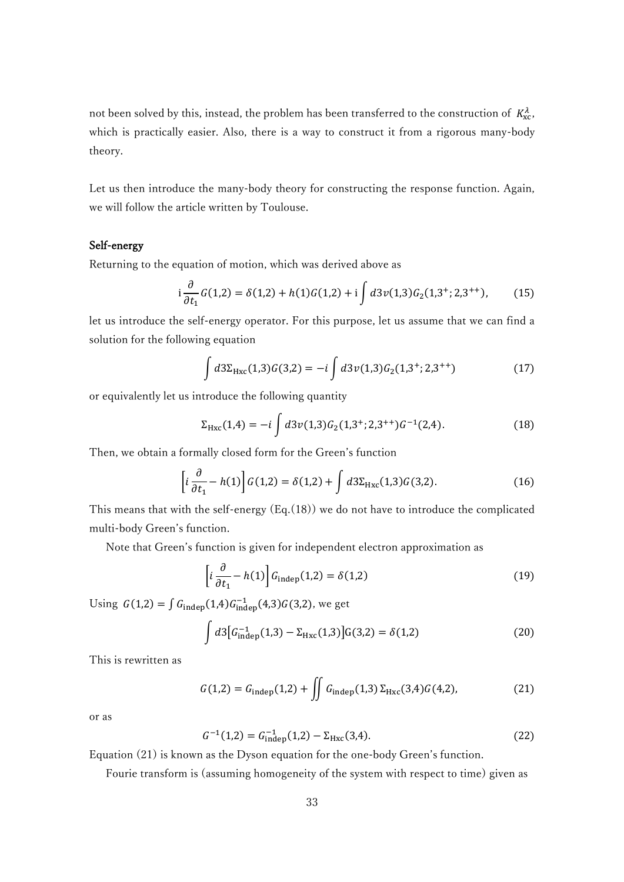not been solved by this, instead, the problem has been transferred to the construction of  $K_{\text{xc}}^{\lambda}$ , which is practically easier. Also, there is a way to construct it from a rigorous many-body theory.

Let us then introduce the many-body theory for constructing the response function. Again, we will follow the article written by Toulouse.

# Self-energy

Returning to the equation of motion, which was derived above as

$$
i\frac{\partial}{\partial t_1}G(1,2) = \delta(1,2) + h(1)G(1,2) + i\int d3\nu(1,3)G_2(1,3^{\dagger};2,3^{++}),\tag{15}
$$

let us introduce the self-energy operator. For this purpose, let us assume that we can find a solution for the following equation

$$
\int d3\Sigma_{Hxc}(1,3)G(3,2) = -i \int d3\nu(1,3)G_2(1,3^{\dagger};2,3^{++})
$$
\n(17)

or equivalently let us introduce the following quantity

$$
\Sigma_{Hxc}(1,4) = -i \int d3\nu(1,3) G_2(1,3^{\dagger};2,3^{++}) G^{-1}(2,4).
$$
 (18)

Then, we obtain a formally closed form for the Green's function

$$
\left[i\frac{\partial}{\partial t_1} - h(1)\right] G(1,2) = \delta(1,2) + \int d3\Sigma_{Hxc}(1,3)G(3,2). \tag{16}
$$

This means that with the self-energy (Eq.(18)) we do not have to introduce the complicated multi-body Green's function.

Note that Green's function is given for independent electron approximation as

$$
\left[i\frac{\partial}{\partial t_1} - h(1)\right] G_{\text{indep}}(1,2) = \delta(1,2)
$$
\n(19)

Using  $G(1,2) = \int G_{\text{indep}}(1,4)G_{\text{indep}}^{-1}(4,3)G(3,2)$ , we get

$$
\int d3 \big[ G_{\text{indep}}^{-1}(1,3) - \Sigma_{\text{Hxc}}(1,3) \big] G(3,2) = \delta(1,2) \tag{20}
$$

This is rewritten as

$$
G(1,2) = G_{\text{indep}}(1,2) + \iint G_{\text{indep}}(1,3) \Sigma_{\text{Hxc}}(3,4) G(4,2), \tag{21}
$$

or as

$$
G^{-1}(1,2) = G_{\text{indep}}^{-1}(1,2) - \Sigma_{\text{Hxc}}(3,4). \tag{22}
$$

Equation (21) is known as the Dyson equation for the one-body Green's function.

Fourie transform is (assuming homogeneity of the system with respect to time) given as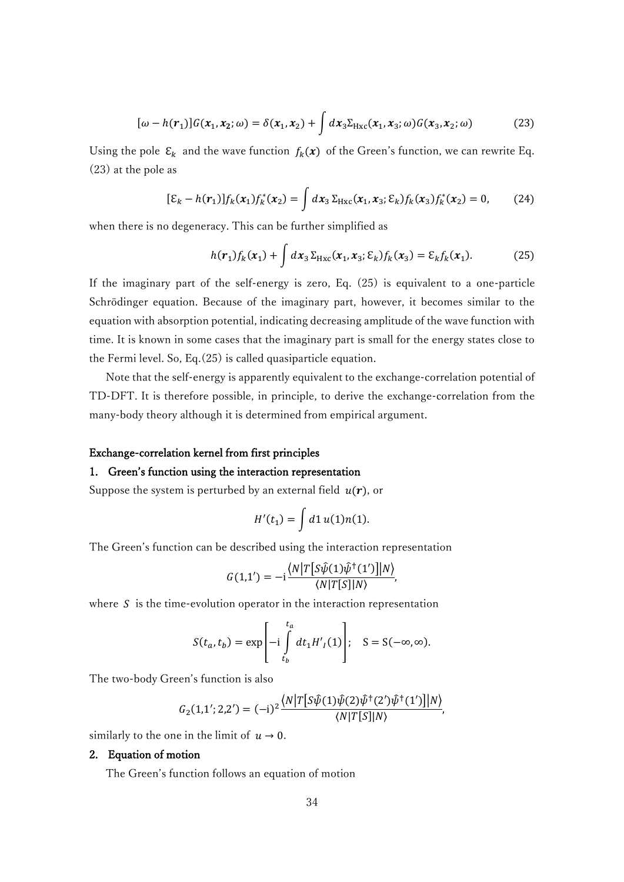$$
[\omega - h(r_1)]G(x_1, x_2; \omega) = \delta(x_1, x_2) + \int dx_3 \Sigma_{Hxc}(x_1, x_3; \omega)G(x_3, x_2; \omega)
$$
 (23)

Using the pole  $\mathcal{E}_k$  and the wave function  $f_k(x)$  of the Green's function, we can rewrite Eq. (23) at the pole as

$$
[\mathcal{E}_k - h(\mathbf{r}_1)] f_k(\mathbf{x}_1) f_k^*(\mathbf{x}_2) = \int d\mathbf{x}_3 \, \Sigma_{Hxc}(\mathbf{x}_1, \mathbf{x}_3; \mathcal{E}_k) f_k(\mathbf{x}_3) f_k^*(\mathbf{x}_2) = 0, \qquad (24)
$$

when there is no degeneracy. This can be further simplified as

$$
h(\mathbf{r}_1)f_k(\mathbf{x}_1) + \int d\mathbf{x}_3 \Sigma_{Hxc}(\mathbf{x}_1, \mathbf{x}_3; \varepsilon_k) f_k(\mathbf{x}_3) = \varepsilon_k f_k(\mathbf{x}_1). \tag{25}
$$

If the imaginary part of the self-energy is zero, Eq. (25) is equivalent to a one-particle Schrödinger equation. Because of the imaginary part, however, it becomes similar to the equation with absorption potential, indicating decreasing amplitude of the wave function with time. It is known in some cases that the imaginary part is small for the energy states close to the Fermi level. So, Eq.(25) is called quasiparticle equation.

 Note that the self-energy is apparently equivalent to the exchange-correlation potential of TD-DFT. It is therefore possible, in principle, to derive the exchange-correlation from the many-body theory although it is determined from empirical argument.

#### Exchange-correlation kernel from first principles

### 1. Green's function using the interaction representation

Suppose the system is perturbed by an external field  $u(r)$ , or

$$
H'(t_1) = \int d1 \, u(1) n(1).
$$

The Green's function can be described using the interaction representation

$$
G(1,1') = -i \frac{\langle N|T[S\hat{\psi}(1)\hat{\psi}^{\dagger}(1')]|N\rangle}{\langle N|T[S]|N\rangle},
$$

where  $S$  is the time-evolution operator in the interaction representation

$$
S(t_a, t_b) = \exp\left[-i \int\limits_{t_b}^{t_a} dt_1 H'_I(1)\right]; \quad S = S(-\infty, \infty).
$$

The two-body Green's function is also

$$
G_2(1,1';2,2')=(-\mathrm{i})^2\frac{\big\langle N\big|T\big[S\hat{\psi}(1)\hat{\psi}(2)\hat{\psi}^{\dagger}(2')\hat{\psi}^{\dagger}(1')\big]\big|N\big\rangle}{\langle N|T[S]|N\rangle},
$$

similarly to the one in the limit of  $u \to 0$ .

### 2. Equation of motion

The Green's function follows an equation of motion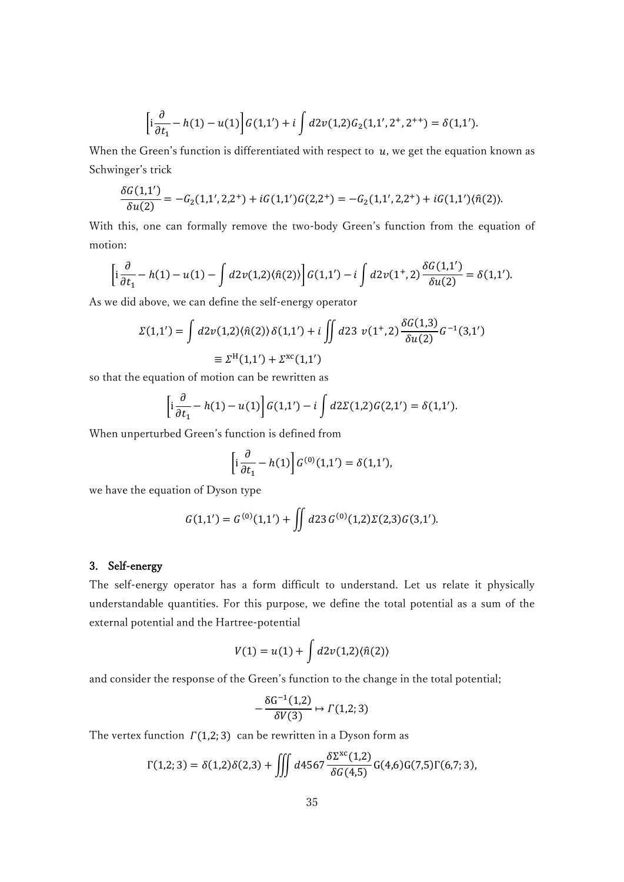$$
\left[i\frac{\partial}{\partial t_1} - h(1) - u(1)\right] G(1,1') + i \int d2\nu(1,2) G_2(1,1',2^+,2^{++}) = \delta(1,1').
$$

When the Green's function is differentiated with respect to  $u$ , we get the equation known as Schwinger's trick

$$
\frac{\delta G(1,1')}{\delta u(2)} = -G_2(1,1',2,2^+) + iG(1,1')G(2,2^+) = -G_2(1,1',2,2^+) + iG(1,1')\langle \hat{n}(2) \rangle.
$$

With this, one can formally remove the two-body Green's function from the equation of motion:

$$
\left[i\frac{\partial}{\partial t_1} - h(1) - u(1) - \int d2\nu(1,2)\langle \hat{n}(2) \rangle\right] G(1,1') - i \int d2\nu(1^+,2) \frac{\delta G(1,1')}{\delta u(2)} = \delta(1,1').
$$

As we did above, we can define the self-energy operator

$$
\Sigma(1,1') = \int d2\nu(1,2)\langle \hat{n}(2)\rangle \delta(1,1') + i \iint d23 \ \nu(1^+,2) \frac{\delta G(1,3)}{\delta u(2)} G^{-1}(3,1')
$$
  

$$
\equiv \Sigma^{\rm H}(1,1') + \Sigma^{\rm xc}(1,1')
$$

so that the equation of motion can be rewritten as

$$
\left[i\frac{\partial}{\partial t_1} - h(1) - u(1)\right] G(1,1') - i \int d2\Sigma(1,2)G(2,1') = \delta(1,1').
$$

When unperturbed Green's function is defined from

$$
\left[i\frac{\partial}{\partial t_1} - h(1)\right] G^{(0)}(1,1') = \delta(1,1'),
$$

we have the equation of Dyson type

$$
G(1,1') = G^{(0)}(1,1') + \iint d23 G^{(0)}(1,2) \Sigma(2,3) G(3,1').
$$

# 3. Self-energy

The self-energy operator has a form difficult to understand. Let us relate it physically understandable quantities. For this purpose, we define the total potential as a sum of the external potential and the Hartree-potential

$$
V(1) = u(1) + \int d2\nu(1,2)\langle \hat{n}(2)\rangle
$$

and consider the response of the Green's function to the change in the total potential;

$$
-\frac{\delta G^{-1}(1,2)}{\delta V(3)} \mapsto \Gamma(1,2;3)
$$

The vertex function  $\Gamma(1,2; 3)$  can be rewritten in a Dyson form as

$$
\Gamma(1,2;3) = \delta(1,2)\delta(2,3) + \iiint d4567 \frac{\delta \Sigma^{xc}(1,2)}{\delta G(4,5)} G(4,6)G(7,5) \Gamma(6,7;3),
$$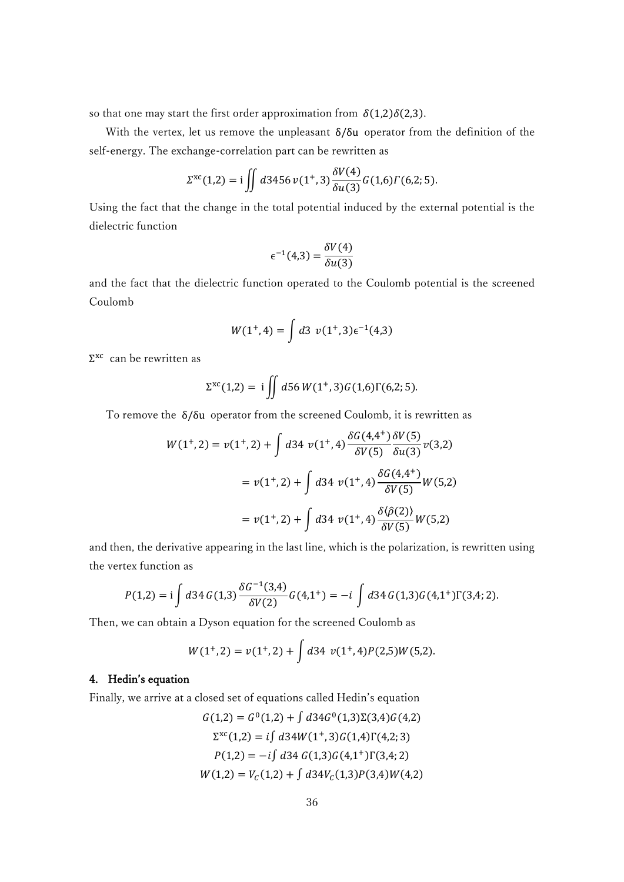so that one may start the first order approximation from  $\delta(1,2)\delta(2,3)$ .

 With the vertex, let us remove the unpleasant δ/δu operator from the definition of the self-energy. The exchange-correlation part can be rewritten as

$$
\Sigma^{xc}(1,2) = i \iint d3456 \nu(1^+,3) \frac{\delta V(4)}{\delta u(3)} G(1,6) \Gamma(6,2;5).
$$

Using the fact that the change in the total potential induced by the external potential is the dielectric function

$$
\epsilon^{-1}(4,3) = \frac{\delta V(4)}{\delta u(3)}
$$

and the fact that the dielectric function operated to the Coulomb potential is the screened Coulomb

$$
W(1^+,4) = \int d3 \ v(1^+,3)\epsilon^{-1}(4,3)
$$

Σ xc can be rewritten as

$$
\Sigma^{xc}(1,2) = i \iint d56 W(1^+,3)G(1,6)\Gamma(6,2;5).
$$

To remove the δ/δu operator from the screened Coulomb, it is rewritten as

$$
W(1^+,2) = v(1^+,2) + \int d34 \ v(1^+,4) \frac{\delta G(4,4^+)}{\delta V(5)} \frac{\delta V(5)}{\delta u(3)} v(3,2)
$$
  
=  $v(1^+,2) + \int d34 \ v(1^+,4) \frac{\delta G(4,4^+)}{\delta V(5)} W(5,2)$   
=  $v(1^+,2) + \int d34 \ v(1^+,4) \frac{\delta \langle \hat{\rho}(2) \rangle}{\delta V(5)} W(5,2)$ 

and then, the derivative appearing in the last line, which is the polarization, is rewritten using the vertex function as

$$
P(1,2) = \mathrm{i} \int d34 G(1,3) \frac{\delta G^{-1}(3,4)}{\delta V(2)} G(4,1^+) = -\mathrm{i} \int d34 G(1,3) G(4,1^+) \Gamma(3,4;2).
$$

Then, we can obtain a Dyson equation for the screened Coulomb as

$$
W(1^+,2) = v(1^+,2) + \int d34 \ v(1^+,4)P(2,5)W(5,2).
$$

## 4. Hedin's equation

Finally, we arrive at a closed set of equations called Hedin's equation

$$
G(1,2) = G^{0}(1,2) + \int d34G^{0}(1,3)\Sigma(3,4)G(4,2)
$$
  
\n
$$
\Sigma^{xc}(1,2) = i \int d34W(1^{+},3)G(1,4)\Gamma(4,2;3)
$$
  
\n
$$
P(1,2) = -i \int d34 G(1,3)G(4,1^{+})\Gamma(3,4;2)
$$
  
\n
$$
W(1,2) = V_{C}(1,2) + \int d34V_{C}(1,3)P(3,4)W(4,2)
$$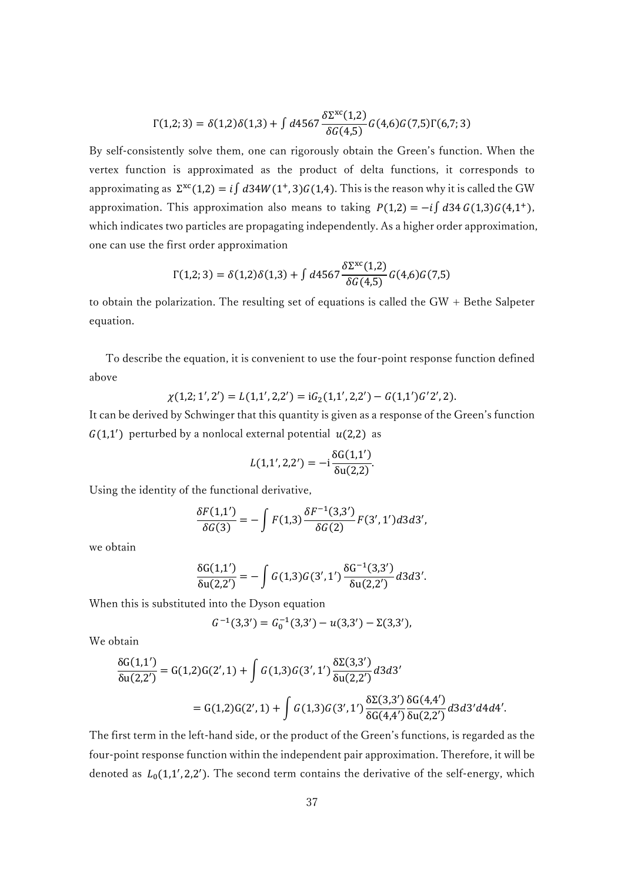$$
\Gamma(1,2;3)=\delta(1,2)\delta(1,3)+\int d4567\frac{\delta\Sigma^{xc}(1,2)}{\delta G(4,5)}G(4,6)G(7,5)\Gamma(6,7;3)
$$

By self-consistently solve them, one can rigorously obtain the Green's function. When the vertex function is approximated as the product of delta functions, it corresponds to approximating as  $\Sigma^{xc}(1,2) = i \int d34W(1^+,3)G(1,4)$ . This is the reason why it is called the GW approximation. This approximation also means to taking  $P(1,2) = -i \int d34 G(1,3)G(4,1^+),$ which indicates two particles are propagating independently. As a higher order approximation, one can use the first order approximation

$$
\Gamma(1,2;3) = \delta(1,2)\delta(1,3) + \int d4567 \frac{\delta \Sigma^{xc}(1,2)}{\delta G(4,5)} G(4,6)G(7,5)
$$

to obtain the polarization. The resulting set of equations is called the  $GW +$  Bethe Salpeter equation.

To describe the equation, it is convenient to use the four-point response function defined above

$$
\chi(1,2;1',2') = L(1,1',2,2') = iG_2(1,1',2,2') - G(1,1')G'2',2).
$$

It can be derived by Schwinger that this quantity is given as a response of the Green's function  $G(1,1')$  perturbed by a nonlocal external potential  $u(2,2)$  as

$$
L(1,1',2,2') = -i \frac{\delta G(1,1')}{\delta u(2,2)}.
$$

Using the identity of the functional derivative,

$$
\frac{\delta F(1,1')}{\delta G(3)} = -\int F(1,3) \frac{\delta F^{-1}(3,3')}{\delta G(2)} F(3',1') d3 d3',
$$

we obtain

$$
\frac{\delta G(1,1')}{\delta u(2,2')} = -\int G(1,3)G(3',1') \frac{\delta G^{-1}(3,3')}{\delta u(2,2')} d3d3'.
$$

When this is substituted into the Dyson equation

$$
G^{-1}(3,3') = G_0^{-1}(3,3') - u(3,3') - \Sigma(3,3'),
$$

We obtain

$$
\frac{\delta G(1,1')}{\delta u(2,2')} = G(1,2)G(2',1) + \int G(1,3)G(3',1') \frac{\delta \Sigma(3,3')}{\delta u(2,2')} d3d3'
$$
  
= G(1,2)G(2',1) +  $\int G(1,3)G(3',1') \frac{\delta \Sigma(3,3')}{\delta G(4,4')} \frac{\delta G(4,4')}{\delta u(2,2')} d3d3'd4d4'.$ 

The first term in the left-hand side, or the product of the Green's functions, is regarded as the four-point response function within the independent pair approximation. Therefore, it will be denoted as  $L_0(1,1',2,2')$ . The second term contains the derivative of the self-energy, which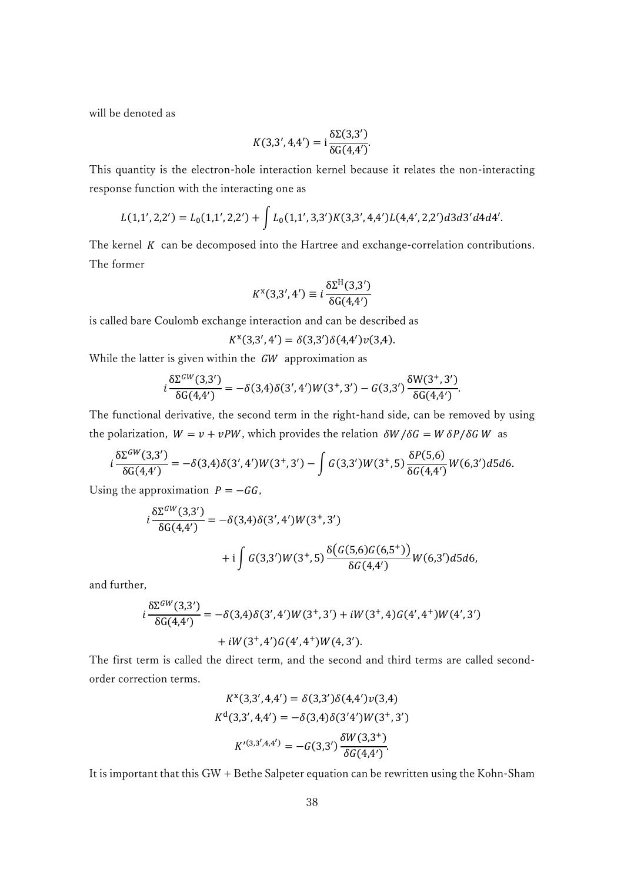will be denoted as

$$
K(3,3',4,4') = \mathrm{i} \frac{\delta \Sigma(3,3')}{\delta G(4,4')}.
$$

This quantity is the electron-hole interaction kernel because it relates the non-interacting response function with the interacting one as

$$
L(1,1',2,2') = L_0(1,1',2,2') + \int L_0(1,1',3,3')K(3,3',4,4')L(4,4',2,2')d3d3'd4d4'.
$$

The kernel  $K$  can be decomposed into the Hartree and exchange-correlation contributions. The former

$$
K^{x}(3,3',4') \equiv i \frac{\delta \Sigma^{H}(3,3')}{\delta G(4,4')}
$$

is called bare Coulomb exchange interaction and can be described as

$$
K^{x}(3,3',4') = \delta(3,3')\delta(4,4')\nu(3,4).
$$

While the latter is given within the  $GW$  approximation as

$$
i\frac{\delta \Sigma^{GW}(3,3')}{\delta G(4,4')} = -\delta(3,4)\delta(3',4')W(3^+,3') - G(3,3')\frac{\delta W(3^+,3')}{\delta G(4,4')}.
$$

The functional derivative, the second term in the right-hand side, can be removed by using the polarization,  $W = v + vPW$ , which provides the relation  $\delta W / \delta G = W \delta P / \delta G W$  as

$$
i\frac{\delta \Sigma^{GW} (3,3')}{\delta G(4,4')} = -\delta(3,4) \delta(3',4') W(3^+,3') - \int G(3,3') W(3^+,5) \frac{\delta P(5,6)}{\delta G(4,4')} W(6,3') d5 d6.
$$

Using the approximation  $P = -GG$ ,

$$
i\frac{\delta\Sigma^{GW}(3,3')}{\delta G(4,4')} = -\delta(3,4)\delta(3',4')W(3^+,3')
$$
  
+
$$
+i\int G(3,3')W(3^+,5)\frac{\delta(G(5,6)G(6,5^+))}{\delta G(4,4')}W(6,3')d5d6,
$$

and further,

$$
i\frac{\delta\Sigma^{GW}(3,3')}{\delta G(4,4')} = -\delta(3,4)\delta(3',4')W(3^+,3') + iW(3^+,4)G(4',4^+)W(4',3')+ iW(3^+,4')G(4',4^+)W(4,3').
$$

The first term is called the direct term, and the second and third terms are called secondorder correction terms.

$$
K^{x}(3,3',4,4') = \delta(3,3')\delta(4,4')\nu(3,4)
$$

$$
K^{d}(3,3',4,4') = -\delta(3,4)\delta(3'4')W(3^{+},3')
$$

$$
K'^{(3,3',4,4')} = -G(3,3')\frac{\delta W(3,3^{+})}{\delta G(4,4')}.
$$

It is important that this GW + Bethe Salpeter equation can be rewritten using the Kohn-Sham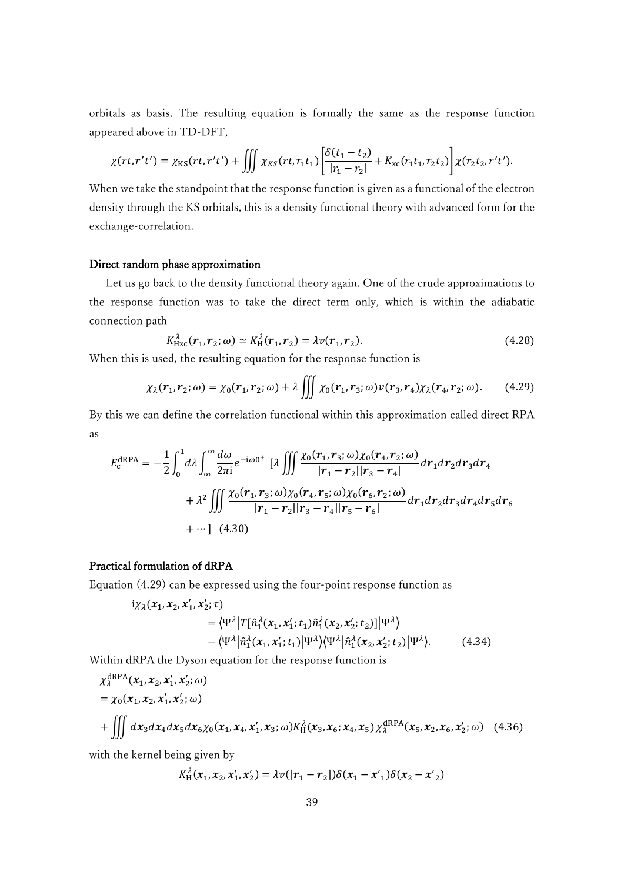orbitals as basis. The resulting equation is formally the same as the response function appeared above in TD-DFT,

$$
\chi(rt, r't') = \chi_{KS}(rt, r't') + \iiint \chi_{KS}(rt, r_1t_1) \left[ \frac{\delta(t_1 - t_2)}{|r_1 - r_2|} + K_{xc}(r_1t_1, r_2t_2) \right] \chi(r_2t_2, r't').
$$

When we take the standpoint that the response function is given as a functional of the electron density through the KS orbitals, this is a density functional theory with advanced form for the exchange-correlation.

#### Direct random phase approximation

 Let us go back to the density functional theory again. One of the crude approximations to the response function was to take the direct term only, which is within the adiabatic connection path

$$
K_{\text{Hxc}}^{\lambda}(\mathbf{r}_1, \mathbf{r}_2; \omega) \simeq K_{\text{H}}^{\lambda}(\mathbf{r}_1, \mathbf{r}_2) = \lambda v(\mathbf{r}_1, \mathbf{r}_2). \tag{4.28}
$$

When this is used, the resulting equation for the response function is

$$
\chi_{\lambda}(\mathbf{r}_1,\mathbf{r}_2;\omega)=\chi_0(\mathbf{r}_1,\mathbf{r}_2;\omega)+\lambda\iiint\chi_0(\mathbf{r}_1,\mathbf{r}_3;\omega)v(\mathbf{r}_3,\mathbf{r}_4)\chi_{\lambda}(\mathbf{r}_4,\mathbf{r}_2;\omega). \qquad (4.29)
$$

By this we can define the correlation functional within this approximation called direct RPA as

$$
E_{c}^{\text{dRPA}} = -\frac{1}{2} \int_{0}^{1} d\lambda \int_{\infty}^{\infty} \frac{d\omega}{2\pi i} e^{-i\omega 0^{+}} [\lambda \iiint \frac{\chi_{0}(r_{1}, r_{3}; \omega)\chi_{0}(r_{4}, r_{2}; \omega)}{|r_{1} - r_{2}||r_{3} - r_{4}|} dr_{1} dr_{2} dr_{3} dr_{4} + \lambda^{2} \iiint \frac{\chi_{0}(r_{1}, r_{3}; \omega)\chi_{0}(r_{4}, r_{5}; \omega)\chi_{0}(r_{6}, r_{2}; \omega)}{|r_{1} - r_{2}||r_{3} - r_{4}||r_{5} - r_{6}|} dr_{1} dr_{2} dr_{3} dr_{4} dr_{5} dr_{6} + \cdots \qquad (4.30)
$$

# Practical formulation of dRPA

Equation (4.29) can be expressed using the four-point response function as

$$
i\chi_{\lambda}(x_1, x_2, x'_1, x'_2; \tau)
$$
  
=  $\langle \Psi^{\lambda} | T[\hat{n}_1^{\lambda}(x_1, x'_1; t_1) \hat{n}_1^{\lambda}(x_2, x'_2; t_2)] | \Psi^{\lambda} \rangle$   
-  $\langle \Psi^{\lambda} | \hat{n}_1^{\lambda}(x_1, x'_1; t_1) | \Psi^{\lambda} \rangle \langle \Psi^{\lambda} | \hat{n}_1^{\lambda}(x_2, x'_2; t_2) | \Psi^{\lambda} \rangle.$  (4.34)

Within dRPA the Dyson equation for the response function is

$$
\chi_{\lambda}^{dRPA}(x_1, x_2, x_1', x_2'; \omega)
$$
\n
$$
= \chi_0(x_1, x_2, x_1', x_2'; \omega)
$$
\n
$$
+ \iiint dx_3 dx_4 dx_5 dx_6 \chi_0(x_1, x_4, x_1', x_3; \omega) K_H^{\lambda}(x_3, x_6; x_4, x_5) \chi_{\lambda}^{dRPA}(x_5, x_2, x_6, x_2'; \omega) \quad (4.36)
$$

with the kernel being given by

$$
K_{\rm H}^{\lambda}(x_1, x_2, x_1', x_2') = \lambda v(|r_1 - r_2|) \delta(x_1 - x_1') \delta(x_2 - x_2')
$$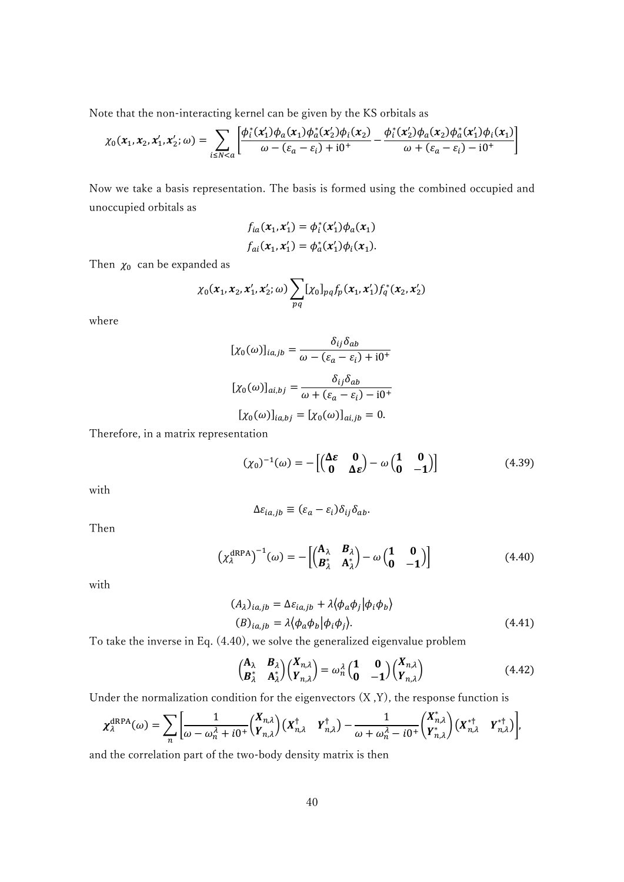Note that the non-interacting kernel can be given by the KS orbitals as

$$
\chi_0(x_1, x_2, x'_1, x'_2; \omega) = \sum_{i \le N < a} \left[ \frac{\phi_i^*(x'_1)\phi_a(x_1)\phi_a^*(x'_2)\phi_i(x_2)}{\omega - (\varepsilon_a - \varepsilon_i) + i0^+} - \frac{\phi_i^*(x'_2)\phi_a(x_2)\phi_a^*(x'_1)\phi_i(x_1)}{\omega + (\varepsilon_a - \varepsilon_i) - i0^+} \right]
$$

Now we take a basis representation. The basis is formed using the combined occupied and unoccupied orbitals as

$$
f_{ia}(x_1, x'_1) = \phi_i^*(x'_1)\phi_a(x_1)
$$
  

$$
f_{ai}(x_1, x'_1) = \phi_a^*(x'_1)\phi_i(x_1).
$$

Then  $\chi_0$  can be expanded as

$$
\chi_0(x_1, x_2, x_1', x_2'; \omega) \sum_{pq} [\chi_0]_{pq} f_p(x_1, x_1') f_q^*(x_2, x_2')
$$

where

$$
[\chi_0(\omega)]_{ia,jb} = \frac{\delta_{ij}\delta_{ab}}{\omega - (\varepsilon_a - \varepsilon_i) + i0^+}
$$

$$
[\chi_0(\omega)]_{ai,bj} = \frac{\delta_{ij}\delta_{ab}}{\omega + (\varepsilon_a - \varepsilon_i) - i0^+}
$$

$$
[\chi_0(\omega)]_{ia,bj} = [\chi_0(\omega)]_{ai,jb} = 0.
$$

Therefore, in a matrix representation

$$
(\chi_0)^{-1}(\omega) = -\begin{bmatrix} \begin{pmatrix} \Delta \varepsilon & \mathbf{0} \\ \mathbf{0} & \Delta \varepsilon \end{pmatrix} - \omega \begin{pmatrix} \mathbf{1} & \mathbf{0} \\ \mathbf{0} & -\mathbf{1} \end{pmatrix} \end{bmatrix}
$$
(4.39)

with

$$
\Delta \varepsilon_{ia,jb} \equiv (\varepsilon_a - \varepsilon_i) \delta_{ij} \delta_{ab}.
$$

Then

$$
\left(\chi_{\lambda}^{\text{dRPA}}\right)^{-1}(\omega) = -\left[\begin{pmatrix} \mathbf{A}_{\lambda} & \mathbf{B}_{\lambda} \\ \mathbf{B}_{\lambda}^{*} & \mathbf{A}_{\lambda}^{*} \end{pmatrix} - \omega \begin{pmatrix} \mathbf{1} & \mathbf{0} \\ \mathbf{0} & -\mathbf{1} \end{pmatrix}\right]
$$
(4.40)

with

$$
(A_{\lambda})_{ia,jb} = \Delta \varepsilon_{ia,jb} + \lambda \langle \phi_a \phi_j | \phi_i \phi_b \rangle
$$
  
\n
$$
(B)_{ia,jb} = \lambda \langle \phi_a \phi_b | \phi_i \phi_j \rangle.
$$
\n(4.41)

To take the inverse in Eq. (4.40), we solve the generalized eigenvalue problem

$$
\begin{pmatrix} \mathbf{A}_{\lambda} & \mathbf{B}_{\lambda} \\ \mathbf{B}_{\lambda}^{*} & \mathbf{A}_{\lambda}^{*} \end{pmatrix} \begin{pmatrix} X_{n,\lambda} \\ Y_{n,\lambda} \end{pmatrix} = \omega_n^{\lambda} \begin{pmatrix} \mathbf{1} & \mathbf{0} \\ \mathbf{0} & -\mathbf{1} \end{pmatrix} \begin{pmatrix} X_{n,\lambda} \\ Y_{n,\lambda} \end{pmatrix}
$$
(4.42)

Under the normalization condition for the eigenvectors  $(X, Y)$ , the response function is

$$
\chi_{\lambda}^{\text{dRPA}}(\omega) = \sum_{n} \left[ \frac{1}{\omega - \omega_n^{\lambda} + i0^{+}} {X_{n,\lambda} \choose Y_{n,\lambda}} (X_{n,\lambda}^{\dagger} Y_{n,\lambda}^{\dagger}) - \frac{1}{\omega + \omega_n^{\lambda} - i0^{+}} {X_{n,\lambda}^{*} \choose Y_{n,\lambda}^{*}} (X_{n,\lambda}^{* \dagger} Y_{n,\lambda}^{* \dagger}) \right],
$$

and the correlation part of the two-body density matrix is then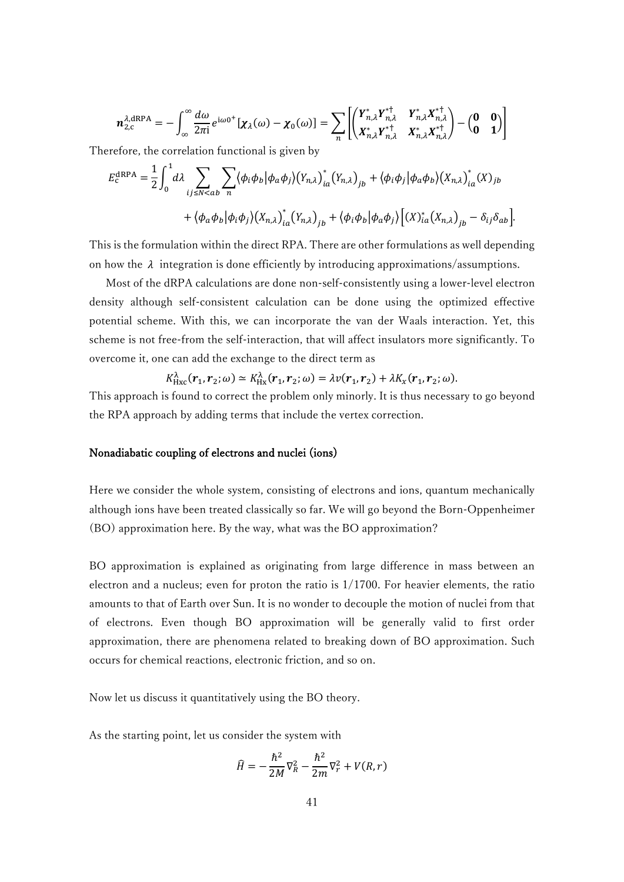$$
\boldsymbol{n}_{2,\mathrm{c}}^{\lambda,\mathrm{dRPA}} = -\int_{\infty}^{\infty} \frac{d\omega}{2\pi \mathrm{i}} e^{\mathrm{i}\omega 0^+} [\boldsymbol{\chi}_{\lambda}(\omega) - \boldsymbol{\chi}_{0}(\omega)] = \sum_{n} \left[ \begin{pmatrix} \boldsymbol{Y}_{n,\lambda}^{*} \boldsymbol{Y}_{n,\lambda}^{* \dagger} & \boldsymbol{Y}_{n,\lambda}^{*} \boldsymbol{X}_{n,\lambda}^{* \dagger} \\ \boldsymbol{X}_{n,\lambda}^{*} \boldsymbol{Y}_{n,\lambda}^{* \dagger} & \boldsymbol{X}_{n,\lambda}^{*} \boldsymbol{X}_{n,\lambda}^{* \dagger} \end{pmatrix} - \begin{pmatrix} \mathbf{0} & \mathbf{0} \\ \mathbf{0} & \mathbf{1} \end{pmatrix} \right]
$$

Therefore, the correlation functional is given by

$$
E_{c}^{\text{dRPA}} = \frac{1}{2} \int_{0}^{1} d\lambda \sum_{ij \le N < ab} \sum_{n} \langle \phi_{i} \phi_{b} | \phi_{a} \phi_{j} \rangle \left(Y_{n,\lambda}\right)_{ia}^{*} \left(Y_{n,\lambda}\right)_{jb} + \langle \phi_{i} \phi_{j} | \phi_{a} \phi_{b} \rangle \left(X_{n,\lambda}\right)_{ia}^{*} \left(X\right)_{jb} + \langle \phi_{a} \phi_{b} | \phi_{i} \phi_{j} \rangle \left(X_{n,\lambda}\right)_{ia}^{*} \left(Y_{n,\lambda}\right)_{jb} + \langle \phi_{i} \phi_{b} | \phi_{a} \phi_{j} \rangle \left[\left(X\right)_{ia}^{*} \left(X_{n,\lambda}\right)_{jb} - \delta_{ij} \delta_{ab}\right].
$$

This is the formulation within the direct RPA. There are other formulations as well depending on how the  $\lambda$  integration is done efficiently by introducing approximations/assumptions.

 Most of the dRPA calculations are done non-self-consistently using a lower-level electron density although self-consistent calculation can be done using the optimized effective potential scheme. With this, we can incorporate the van der Waals interaction. Yet, this scheme is not free-from the self-interaction, that will affect insulators more significantly. To overcome it, one can add the exchange to the direct term as

$$
K_{\text{Hxc}}^{\lambda}(\boldsymbol{r}_1,\boldsymbol{r}_2;\omega)\simeq K_{\text{Hx}}^{\lambda}(\boldsymbol{r}_1,\boldsymbol{r}_2;\omega)=\lambda v(\boldsymbol{r}_1,\boldsymbol{r}_2)+\lambda K_{x}(\boldsymbol{r}_1,\boldsymbol{r}_2;\omega).
$$

This approach is found to correct the problem only minorly. It is thus necessary to go beyond the RPA approach by adding terms that include the vertex correction.

## Nonadiabatic coupling of electrons and nuclei (ions)

Here we consider the whole system, consisting of electrons and ions, quantum mechanically although ions have been treated classically so far. We will go beyond the Born-Oppenheimer (BO) approximation here. By the way, what was the BO approximation?

BO approximation is explained as originating from large difference in mass between an electron and a nucleus; even for proton the ratio is  $1/1700$ . For heavier elements, the ratio amounts to that of Earth over Sun. It is no wonder to decouple the motion of nuclei from that of electrons. Even though BO approximation will be generally valid to first order approximation, there are phenomena related to breaking down of BO approximation. Such occurs for chemical reactions, electronic friction, and so on.

Now let us discuss it quantitatively using the BO theory.

As the starting point, let us consider the system with

$$
\hat{H} = -\frac{\hbar^2}{2M}\nabla_R^2 - \frac{\hbar^2}{2m}\nabla_r^2 + V(R,r)
$$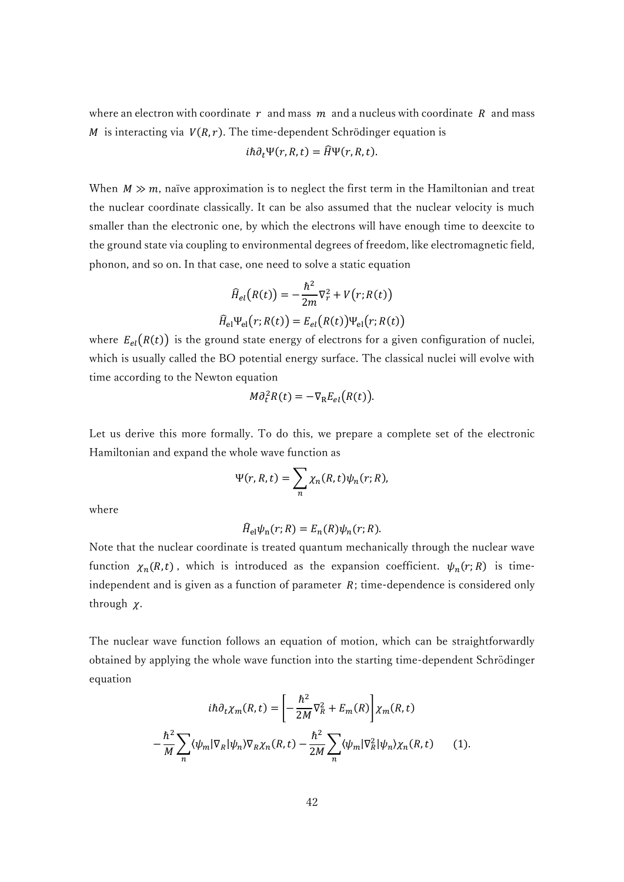where an electron with coordinate  $r$  and mass  $m$  and a nucleus with coordinate  $R$  and mass M is interacting via  $V(R, r)$ . The time-dependent Schrödinger equation is

$$
i\hbar \partial_t \Psi(r, R, t) = \widehat{H} \Psi(r, R, t).
$$

When  $M \gg m$ , naïve approximation is to neglect the first term in the Hamiltonian and treat the nuclear coordinate classically. It can be also assumed that the nuclear velocity is much smaller than the electronic one, by which the electrons will have enough time to deexcite to the ground state via coupling to environmental degrees of freedom, like electromagnetic field, phonon, and so on. In that case, one need to solve a static equation

$$
\widehat{H}_{el}(R(t)) = -\frac{\hbar^2}{2m}\nabla_r^2 + V(r;R(t))
$$

$$
\widehat{H}_{el}\Psi_{el}(r;R(t)) = E_{el}(R(t))\Psi_{el}(r;R(t))
$$

where  $E_{el}(R(t))$  is the ground state energy of electrons for a given configuration of nuclei, which is usually called the BO potential energy surface. The classical nuclei will evolve with time according to the Newton equation

$$
M\partial_t^2 R(t) = -\nabla_{\mathbf{R}} E_{el}(R(t)).
$$

Let us derive this more formally. To do this, we prepare a complete set of the electronic Hamiltonian and expand the whole wave function as

$$
\Psi(r, R, t) = \sum_{n} \chi_n(R, t) \psi_n(r; R),
$$

where

$$
\widehat{H}_{\mathrm{el}}\psi_{\mathrm{n}}(r;R)=E_{n}(R)\psi_{n}(r;R).
$$

Note that the nuclear coordinate is treated quantum mechanically through the nuclear wave function  $\chi_n(R,t)$ , which is introduced as the expansion coefficient.  $\psi_n(r;R)$  is timeindependent and is given as a function of parameter *; time-dependence is considered only* through  $\chi$ .

The nuclear wave function follows an equation of motion, which can be straightforwardly obtained by applying the whole wave function into the starting time-dependent Schrödinger equation

$$
i\hbar \partial_t \chi_m(R,t) = \left[ -\frac{\hbar^2}{2M} \nabla_R^2 + E_m(R) \right] \chi_m(R,t)
$$

$$
-\frac{\hbar^2}{M} \sum_n \langle \psi_m | \nabla_R | \psi_n \rangle \nabla_R \chi_n(R,t) - \frac{\hbar^2}{2M} \sum_n \langle \psi_m | \nabla_R^2 | \psi_n \rangle \chi_n(R,t) \qquad (1).
$$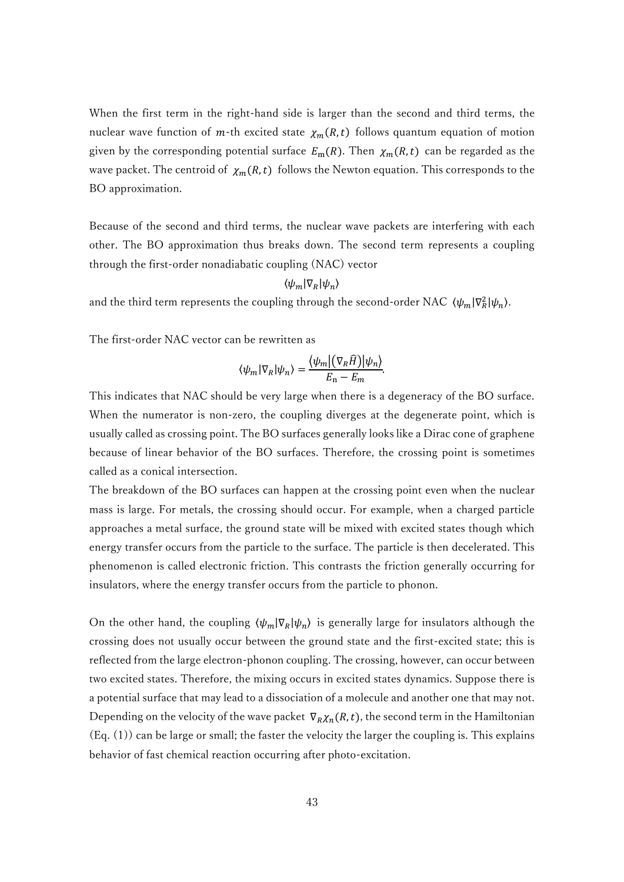When the first term in the right-hand side is larger than the second and third terms, the nuclear wave function of m-th excited state  $\chi_m(R,t)$  follows quantum equation of motion given by the corresponding potential surface  $E_m(R)$ . Then  $\chi_m(R,t)$  can be regarded as the wave packet. The centroid of  $\chi_m(R,t)$  follows the Newton equation. This corresponds to the BO approximation.

Because of the second and third terms, the nuclear wave packets are interfering with each other. The BO approximation thus breaks down. The second term represents a coupling through the first-order nonadiabatic coupling (NAC) vector

# $\langle \psi_m | \nabla_R | \psi_n \rangle$

and the third term represents the coupling through the second-order NAC  $\langle \psi_m | \nabla_R^2 | \psi_n \rangle$ .

The first-order NAC vector can be rewritten as

$$
\langle \psi_m | \nabla_R | \psi_n \rangle = \frac{\langle \psi_m | (\nabla_R \widehat{H}) | \psi_n \rangle}{E_n - E_m}.
$$

This indicates that NAC should be very large when there is a degeneracy of the BO surface. When the numerator is non-zero, the coupling diverges at the degenerate point, which is usually called as crossing point. The BO surfaces generally looks like a Dirac cone of graphene because of linear behavior of the BO surfaces. Therefore, the crossing point is sometimes called as a conical intersection.

The breakdown of the BO surfaces can happen at the crossing point even when the nuclear mass is large. For metals, the crossing should occur. For example, when a charged particle approaches a metal surface, the ground state will be mixed with excited states though which energy transfer occurs from the particle to the surface. The particle is then decelerated. This phenomenon is called electronic friction. This contrasts the friction generally occurring for insulators, where the energy transfer occurs from the particle to phonon.

On the other hand, the coupling  $\langle \psi_m | \nabla_R | \psi_n \rangle$  is generally large for insulators although the crossing does not usually occur between the ground state and the first-excited state; this is reflected from the large electron-phonon coupling. The crossing, however, can occur between two excited states. Therefore, the mixing occurs in excited states dynamics. Suppose there is a potential surface that may lead to a dissociation of a molecule and another one that may not. Depending on the velocity of the wave packet  $\nabla_R \chi_n(R,t)$ , the second term in the Hamiltonian (Eq. (1)) can be large or small; the faster the velocity the larger the coupling is. This explains behavior of fast chemical reaction occurring after photo-excitation.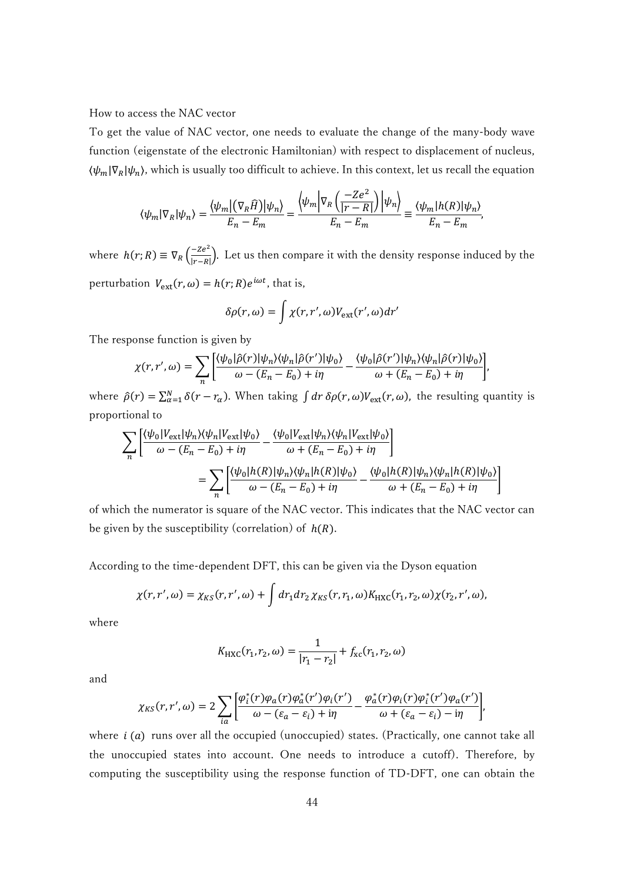### How to access the NAC vector

To get the value of NAC vector, one needs to evaluate the change of the many-body wave function (eigenstate of the electronic Hamiltonian) with respect to displacement of nucleus,  $\langle \psi_m | \nabla_R | \psi_n \rangle$ , which is usually too difficult to achieve. In this context, let us recall the equation

$$
\langle \psi_m | \nabla_R | \psi_n \rangle = \frac{\langle \psi_m | (\nabla_R \widehat{H}) | \psi_n \rangle}{E_n - E_m} = \frac{\langle \psi_m | \nabla_R \left( \frac{-Ze^2}{|r - R|} \right) | \psi_n \rangle}{E_n - E_m} \equiv \frac{\langle \psi_m | h(R) | \psi_n \rangle}{E_n - E_m},
$$

where  $h(r; R) \equiv \nabla_R \left( \frac{-Ze^2}{|r-R|} \right)$  $\frac{-2e^{-}}{|r-R|}$ ). Let us then compare it with the density response induced by the perturbation  $V_{ext}(r, \omega) = h(r; R)e^{i\omega t}$ , that is,

$$
\delta\rho(r,\omega)=\int \chi(r,r',\omega)V_{\rm ext}(r',\omega)dr'
$$

The response function is given by

$$
\chi(r,r',\omega) = \sum_{n} \left[ \frac{\langle \psi_0 | \hat{\rho}(r) | \psi_n \rangle \langle \psi_n | \hat{\rho}(r') | \psi_0 \rangle}{\omega - (E_n - E_0) + i\eta} - \frac{\langle \psi_0 | \hat{\rho}(r') | \psi_n \rangle \langle \psi_n | \hat{\rho}(r) | \psi_0 \rangle}{\omega + (E_n - E_0) + i\eta} \right],
$$

where  $\hat{\rho}(r) = \sum_{\alpha=1}^{N} \delta(r - r_{\alpha})$ . When taking  $\int dr \, \delta \rho(r, \omega) V_{ext}(r, \omega)$ , the resulting quantity is proportional to

$$
\sum_{n} \left[ \frac{\langle \psi_0 | V_{\text{ext}} | \psi_n \rangle \langle \psi_n | V_{\text{ext}} | \psi_0 \rangle}{\omega - (E_n - E_0) + i\eta} - \frac{\langle \psi_0 | V_{\text{ext}} | \psi_n \rangle \langle \psi_n | V_{\text{ext}} | \psi_0 \rangle}{\omega + (E_n - E_0) + i\eta} \right]
$$
  
= 
$$
\sum_{n} \left[ \frac{\langle \psi_0 | h(R) | \psi_n \rangle \langle \psi_n | h(R) | \psi_0 \rangle}{\omega - (E_n - E_0) + i\eta} - \frac{\langle \psi_0 | h(R) | \psi_n \rangle \langle \psi_n | h(R) | \psi_0 \rangle}{\omega + (E_n - E_0) + i\eta} \right]
$$

of which the numerator is square of the NAC vector. This indicates that the NAC vector can be given by the susceptibility (correlation) of  $h(R)$ .

According to the time-dependent DFT, this can be given via the Dyson equation

$$
\chi(r,r',\omega) = \chi_{KS}(r,r',\omega) + \int dr_1 dr_2 \,\chi_{KS}(r,r_1,\omega) K_{\rm HXC}(r_1,r_2,\omega) \chi(r_2,r',\omega),
$$

where

$$
K_{\rm HXC}(r_1, r_2, \omega) = \frac{1}{|r_1 - r_2|} + f_{\rm xc}(r_1, r_2, \omega)
$$

and

$$
\chi_{KS}(r,r',\omega)=2\sum_{ia}\left[\frac{\varphi_i^*(r)\varphi_a(r)\varphi_a^*(r')\varphi_i(r')}{\omega-(\varepsilon_a-\varepsilon_i)+i\eta}-\frac{\varphi_a^*(r)\varphi_i(r)\varphi_i^*(r')\varphi_a(r')}{\omega+(\varepsilon_a-\varepsilon_i)-i\eta}\right],
$$

where  $i(a)$  runs over all the occupied (unoccupied) states. (Practically, one cannot take all the unoccupied states into account. One needs to introduce a cutoff). Therefore, by computing the susceptibility using the response function of TD-DFT, one can obtain the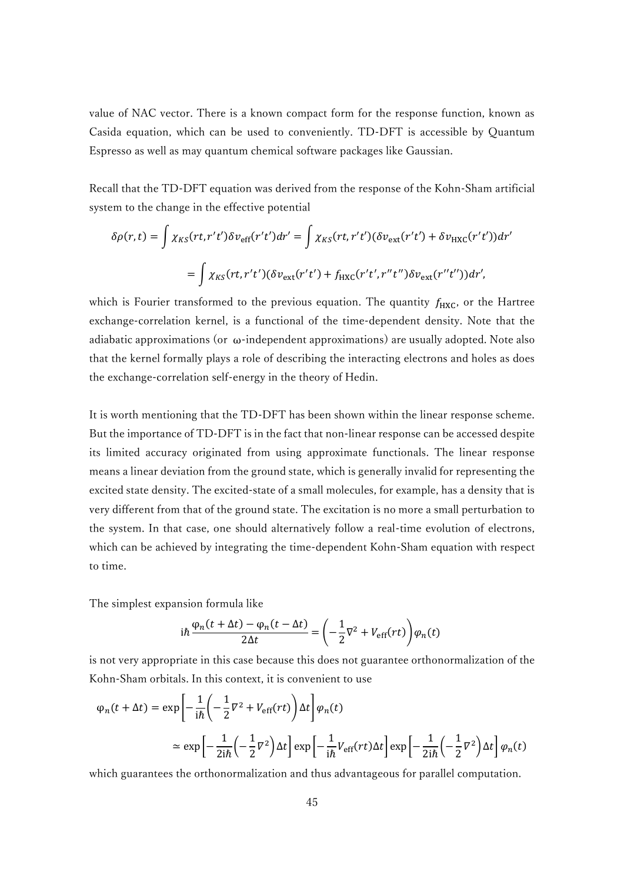value of NAC vector. There is a known compact form for the response function, known as Casida equation, which can be used to conveniently. TD-DFT is accessible by Quantum Espresso as well as may quantum chemical software packages like Gaussian.

Recall that the TD-DFT equation was derived from the response of the Kohn-Sham artificial system to the change in the effective potential

$$
\delta \rho(r,t) = \int \chi_{KS}(rt, r't') \delta v_{\rm eff}(r't') dr' = \int \chi_{KS}(rt, r't') (\delta v_{\rm ext}(r't') + \delta v_{\rm HXC}(r't')) dr'
$$

$$
= \int \chi_{KS}(rt, r't') (\delta v_{\rm ext}(r't') + f_{\rm HXC}(r't', r''t'') \delta v_{\rm ext}(r''t')) dr',
$$

which is Fourier transformed to the previous equation. The quantity  $f_{\text{HXC}}$ , or the Hartree exchange-correlation kernel, is a functional of the time-dependent density. Note that the adiabatic approximations (or  $\omega$ -independent approximations) are usually adopted. Note also that the kernel formally plays a role of describing the interacting electrons and holes as does the exchange-correlation self-energy in the theory of Hedin.

It is worth mentioning that the TD-DFT has been shown within the linear response scheme. But the importance of TD-DFT is in the fact that non-linear response can be accessed despite its limited accuracy originated from using approximate functionals. The linear response means a linear deviation from the ground state, which is generally invalid for representing the excited state density. The excited-state of a small molecules, for example, has a density that is very different from that of the ground state. The excitation is no more a small perturbation to the system. In that case, one should alternatively follow a real-time evolution of electrons, which can be achieved by integrating the time-dependent Kohn-Sham equation with respect to time.

The simplest expansion formula like

$$
i\hbar \frac{\varphi_n(t + \Delta t) - \varphi_n(t - \Delta t)}{2\Delta t} = \left(-\frac{1}{2}\nabla^2 + V_{\text{eff}}(rt)\right)\varphi_n(t)
$$

is not very appropriate in this case because this does not guarantee orthonormalization of the Kohn-Sham orbitals. In this context, it is convenient to use

$$
\varphi_n(t + \Delta t) = \exp\left[-\frac{1}{i\hbar} \left(-\frac{1}{2}\nabla^2 + V_{\text{eff}}(rt)\right)\Delta t\right] \varphi_n(t)
$$
  

$$
\approx \exp\left[-\frac{1}{2i\hbar} \left(-\frac{1}{2}\nabla^2\right)\Delta t\right] \exp\left[-\frac{1}{i\hbar}V_{\text{eff}}(rt)\Delta t\right] \exp\left[-\frac{1}{2i\hbar} \left(-\frac{1}{2}\nabla^2\right)\Delta t\right] \varphi_n(t)
$$

which guarantees the orthonormalization and thus advantageous for parallel computation.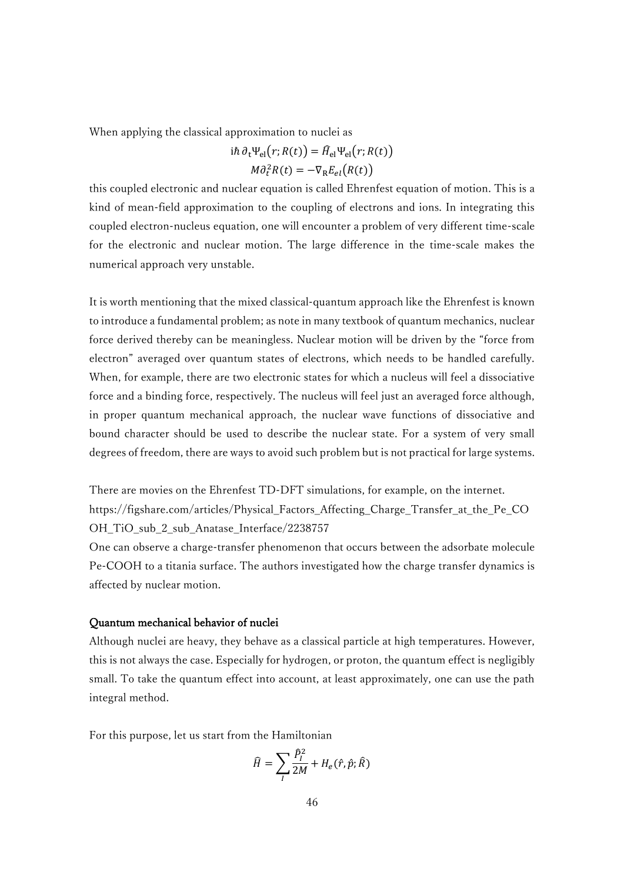When applying the classical approximation to nuclei as

$$
i\hbar \partial_t \Psi_{\text{el}}(r; R(t)) = \hat{H}_{\text{el}} \Psi_{\text{el}}(r; R(t))
$$

$$
M \partial_t^2 R(t) = -\nabla_R E_{el}(R(t))
$$

this coupled electronic and nuclear equation is called Ehrenfest equation of motion. This is a kind of mean-field approximation to the coupling of electrons and ions. In integrating this coupled electron-nucleus equation, one will encounter a problem of very different time-scale for the electronic and nuclear motion. The large difference in the time-scale makes the numerical approach very unstable.

It is worth mentioning that the mixed classical-quantum approach like the Ehrenfest is known to introduce a fundamental problem; as note in many textbook of quantum mechanics, nuclear force derived thereby can be meaningless. Nuclear motion will be driven by the "force from electron" averaged over quantum states of electrons, which needs to be handled carefully. When, for example, there are two electronic states for which a nucleus will feel a dissociative force and a binding force, respectively. The nucleus will feel just an averaged force although, in proper quantum mechanical approach, the nuclear wave functions of dissociative and bound character should be used to describe the nuclear state. For a system of very small degrees of freedom, there are ways to avoid such problem but is not practical for large systems.

There are movies on the Ehrenfest TD-DFT simulations, for example, on the internet. https://figshare.com/articles/Physical\_Factors\_Affecting\_Charge\_Transfer\_at\_the\_Pe\_CO OH\_TiO\_sub\_2\_sub\_Anatase\_Interface/2238757

One can observe a charge-transfer phenomenon that occurs between the adsorbate molecule Pe-COOH to a titania surface. The authors investigated how the charge transfer dynamics is affected by nuclear motion.

# Quantum mechanical behavior of nuclei

Although nuclei are heavy, they behave as a classical particle at high temperatures. However, this is not always the case. Especially for hydrogen, or proton, the quantum effect is negligibly small. To take the quantum effect into account, at least approximately, one can use the path integral method.

For this purpose, let us start from the Hamiltonian

$$
\widehat{H} = \sum_{I} \frac{\widehat{P}_{I}^{2}}{2M} + H_{e}(\hat{r}, \hat{p}; \widehat{R})
$$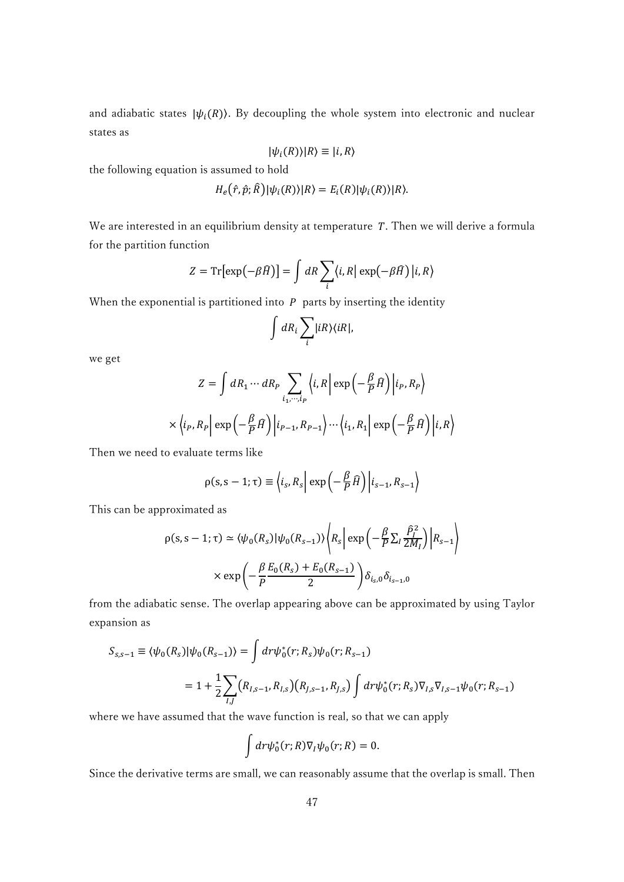and adiabatic states  $|\psi_i(R)\rangle$ . By decoupling the whole system into electronic and nuclear states as

$$
|\psi_i(R)\rangle|R\rangle\equiv|i,R\rangle
$$

the following equation is assumed to hold

$$
H_e(\hat{r}, \hat{p}; \hat{R})|\psi_i(R)\rangle|R\rangle = E_i(R)|\psi_i(R)\rangle|R\rangle.
$$

We are interested in an equilibrium density at temperature  $T$ . Then we will derive a formula for the partition function

$$
Z = \text{Tr}[\exp(-\beta \hat{H})] = \int dR \sum_{i} \langle i, R | \exp(-\beta \hat{H}) | i, R \rangle
$$

When the exponential is partitioned into  $P$  parts by inserting the identity

$$
\int dR_i \sum_i |iR\rangle\langle iR|,
$$

we get

$$
Z = \int dR_1 \cdots dR_P \sum_{i_1, \cdots, i_P} \left\langle i, R \right| \exp\left(-\frac{\beta}{P} \widehat{H}\right) \left| i_P, R_P \right\rangle
$$

$$
\times \left\langle i_P, R_P \right| \exp\left(-\frac{\beta}{P} \widehat{H}\right) \left| i_{P-1}, R_{P-1} \right\rangle \cdots \left\langle i_1, R_1 \right| \exp\left(-\frac{\beta}{P} \widehat{H}\right) \left| i, R \right\rangle
$$

Then we need to evaluate terms like

$$
\rho(s, s-1; \tau) \equiv \left\langle i_s, R_s \right| \exp \left( -\frac{\beta}{P} \widehat{H} \right) \left| i_{s-1}, R_{s-1} \right\rangle
$$

This can be approximated as

$$
\rho(s, s-1; \tau) \simeq \langle \psi_0(R_s) | \psi_0(R_{s-1}) \rangle \left\langle R_s \right| \exp\left(-\frac{\beta}{P} \sum_l \frac{\hat{P}_l^2}{2M_l}\right) \left| R_{s-1} \right\rangle
$$

$$
\times \exp\left(-\frac{\beta}{P} \frac{E_0(R_s) + E_0(R_{s-1})}{2}\right) \delta_{i_s,0} \delta_{i_{s-1},0}
$$

from the adiabatic sense. The overlap appearing above can be approximated by using Taylor expansion as

$$
S_{s,s-1} \equiv \langle \psi_0(R_s) | \psi_0(R_{s-1}) \rangle = \int dr \psi_0^*(r; R_s) \psi_0(r; R_{s-1})
$$
  
=  $1 + \frac{1}{2} \sum_{I,J} (R_{I,s-1}, R_{I,s}) (R_{J,s-1}, R_{J,s}) \int dr \psi_0^*(r; R_s) \nabla_{I,s} \nabla_{I,s-1} \psi_0(r; R_{s-1})$ 

where we have assumed that the wave function is real, so that we can apply

$$
\int dr \psi_0^*(r;R)\nabla_I \psi_0(r;R) = 0.
$$

Since the derivative terms are small, we can reasonably assume that the overlap is small. Then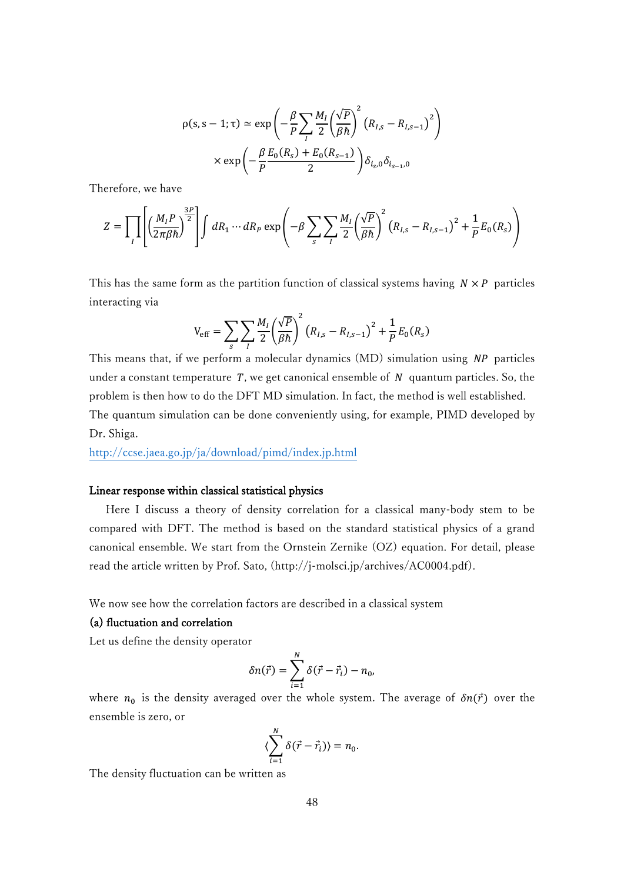$$
\rho(s, s-1; \tau) \simeq \exp\left(-\frac{\beta}{P} \sum_{I} \frac{M_I}{2} \left(\frac{\sqrt{P}}{\beta \hbar}\right)^2 \left(R_{I,s} - R_{I,s-1}\right)^2\right)
$$

$$
\times \exp\left(-\frac{\beta E_0(R_s) + E_0(R_{s-1})}{2}\right) \delta_{i_s,0} \delta_{i_{s-1},0}
$$

Therefore, we have

$$
Z = \prod_{I} \left[ \left( \frac{M_I P}{2\pi \beta \hbar} \right)^{\frac{3P}{2}} \right] \int dR_1 \cdots dR_P \exp \left( -\beta \sum_{s} \sum_{I} \frac{M_I}{2} \left( \frac{\sqrt{P}}{\beta \hbar} \right)^2 \left( R_{I,s} - R_{I,s-1} \right)^2 + \frac{1}{P} E_0(R_s) \right)
$$

This has the same form as the partition function of classical systems having  $N \times P$  particles interacting via

$$
V_{\rm eff} = \sum_{s} \sum_{I} \frac{M_{I}}{2} \left(\frac{\sqrt{P}}{\beta \hbar}\right)^{2} \left(R_{I,s} - R_{I,s-1}\right)^{2} + \frac{1}{P} E_{0}(R_{s})
$$

This means that, if we perform a molecular dynamics  $(MD)$  simulation using  $NP$  particles under a constant temperature  $T$ , we get canonical ensemble of  $N$  quantum particles. So, the problem is then how to do the DFT MD simulation. In fact, the method is well established. The quantum simulation can be done conveniently using, for example, PIMD developed by Dr. Shiga.

<http://ccse.jaea.go.jp/ja/download/pimd/index.jp.html>

# Linear response within classical statistical physics

 Here I discuss a theory of density correlation for a classical many-body stem to be compared with DFT. The method is based on the standard statistical physics of a grand canonical ensemble. We start from the Ornstein Zernike (OZ) equation. For detail, please read the article written by Prof. Sato, (http://j-molsci.jp/archives/AC0004.pdf).

We now see how the correlation factors are described in a classical system

# (a) fluctuation and correlation

Let us define the density operator

$$
\delta n(\vec{r}) = \sum_{i=1}^{N} \delta(\vec{r} - \vec{r}_i) - n_0,
$$

where  $n_0$  is the density averaged over the whole system. The average of  $\delta n(\vec{r})$  over the ensemble is zero, or

$$
\langle \sum_{i=1}^N \delta(\vec{r} - \vec{r}_i) \rangle = n_0.
$$

The density fluctuation can be written as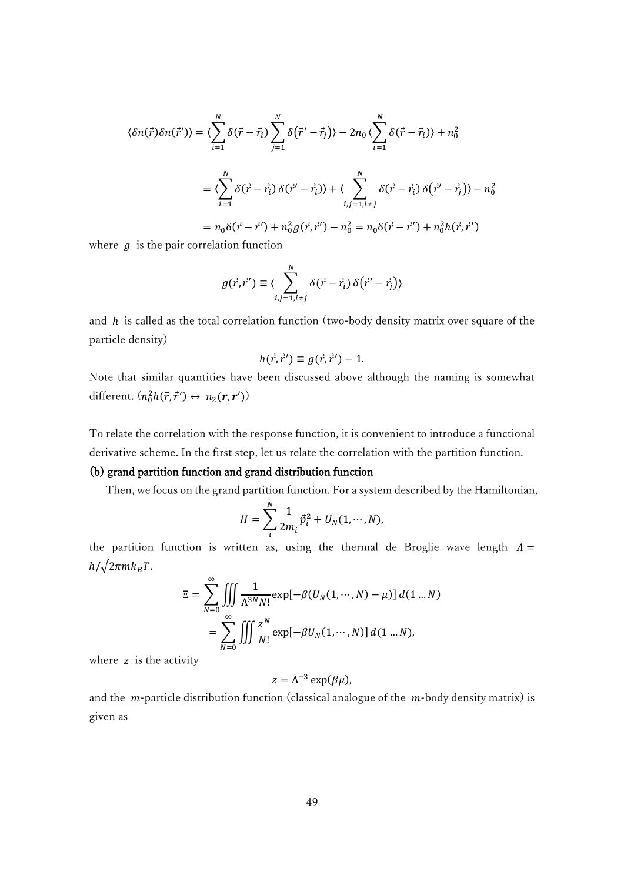$$
\langle \delta n(\vec{r}) \delta n(\vec{r}') \rangle = \langle \sum_{i=1}^{N} \delta(\vec{r} - \vec{r}_i) \sum_{j=1}^{N} \delta(\vec{r}' - \vec{r}_j) \rangle - 2n_0 \langle \sum_{i=1}^{N} \delta(\vec{r} - \vec{r}_i) \rangle + n_0^2
$$
  

$$
= \langle \sum_{i=1}^{N} \delta(\vec{r} - \vec{r}_i) \delta(\vec{r}' - \vec{r}_i) \rangle + \langle \sum_{i,j=1, i \neq j}^{N} \delta(\vec{r} - \vec{r}_i) \delta(\vec{r}' - \vec{r}_j) \rangle - n_0^2
$$
  

$$
= n_0 \delta(\vec{r} - \vec{r}') + n_0^2 g(\vec{r}, \vec{r}') - n_0^2 = n_0 \delta(\vec{r} - \vec{r}') + n_0^2 h(\vec{r}, \vec{r}')
$$

where  $g$  is the pair correlation function

$$
g(\vec{r},\vec{r}') \equiv \langle \sum_{i,j=1,i\neq j}^{N} \delta(\vec{r}-\vec{r}_i) \,\delta(\vec{r}'-\vec{r}_j) \rangle
$$

and  $h$  is called as the total correlation function (two-body density matrix over square of the particle density)

$$
h(\vec{r},\vec{r}') \equiv g(\vec{r},\vec{r}') - 1.
$$

Note that similar quantities have been discussed above although the naming is somewhat different.  $(n_0^2h(\vec{r}, \vec{r}') \leftrightarrow n_2(r, r'))$ 

To relate the correlation with the response function, it is convenient to introduce a functional derivative scheme. In the first step, let us relate the correlation with the partition function.

# (b) grand partition function and grand distribution function

Then, we focus on the grand partition function. For a system described by the Hamiltonian,

$$
H = \sum_{i}^{N} \frac{1}{2m_i} \vec{p}_i^2 + U_N(1, \dots, N),
$$

the partition function is written as, using the thermal de Broglie wave length  $\Lambda =$  $h/\sqrt{2\pi mk_BT}$ ,

$$
\Xi = \sum_{N=0}^{\infty} \iiint \frac{1}{\Lambda^{3N} N!} \exp[-\beta (U_N(1,\cdots,N) - \mu)] d(1 \dots N)
$$

$$
= \sum_{N=0}^{\infty} \iiint \frac{z^N}{N!} \exp[-\beta U_N(1,\cdots,N)] d(1 \dots N),
$$

where  $z$  is the activity

$$
z=\Lambda^{-3}\exp(\beta\mu),
$$

and the  $m$ -particle distribution function (classical analogue of the  $m$ -body density matrix) is given as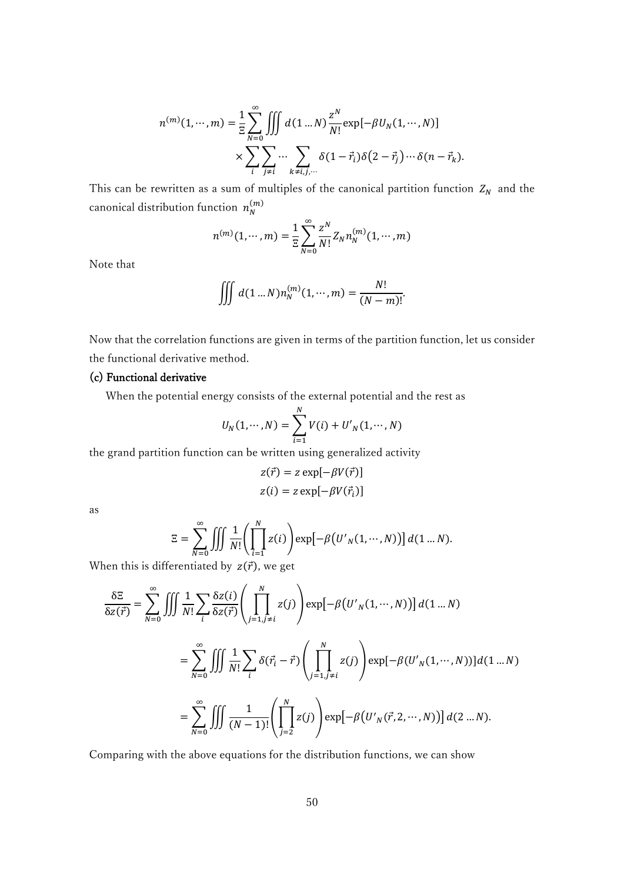$$
n^{(m)}(1,\cdots,m) = \frac{1}{\Xi} \sum_{N=0}^{\infty} \iiint d(1 \dots N) \frac{z^N}{N!} \exp[-\beta U_N(1,\cdots,N)]
$$

$$
\times \sum_{i} \sum_{j \neq i} \cdots \sum_{k \neq i,j,\cdots} \delta(1-\vec{r}_i) \delta(2-\vec{r}_j) \cdots \delta(n-\vec{r}_k).
$$

This can be rewritten as a sum of multiples of the canonical partition function  $Z_N$  and the canonical distribution function  $n_N^{(m)}$ 

$$
n^{(m)}(1,\cdots,m) = \frac{1}{\Xi} \sum_{N=0}^{\infty} \frac{z^N}{N!} Z_N n_N^{(m)}(1,\cdots,m)
$$

Note that

$$
\iiint d(1...N)n_N^{(m)}(1,\cdots,m)=\frac{N!}{(N-m)!}.
$$

Now that the correlation functions are given in terms of the partition function, let us consider the functional derivative method.

# (c) Functional derivative

When the potential energy consists of the external potential and the rest as

$$
U_N(1, \dots, N) = \sum_{i=1}^N V(i) + U'_N(1, \dots, N)
$$

the grand partition function can be written using generalized activity

$$
z(\vec{r}) = z \exp[-\beta V(\vec{r})]
$$

$$
z(i) = z \exp[-\beta V(\vec{r}_i)]
$$

as

$$
\Xi = \sum_{N=0}^{\infty} \iiint \frac{1}{N!} \left( \prod_{i=1}^{N} z(i) \right) \exp[-\beta \left( U'_{N}(1, \cdots, N) \right)] d(1 \dots N).
$$

When this is differentiated by  $z(\vec{r})$ , we get

$$
\frac{\delta \Xi}{\delta z(\vec{r})} = \sum_{N=0}^{\infty} \iiint \frac{1}{N!} \sum_{i} \frac{\delta z(i)}{\delta z(\vec{r})} \left( \prod_{j=1, j \neq i}^{N} z(j) \right) \exp[-\beta \left( U'_{N}(1, \dots, N) \right)] d(1 \dots N)
$$

$$
= \sum_{N=0}^{\infty} \iiint \frac{1}{N!} \sum_{i} \delta(\vec{r}_{i} - \vec{r}) \left( \prod_{j=1, j \neq i}^{N} z(j) \right) \exp[-\beta \left( U'_{N}(1, \dots, N) \right)] d(1 \dots N)
$$

$$
= \sum_{N=0}^{\infty} \iiint \frac{1}{(N-1)!} \left( \prod_{j=2}^{N} z(j) \right) \exp[-\beta \left( U'_{N}(\vec{r}, 2, \dots, N) \right)] d(2 \dots N).
$$

Comparing with the above equations for the distribution functions, we can show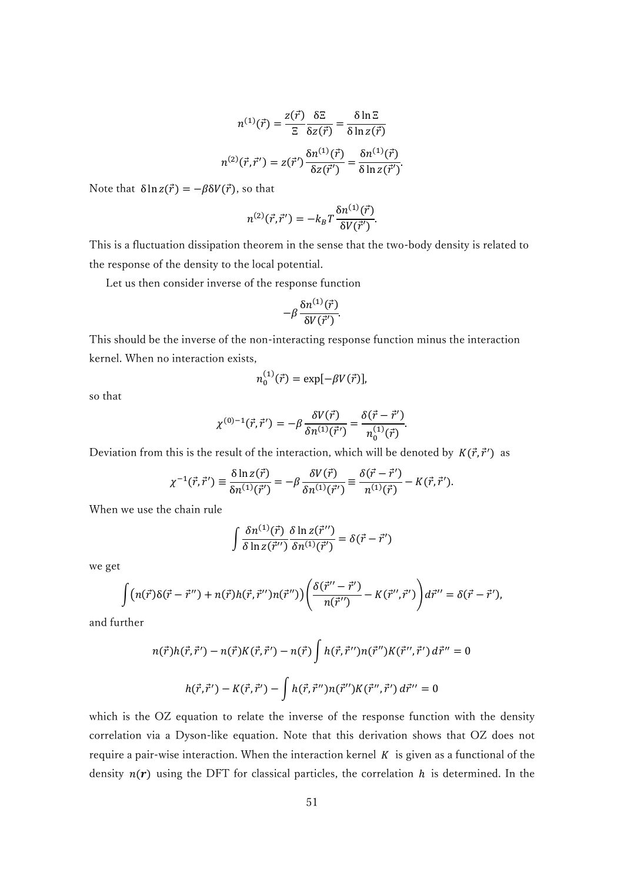$$
n^{(1)}(\vec{r}) = \frac{z(\vec{r})}{\Xi} \frac{\delta \Xi}{\delta z(\vec{r})} = \frac{\delta \ln \Xi}{\delta \ln z(\vec{r})}
$$

$$
n^{(2)}(\vec{r}, \vec{r}') = z(\vec{r}') \frac{\delta n^{(1)}(\vec{r})}{\delta z(\vec{r}')} = \frac{\delta n^{(1)}(\vec{r})}{\delta \ln z(\vec{r}')}
$$

.

Note that  $\delta \ln z(\vec{r}) = -\beta \delta V(\vec{r})$ , so that

$$
n^{(2)}(\vec{r},\vec{r}') = -k_B T \frac{\delta n^{(1)}(\vec{r})}{\delta V(\vec{r}')}.
$$

This is a fluctuation dissipation theorem in the sense that the two-body density is related to the response of the density to the local potential.

Let us then consider inverse of the response function

$$
-\beta \frac{\delta n^{(1)}(\vec{r})}{\delta V(\vec{r}')}.
$$

This should be the inverse of the non-interacting response function minus the interaction kernel. When no interaction exists,

$$
n_0^{(1)}(\vec{r}) = \exp[-\beta V(\vec{r})],
$$

so that

$$
\chi^{(0)-1}(\vec{r},\vec{r}') = -\beta \frac{\delta V(\vec{r})}{\delta n^{(1)}(\vec{r}') } = \frac{\delta(\vec{r}-\vec{r}')}{n_0^{(1)}(\vec{r})}.
$$

Deviation from this is the result of the interaction, which will be denoted by  $K(\vec{r}, \vec{r}')$  as

$$
\chi^{-1}(\vec{r},\vec{r}') \equiv \frac{\delta \ln z(\vec{r})}{\delta n^{(1)}(\vec{r}')} = -\beta \frac{\delta V(\vec{r})}{\delta n^{(1)}(\vec{r}')} \equiv \frac{\delta(\vec{r}-\vec{r}')}{n^{(1)}(\vec{r})} - K(\vec{r},\vec{r}').
$$

When we use the chain rule

$$
\int \frac{\delta n^{(1)}(\vec{r})}{\delta \ln z(\vec{r}^{"})} \frac{\delta \ln z(\vec{r}^{"})}{\delta n^{(1)}(\vec{r}^{"})} = \delta(\vec{r} - \vec{r}^{"})
$$

we get

$$
\int (n(\vec{r})\delta(\vec{r}-\vec{r}'') + n(\vec{r})h(\vec{r},\vec{r}'')n(\vec{r}'')) \left(\frac{\delta(\vec{r}''-\vec{r}')}{n(\vec{r}'')} - K(\vec{r}'',\vec{r}')\right) d\vec{r}'' = \delta(\vec{r}-\vec{r}'),
$$

and further

$$
n(\vec{r})h(\vec{r},\vec{r}') - n(\vec{r})K(\vec{r},\vec{r}') - n(\vec{r})\int h(\vec{r},\vec{r}'')n(\vec{r}'')K(\vec{r}''',\vec{r}') d\vec{r}'' = 0
$$
  

$$
h(\vec{r},\vec{r}') - K(\vec{r},\vec{r}') - \int h(\vec{r},\vec{r}'')n(\vec{r}'')K(\vec{r}''',\vec{r}') d\vec{r}'' = 0
$$

which is the OZ equation to relate the inverse of the response function with the density correlation via a Dyson-like equation. Note that this derivation shows that OZ does not require a pair-wise interaction. When the interaction kernel  $K$  is given as a functional of the density  $n(r)$  using the DFT for classical particles, the correlation h is determined. In the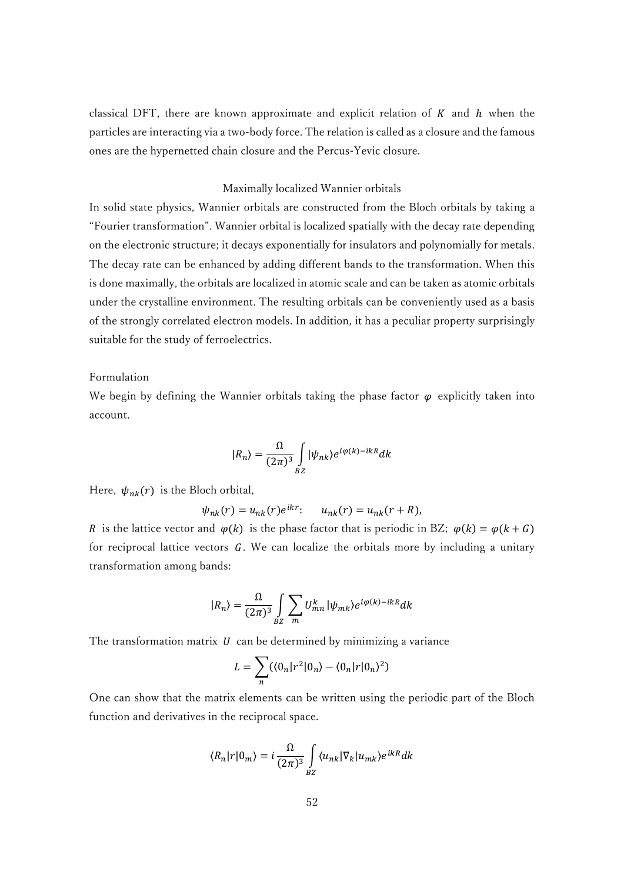classical DFT, there are known approximate and explicit relation of  $K$  and  $h$  when the particles are interacting via a two-body force. The relation is called as a closure and the famous ones are the hypernetted chain closure and the Percus-Yevic closure.

## Maximally localized Wannier orbitals

In solid state physics, Wannier orbitals are constructed from the Bloch orbitals by taking a "Fourier transformation". Wannier orbital is localized spatially with the decay rate depending on the electronic structure; it decays exponentially for insulators and polynomially for metals. The decay rate can be enhanced by adding different bands to the transformation. When this is done maximally, the orbitals are localized in atomic scale and can be taken as atomic orbitals under the crystalline environment. The resulting orbitals can be conveniently used as a basis of the strongly correlated electron models. In addition, it has a peculiar property surprisingly suitable for the study of ferroelectrics.

# Formulation

We begin by defining the Wannier orbitals taking the phase factor  $\varphi$  explicitly taken into account.

$$
|R_n\rangle = \frac{\Omega}{(2\pi)^3} \int_{BZ} |\psi_{nk}\rangle e^{i\varphi(k) - ikR} dk
$$

Here,  $\psi_{nk}(r)$  is the Bloch orbital,

$$
\psi_{nk}(r) = u_{nk}(r)e^{ikr}:\qquad u_{nk}(r) = u_{nk}(r+R),
$$

R is the lattice vector and  $\varphi(k)$  is the phase factor that is periodic in BZ;  $\varphi(k) = \varphi(k + G)$ for reciprocal lattice vectors  $G$ . We can localize the orbitals more by including a unitary transformation among bands:

$$
|R_n\rangle = \frac{\Omega}{(2\pi)^3} \int_{BZ} \sum_m U_{mn}^k |\psi_{mk}\rangle e^{i\varphi(k) - ikR} dk
$$

The transformation matrix  $U$  can be determined by minimizing a variance

$$
L = \sum_{n} (\langle 0_n | r^2 | 0_n \rangle - \langle 0_n | r | 0_n \rangle^2)
$$

One can show that the matrix elements can be written using the periodic part of the Bloch function and derivatives in the reciprocal space.

$$
\langle R_n|r|0_m\rangle = i \frac{\Omega}{(2\pi)^3} \int_{BZ} \langle u_{nk}|\nabla_k|u_{mk}\rangle e^{ikR} dk
$$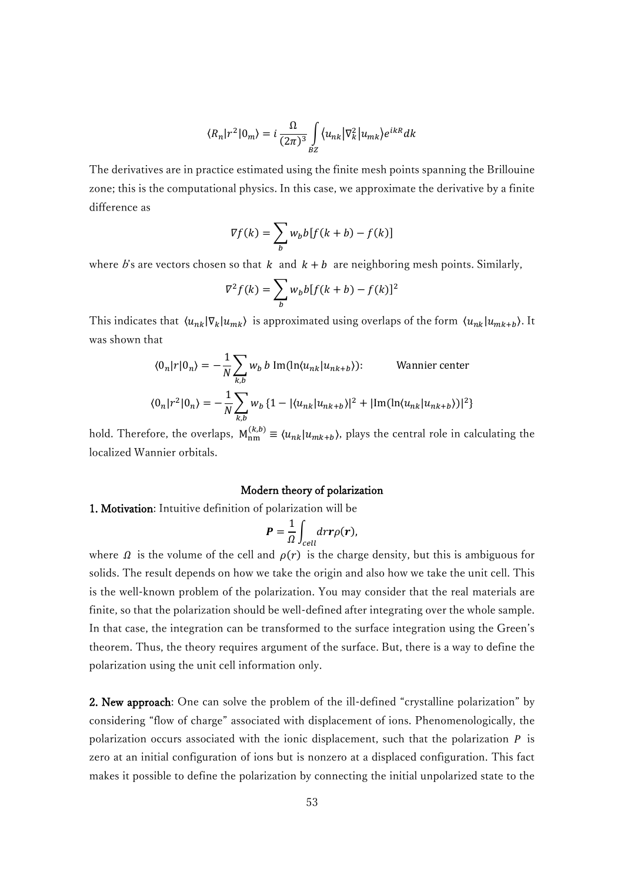$$
\langle R_n | r^2 | 0_m \rangle = i \frac{\Omega}{(2\pi)^3} \int_{BZ} \langle u_{nk} | \nabla_k^2 | u_{mk} \rangle e^{ikR} dk
$$

The derivatives are in practice estimated using the finite mesh points spanning the Brillouine zone; this is the computational physics. In this case, we approximate the derivative by a finite difference as

$$
\nabla f(k) = \sum_{b} w_b b[f(k+b) - f(k)]
$$

where b's are vectors chosen so that  $k$  and  $k + b$  are neighboring mesh points. Similarly,

$$
\nabla^2 f(k) = \sum_b w_b b[f(k+b) - f(k)]^2
$$

This indicates that  $\langle u_{nk} | \nabla_k | u_{mk} \rangle$  is approximated using overlaps of the form  $\langle u_{nk} | u_{mk+b} \rangle$ . It was shown that

$$
\langle 0_n | r | 0_n \rangle = -\frac{1}{N} \sum_{k,b} w_b b \operatorname{Im}(\ln \langle u_{nk} | u_{nk+b} \rangle); \qquad \text{Wannier center}
$$

$$
\langle 0_n | r^2 | 0_n \rangle = -\frac{1}{N} \sum_{k,b} w_b \{ 1 - |\langle u_{nk} | u_{nk+b} \rangle|^2 + |\operatorname{Im}(\ln \langle u_{nk} | u_{nk+b} \rangle)|^2 \}
$$

hold. Therefore, the overlaps,  $M_{nm}^{(k,b)} \equiv \langle u_{nk} | u_{mk+b} \rangle$ , plays the central role in calculating the localized Wannier orbitals.

#### Modern theory of polarization

1. Motivation: Intuitive definition of polarization will be

$$
\boldsymbol{P}=\frac{1}{\Omega}\int_{cell}d\boldsymbol{r}\boldsymbol{r}\rho(\boldsymbol{r}),
$$

where  $\Omega$  is the volume of the cell and  $\rho(r)$  is the charge density, but this is ambiguous for solids. The result depends on how we take the origin and also how we take the unit cell. This is the well-known problem of the polarization. You may consider that the real materials are finite, so that the polarization should be well-defined after integrating over the whole sample. In that case, the integration can be transformed to the surface integration using the Green's theorem. Thus, the theory requires argument of the surface. But, there is a way to define the polarization using the unit cell information only.

2. New approach: One can solve the problem of the ill-defined "crystalline polarization" by considering "flow of charge" associated with displacement of ions. Phenomenologically, the polarization occurs associated with the ionic displacement, such that the polarization  $P$  is zero at an initial configuration of ions but is nonzero at a displaced configuration. This fact makes it possible to define the polarization by connecting the initial unpolarized state to the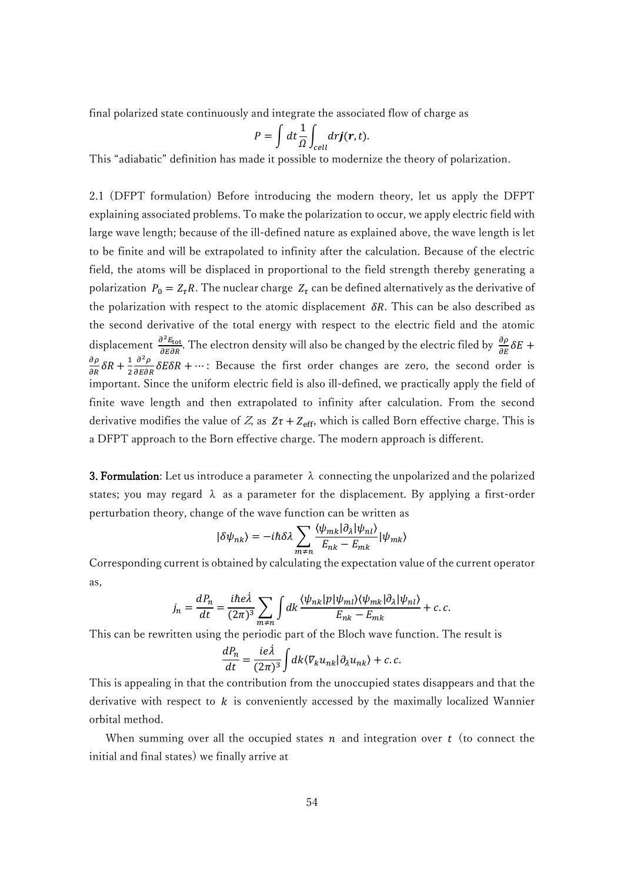final polarized state continuously and integrate the associated flow of charge as

$$
P = \int dt \frac{1}{\Omega} \int_{cell} dr \mathbf{j}(\mathbf{r}, t).
$$

This "adiabatic" definition has made it possible to modernize the theory of polarization.

2.1 (DFPT formulation) Before introducing the modern theory, let us apply the DFPT explaining associated problems. To make the polarization to occur, we apply electric field with large wave length; because of the ill-defined nature as explained above, the wave length is let to be finite and will be extrapolated to infinity after the calculation. Because of the electric field, the atoms will be displaced in proportional to the field strength thereby generating a polarization  $P_0 = Z_{\tau}R$ . The nuclear charge  $Z_{\tau}$  can be defined alternatively as the derivative of the polarization with respect to the atomic displacement  $\delta R$ . This can be also described as the second derivative of the total energy with respect to the electric field and the atomic displacement  $\frac{\partial^2 E_{\text{tot}}}{\partial E \partial R}$ . The electron density will also be changed by the electric filed by  $\frac{\partial \rho}{\partial E} \delta E$  +  $\frac{\partial \rho}{\partial R} \delta R + \frac{1}{2}$ 2  $\frac{\partial^2 \rho}{\partial \epsilon \partial R} \delta E \delta R + \cdots$ : Because the first order changes are zero, the second order is important. Since the uniform electric field is also ill-defined, we practically apply the field of finite wave length and then extrapolated to infinity after calculation. From the second derivative modifies the value of Z, as  $Z\tau + Z_{\text{eff}}$ , which is called Born effective charge. This is a DFPT approach to the Born effective charge. The modern approach is different.

**3. Formulation:** Let us introduce a parameter  $\lambda$  connecting the unpolarized and the polarized states; you may regard  $\lambda$  as a parameter for the displacement. By applying a first-order perturbation theory, change of the wave function can be written as

$$
|\delta\psi_{nk}\rangle = -i\hbar\delta\lambda \sum_{m\neq n} \frac{\langle \psi_{mk} | \partial_{\lambda} | \psi_{nl} \rangle}{E_{nk} - E_{mk}} |\psi_{mk}\rangle
$$

Corresponding current is obtained by calculating the expectation value of the current operator as,

$$
j_n = \frac{dP_n}{dt} = \frac{i\hbar e\lambda}{(2\pi)^3} \sum_{m \neq n} \int dk \frac{\langle \psi_{nk} | p | \psi_{ml} \rangle \langle \psi_{mk} | \partial_\lambda | \psi_{nl} \rangle}{E_{nk} - E_{mk}} + c.c.
$$

This can be rewritten using the periodic part of the Bloch wave function. The result is

$$
\frac{dP_n}{dt} = \frac{ie\lambda}{(2\pi)^3} \int dk \langle \nabla_k u_{nk} | \partial_\lambda u_{nk} \rangle + c.c.
$$

This is appealing in that the contribution from the unoccupied states disappears and that the derivative with respect to  $k$  is conveniently accessed by the maximally localized Wannier orbital method.

When summing over all the occupied states  $n$  and integration over  $t$  (to connect the initial and final states) we finally arrive at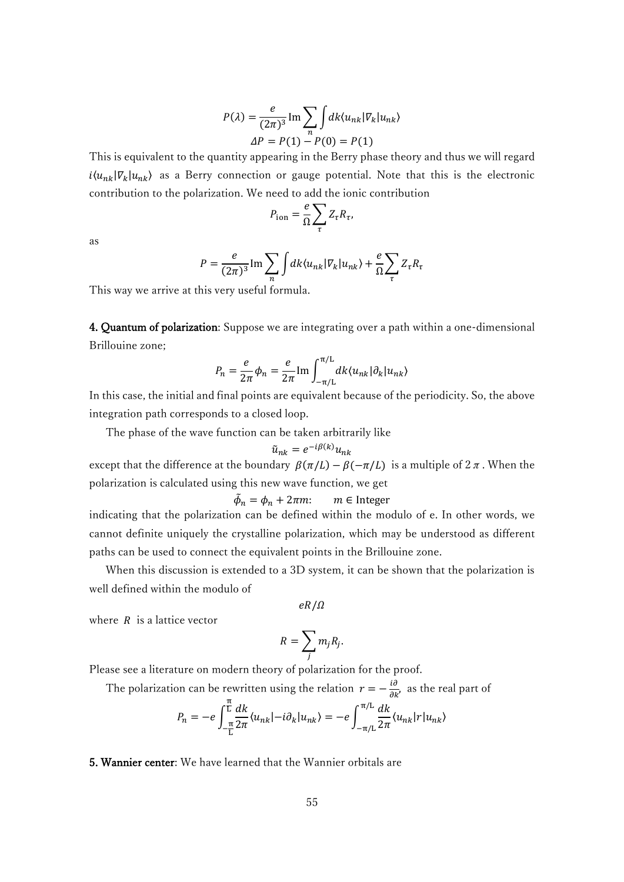$$
P(\lambda) = \frac{e}{(2\pi)^3} \operatorname{Im} \sum_{n} \int dk \langle u_{nk} | V_k | u_{nk} \rangle
$$
  
 
$$
\Delta P = P(1) - P(0) = P(1)
$$

This is equivalent to the quantity appearing in the Berry phase theory and thus we will regard  $i\langle u_{nk} | v_k | u_{nk} \rangle$  as a Berry connection or gauge potential. Note that this is the electronic contribution to the polarization. We need to add the ionic contribution

$$
P_{\rm ion} = \frac{e}{\Omega} \sum_{\tau} Z_{\tau} R_{\tau},
$$

as

$$
P = \frac{e}{(2\pi)^3} \operatorname{Im} \sum_{n} \int dk \langle u_{nk} | V_k | u_{nk} \rangle + \frac{e}{\Omega} \sum_{\tau} Z_{\tau} R_{\tau}
$$

This way we arrive at this very useful formula.

4. Quantum of polarization: Suppose we are integrating over a path within a one-dimensional Brillouine zone;

$$
P_n = \frac{e}{2\pi} \phi_n = \frac{e}{2\pi} \text{Im} \int_{-\pi/L}^{\pi/L} dk \langle u_{nk} | \partial_k | u_{nk} \rangle
$$

In this case, the initial and final points are equivalent because of the periodicity. So, the above integration path corresponds to a closed loop.

The phase of the wave function can be taken arbitrarily like

$$
\tilde{u}_{nk} = e^{-i\beta(k)}u_{nk}
$$

except that the difference at the boundary  $\beta(\pi/L) - \beta(-\pi/L)$  is a multiple of  $2\pi$ . When the polarization is calculated using this new wave function, we get

$$
\tilde{\phi}_n = \phi_n + 2\pi m: \qquad m \in \text{Integer}
$$

indicating that the polarization can be defined within the modulo of e. In other words, we cannot definite uniquely the crystalline polarization, which may be understood as different paths can be used to connect the equivalent points in the Brillouine zone.

 When this discussion is extended to a 3D system, it can be shown that the polarization is well defined within the modulo of

$$
eR/\Omega
$$

where  $R$  is a lattice vector

$$
R=\sum_j m_j R_j.
$$

Please see a literature on modern theory of polarization for the proof.

The polarization can be rewritten using the relation  $r = -\frac{i\partial}{\partial k'}$ , as the real part of

$$
P_n = -e \int_{-\frac{\pi}{L}}^{\frac{\pi}{L}} \frac{dk}{2\pi} \langle u_{nk} | -i \partial_k | u_{nk} \rangle = -e \int_{-\pi/L}^{\pi/L} \frac{dk}{2\pi} \langle u_{nk} | r | u_{nk} \rangle
$$

5. Wannier center: We have learned that the Wannier orbitals are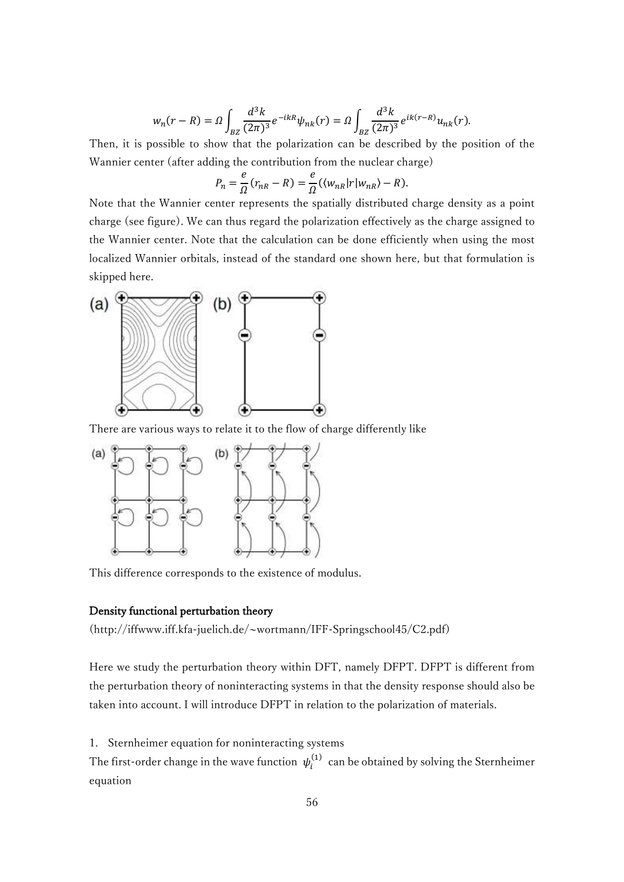$$
w_n(r - R) = \Omega \int_{BZ} \frac{d^3k}{(2\pi)^3} e^{-ikR} \psi_{nk}(r) = \Omega \int_{BZ} \frac{d^3k}{(2\pi)^3} e^{ik(r - R)} u_{nk}(r).
$$

Then, it is possible to show that the polarization can be described by the position of the Wannier center (after adding the contribution from the nuclear charge)

$$
P_n = \frac{e}{\Omega}(r_{nR} - R) = \frac{e}{\Omega}(\langle w_{nR} | r | w_{nR} \rangle - R).
$$

Note that the Wannier center represents the spatially distributed charge density as a point charge (see figure). We can thus regard the polarization effectively as the charge assigned to the Wannier center. Note that the calculation can be done efficiently when using the most localized Wannier orbitals, instead of the standard one shown here, but that formulation is skipped here.



There are various ways to relate it to the flow of charge differently like



This difference corresponds to the existence of modulus.

#### Density functional perturbation theory

(http://iffwww.iff.kfa-juelich.de/~wortmann/IFF-Springschool45/C2.pdf)

Here we study the perturbation theory within DFT, namely DFPT. DFPT is different from the perturbation theory of noninteracting systems in that the density response should also be taken into account. I will introduce DFPT in relation to the polarization of materials.

1. Sternheimer equation for noninteracting systems

The first-order change in the wave function  $\psi_i^{(1)}$  can be obtained by solving the Sternheimer equation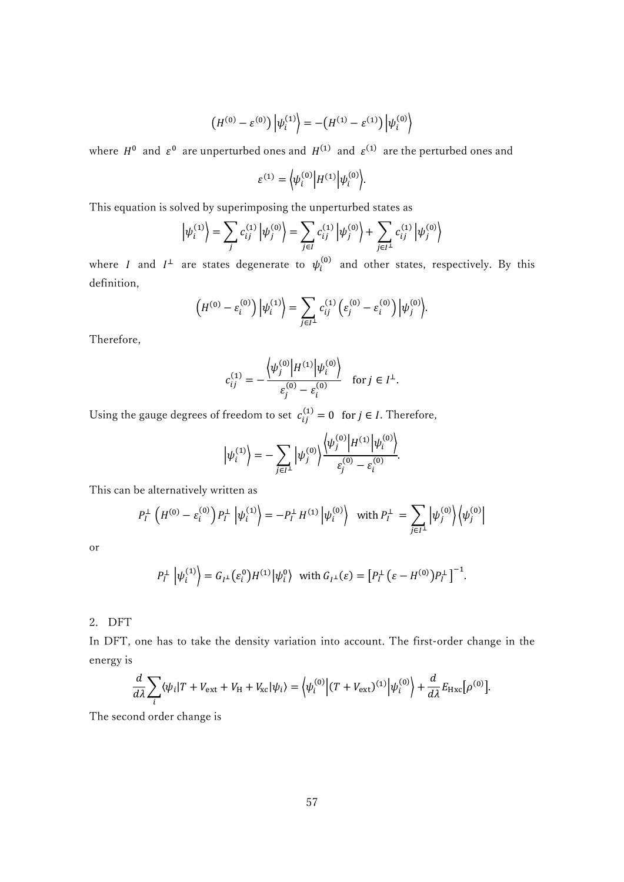$$
(H^{(0)} - \varepsilon^{(0)}) |\psi_i^{(1)}\rangle = -(H^{(1)} - \varepsilon^{(1)}) |\psi_i^{(0)}\rangle
$$

where  $H^0$  and  $\varepsilon^0$  are unperturbed ones and  $H^{(1)}$  and  $\varepsilon^{(1)}$  are the perturbed ones and

$$
\varepsilon^{(1)} = \left\langle \psi_i^{(0)} \right| H^{(1)} \left| \psi_i^{(0)} \right\rangle.
$$

This equation is solved by superimposing the unperturbed states as

$$
\left|\psi_i^{(1)}\right\rangle = \sum_j c_{ij}^{(1)} \left|\psi_j^{(0)}\right\rangle = \sum_{j \in I} c_{ij}^{(1)} \left|\psi_j^{(0)}\right\rangle + \sum_{j \in I^{\perp}} c_{ij}^{(1)} \left|\psi_j^{(0)}\right\rangle
$$

where *I* and  $I^{\perp}$  are states degenerate to  $\psi_i^{(0)}$  and other states, respectively. By this definition,

$$
(H^{(0)} - \varepsilon_i^{(0)}) |\psi_i^{(1)}\rangle = \sum_{j \in I^{\perp}} c_{ij}^{(1)} (\varepsilon_j^{(0)} - \varepsilon_i^{(0)}) |\psi_j^{(0)}\rangle.
$$

Therefore,

$$
c_{ij}^{(1)} = -\frac{\left\langle \psi_j^{(0)} \middle| H^{(1)} \middle| \psi_i^{(0)} \right\rangle}{\varepsilon_j^{(0)} - \varepsilon_i^{(0)}} \quad \text{for } j \in I^{\perp}.
$$

Using the gauge degrees of freedom to set  $c_{ij}^{(1)} = 0$  for  $j \in I$ . Therefore,

$$
\left|\psi_i^{(1)}\right\rangle = -\sum_{j\in I^{\perp}}\left|\psi_j^{(0)}\right\rangle \frac{\left\langle\psi_j^{(0)}\right|H^{(1)}\left|\psi_i^{(0)}\right\rangle}{\varepsilon_j^{(0)}-\varepsilon_i^{(0)}}.
$$

This can be alternatively written as

$$
P_I^{\perp} \left( H^{(0)} - \varepsilon_i^{(0)} \right) P_I^{\perp} \left| \psi_i^{(1)} \right\rangle = -P_I^{\perp} H^{(1)} \left| \psi_i^{(0)} \right\rangle \text{ with } P_I^{\perp} = \sum_{j \in I^{\perp}} \left| \psi_j^{(0)} \right\rangle \left\langle \psi_j^{(0)} \right|
$$

or

$$
P_I^{\perp} \left| \psi_i^{(1)} \right\rangle = G_{I^{\perp}}(\varepsilon_i^0) H^{(1)} | \psi_i^0\rangle \text{ with } G_{I^{\perp}}(\varepsilon) = \left[ P_I^{\perp} \left( \varepsilon - H^{(0)} \right) P_I^{\perp} \right]^{-1}.
$$

2. DFT

In DFT, one has to take the density variation into account. The first-order change in the energy is

$$
\frac{d}{d\lambda} \sum_{i} \langle \psi_i | T + V_{\text{ext}} + V_{\text{H}} + V_{\text{xc}} | \psi_i \rangle = \langle \psi_i^{(0)} \Big| (T + V_{\text{ext}})^{(1)} \Big| \psi_i^{(0)} \rangle + \frac{d}{d\lambda} E_{\text{Hxc}} [\rho^{(0)}].
$$

The second order change is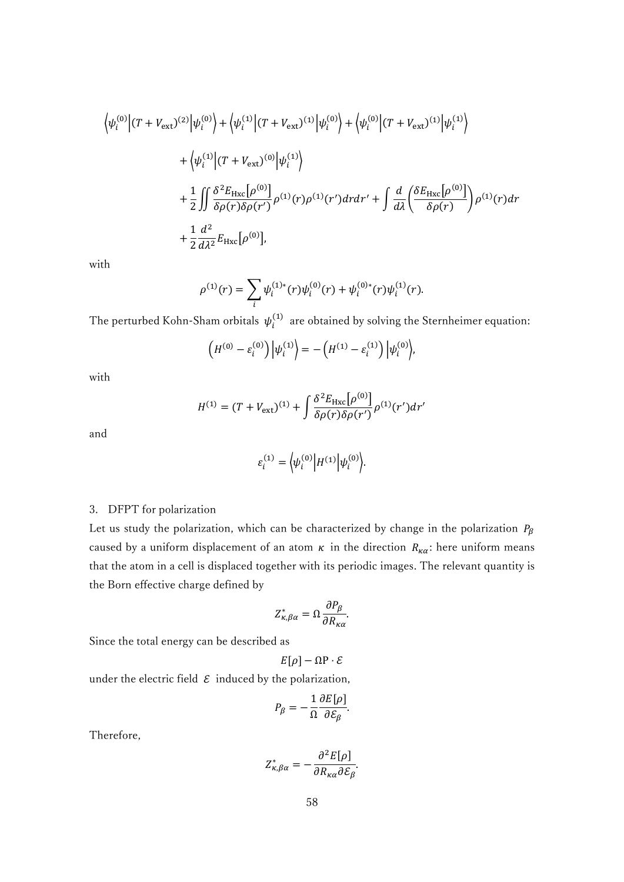$$
\langle \psi_i^{(0)} | (T + V_{ext})^{(2)} | \psi_i^{(0)} \rangle + \langle \psi_i^{(1)} | (T + V_{ext})^{(1)} | \psi_i^{(0)} \rangle + \langle \psi_i^{(0)} | (T + V_{ext})^{(1)} | \psi_i^{(1)} \rangle \n+ \langle \psi_i^{(1)} | (T + V_{ext})^{(0)} | \psi_i^{(1)} \rangle \n+ \frac{1}{2} \iint \frac{\delta^2 E_{Hxc} [\rho^{(0)}]}{\delta \rho(r) \delta \rho(r')} \rho^{(1)}(r) \rho^{(1)}(r') dr dr' + \int \frac{d}{d\lambda} \left( \frac{\delta E_{Hxc} [\rho^{(0)}]}{\delta \rho(r)} \right) \rho^{(1)}(r) dr \n+ \frac{1}{2} \frac{d^2}{d\lambda^2} E_{Hxc} [\rho^{(0)}],
$$

with

$$
\rho^{(1)}(r) = \sum_{i} \psi_i^{(1)*}(r) \psi_i^{(0)}(r) + \psi_i^{(0)*}(r) \psi_i^{(1)}(r).
$$

The perturbed Kohn-Sham orbitals  $\psi_i^{(1)}$  are obtained by solving the Sternheimer equation:

$$
(H^{(0)} - \varepsilon_i^{(0)}) |\psi_i^{(1)}\rangle = - (H^{(1)} - \varepsilon_i^{(1)}) |\psi_i^{(0)}\rangle,
$$

with

$$
H^{(1)} = (T + V_{\text{ext}})^{(1)} + \int \frac{\delta^2 E_{\text{Hxc}}[\rho^{(0)}]}{\delta \rho(r) \delta \rho(r')} \rho^{(1)}(r') dr'
$$

and

$$
\varepsilon_i^{(1)} = \left\langle \psi_i^{(0)} \right| H^{(1)} \left| \psi_i^{(0)} \right\rangle.
$$

# 3. DFPT for polarization

Let us study the polarization, which can be characterized by change in the polarization  $P_{\beta}$ caused by a uniform displacement of an atom  $\kappa$  in the direction  $R_{\kappa\alpha}$ : here uniform means that the atom in a cell is displaced together with its periodic images. The relevant quantity is the Born effective charge defined by

$$
Z_{\kappa,\beta\alpha}^* = \Omega \frac{\partial P_{\beta}}{\partial R_{\kappa\alpha}}.
$$

Since the total energy can be described as

 $E[\rho] - \Omega P \cdot \mathcal{E}$ 

under the electric field  $\varepsilon$  induced by the polarization,

$$
P_{\beta} = -\frac{1}{\Omega} \frac{\partial E[\rho]}{\partial \mathcal{E}_{\beta}}.
$$

Therefore,

$$
Z_{\kappa,\beta\alpha}^* = -\frac{\partial^2 E[\rho]}{\partial R_{\kappa\alpha}\partial \mathcal{E}_\beta}.
$$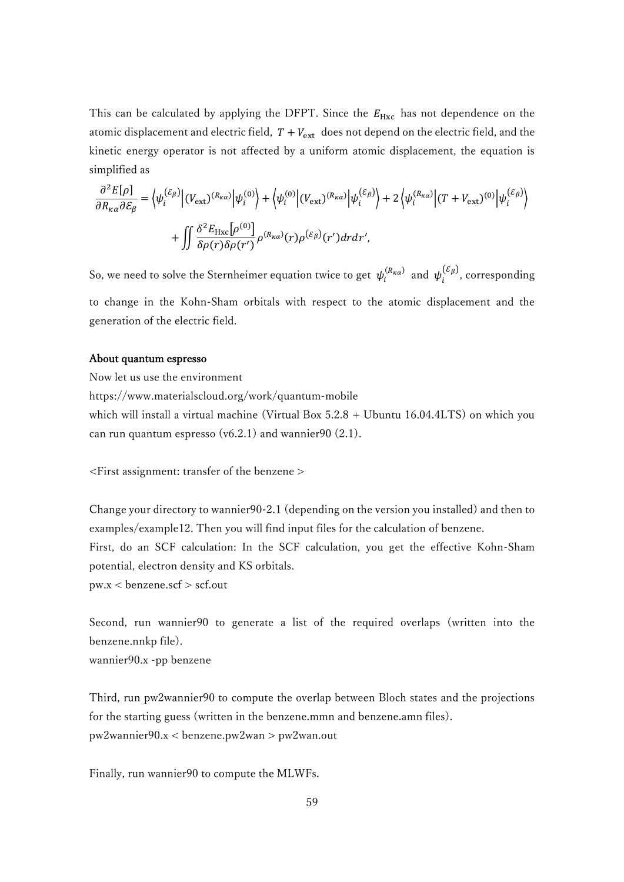This can be calculated by applying the DFPT. Since the  $E_{Hxc}$  has not dependence on the atomic displacement and electric field,  $T + V_{ext}$  does not depend on the electric field, and the kinetic energy operator is not affected by a uniform atomic displacement, the equation is simplified as

$$
\frac{\partial^2 E[\rho]}{\partial R_{\kappa\alpha}\partial \mathcal{E}_{\beta}} = \left\langle \psi_i^{(\mathcal{E}_{\beta})} \middle| (V_{\text{ext}})^{(R_{\kappa\alpha})} \middle| \psi_i^{(0)} \right\rangle + \left\langle \psi_i^{(0)} \middle| (V_{\text{ext}})^{(R_{\kappa\alpha})} \middle| \psi_i^{(\mathcal{E}_{\beta})} \right\rangle + 2 \left\langle \psi_i^{(R_{\kappa\alpha})} \middle| (T + V_{\text{ext}})^{(0)} \middle| \psi_i^{(\mathcal{E}_{\beta})} \right\rangle
$$

$$
+ \iint \frac{\delta^2 E_{\text{Hxc}}[\rho^{(0)}]}{\delta \rho(r)\delta \rho(r')} \rho^{(R_{\kappa\alpha})}(r) \rho^{(\mathcal{E}_{\beta})}(r') dr dr',
$$

So, we need to solve the Sternheimer equation twice to get  $\psi_i^{(R_{\kappa\alpha})}$  and  $\psi_i^{(\mathcal{E}_{\beta})}$ , corresponding to change in the Kohn-Sham orbitals with respect to the atomic displacement and the generation of the electric field.

#### About quantum espresso

Now let us use the environment

https://www.materialscloud.org/work/quantum-mobile which will install a virtual machine (Virtual Box 5.2.8 + Ubuntu 16.04.4LTS) on which you can run quantum espresso (v6.2.1) and wannier 90  $(2.1)$ .

<First assignment: transfer of the benzene >

Change your directory to wannier90-2.1 (depending on the version you installed) and then to examples/example12. Then you will find input files for the calculation of benzene. First, do an SCF calculation: In the SCF calculation, you get the effective Kohn-Sham potential, electron density and KS orbitals.  $pw.x <$ benzene.scf  $>$  scf.out

Second, run wannier90 to generate a list of the required overlaps (written into the benzene.nnkp file).

wannier90.x -pp benzene

Third, run pw2wannier90 to compute the overlap between Bloch states and the projections for the starting guess (written in the benzene.mmn and benzene.amn files). pw2wannier90.x < benzene.pw2wan > pw2wan.out

Finally, run wannier90 to compute the MLWFs.